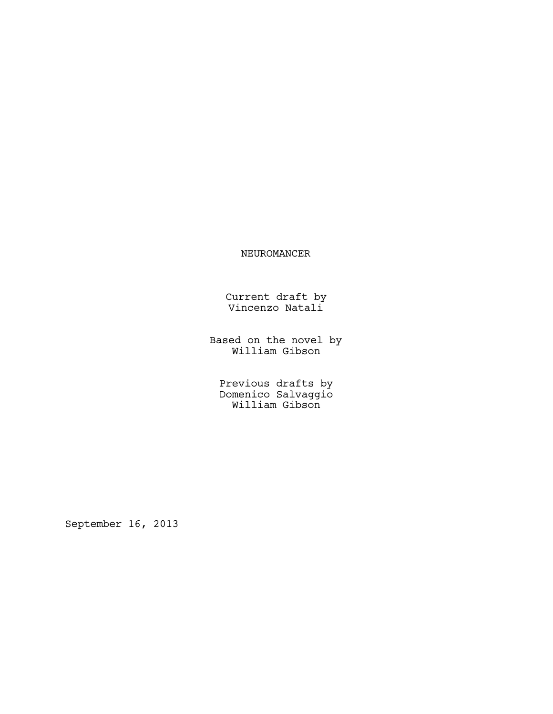# NEUROMANCER

Current draft by Vincenzo Natali

Based on the novel by William Gibson

Previous drafts by Domenico Salvaggio William Gibson

September 16, 2013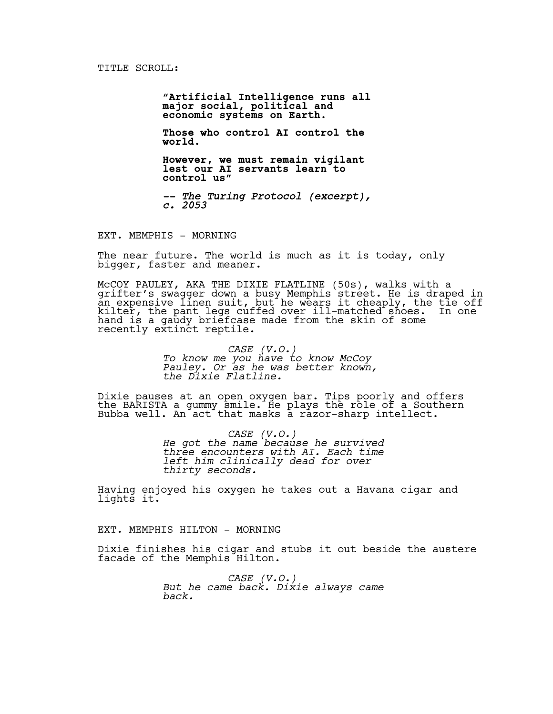**"Artificial Intelligence runs all major social, political and economic systems on Earth.** 

**Those who control AI control the world.** 

**However, we must remain vigilant lest our AI servants learn to control us"** 

*-- The Turing Protocol (excerpt), c. 2053*

EXT. MEMPHIS - MORNING

The near future. The world is much as it is today, only bigger, faster and meaner.

McCOY PAULEY, AKA THE DIXIE FLATLINE (50s), walks with a grifter's swagger down a busy Memphis street. He is draped in an expensive linen suit, but he wears it cheaply, the tie off kilter, the pant legs cuffed over ill-matched shoes. In one hand is a gaudy briefcase made from the skin of some recently extinct reptile.

> *CASE (V.O.) To know me you have to know McCoy Pauley. Or as he was better known, the Dixie Flatline.*

Dixie pauses at an open oxygen bar. Tips poorly and offers the BARISTA a gummy smile. He plays the role of a Southern Bubba well. An act that masks a razor-sharp intellect.

> *CASE (V.O.) He got the name because he survived three encounters with AI. Each time left him clinically dead for over thirty seconds.*

Having enjoyed his oxygen he takes out a Havana cigar and lights it.

EXT. MEMPHIS HILTON - MORNING

Dixie finishes his cigar and stubs it out beside the austere facade of the Memphis Hilton.

> *CASE (V.O.) But he came back. Dixie always came back.*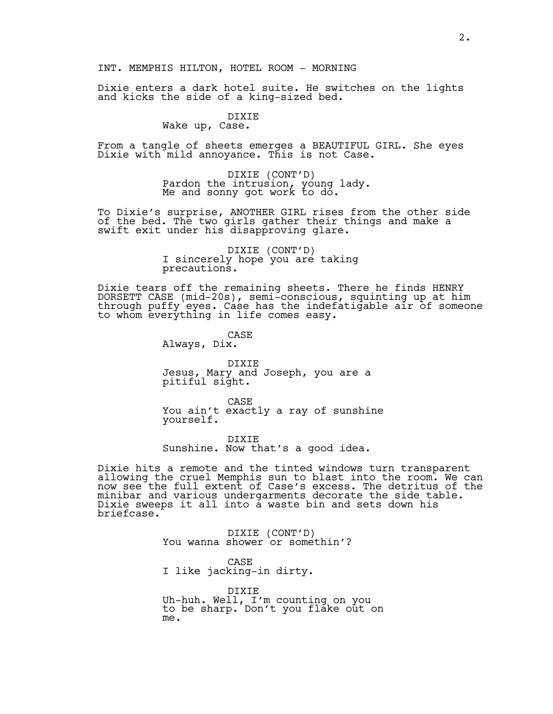#### INT. MEMPHIS HILTON, HOTEL ROOM - MORNING

Dixie enters a dark hotel suite. He switches on the lights and kicks the side of a king-sized bed.

# DIXIE

Wake up, Case.

From a tangle of sheets emerges a BEAUTIFUL GIRL. She eyes Dixie with mild annoyance. This is not Case.

> DIXIE (CONT'D)<br>Pardon the intrusion, young lady. Me and sonny got work to do.

To Dixie's surprise, ANOTHER GIRL rises from the other side of the bed. The two girls gather their things and make a swift exit under his disapproving glare.

> DIXIE (CONT'D)<br>I sincerely hope you are taking precautions.

Dixie tears off the remaining sheets. There he finds HENRY DORSETT CASE (mid-20s), semi-conscious, squinting up at him through puffy eyes. Case has the indefatigable air of someone to whom everything in life comes easy.

> CASE Always, Dix.

DIXIE Jesus, Mary and Joseph, you are a pitiful sight.

CASE You ain't exactly a ray of sunshine yourself.

DIXIE Sunshine. Now that's a good idea.

Dixie hits a remote and the tinted windows turn transparent allowing the cruel Memphis sun to blast into the room. We can now see the full extent of Case's excess. The detritus of the minibar and various undergarments decorate the side table. Dixie sweeps it all into a waste bin and sets down his briefcase.

DIXIE (CONT'D)<br>You wanna shower or somethin'?

CASE

I like jacking-in dirty.

DIXIE Uh-huh. Well, I'm counting on you to be sharp. Don't you flake out on me.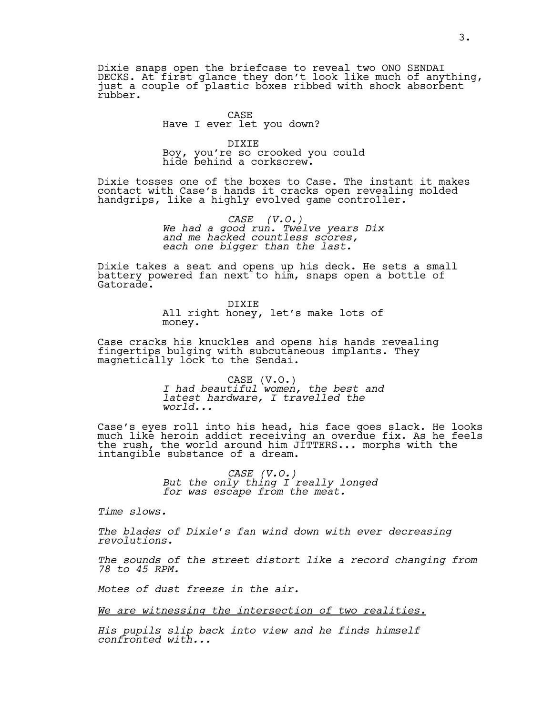Dixie snaps open the briefcase to reveal two ONO SENDAI DECKS. At first glance they don't look like much of anything, just a couple of plastic boxes ribbed with shock absorbent rubber.

# CASE Have I ever let you down?

DIXIE Boy, you're so crooked you could hide behind a corkscrew.

Dixie tosses one of the boxes to Case. The instant it makes contact with Case's hands it cracks open revealing molded handgrips, like a highly evolved game controller.

> *CASE (V.O.) We had a good run. Twelve years Dix and me hacked countless scores, each one bigger than the last.*

Dixie takes a seat and opens up his deck. He sets a small battery powered fan next to him, snaps open a bottle of Gatorade.

> DIXIE All right honey, let's make lots of money.

Case cracks his knuckles and opens his hands revealing fingertips bulging with subcutaneous implants. They magnetically lock to the Sendai.

> CASE (V.O.) *I had beautiful women, the best and latest hardware, I travelled the world...*

Case's eyes roll into his head, his face goes slack. He looks much like heroin addict receiving an overdue fix. As he feels the rush, the world around him JITTERS... morphs with the intangible substance of a dream.

> *CASE (V.O.) But the only thing I really longed for was escape from the meat.*

*Time slows.* 

*The blades of Dixie's fan wind down with ever decreasing revolutions.* 

*The sounds of the street distort like a record changing from 78 to 45 RPM.* 

*Motes of dust freeze in the air.* 

*We are witnessing the intersection of two realities.*

*His pupils slip back into view and he finds himself confronted with...*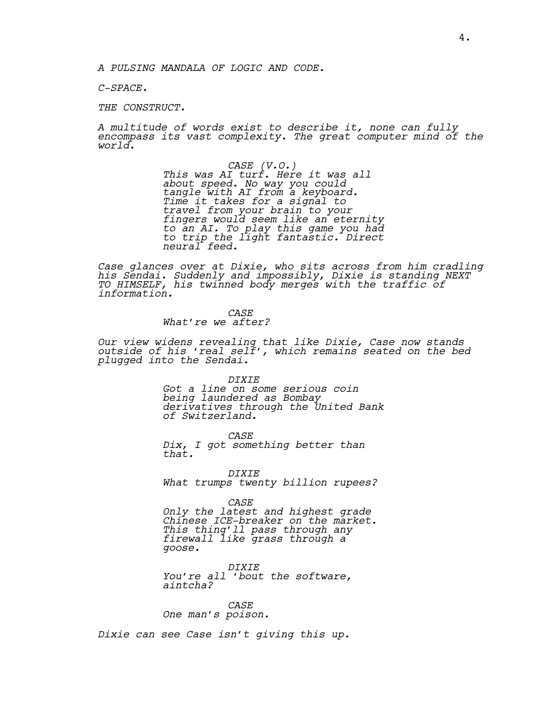*A PULSING MANDALA OF LOGIC AND CODE.* 

*C-SPACE.* 

*THE CONSTRUCT.* 

*A multitude of words exist to describe it, none can fully encompass its vast complexity. The great computer mind of the world.*

> *CASE (V.O.) This was AI turf. Here it was all about speed. No way you could tangle with AI from a keyboard. Time it takes for a signal to travel from your brain to your fingers would seem like an eternity to an AI. To play this game you had to trip the light fantastic. Direct neural feed.*

*Case glances over at Dixie, who sits across from him cradling his Sendai. Suddenly and impossibly, Dixie is standing NEXT TO HIMSELF, his twinned body merges with the traffic of information.* 

> *CASE What're we after?*

*Our view widens revealing that like Dixie, Case now stands outside of his 'real self', which remains seated on the bed plugged into the Sendai.*

*DIXIE*

*Got a line on some serious coin being laundered as Bombay derivatives through the United Bank of Switzerland.*

*CASE*

*Dix, I got something better than that.*

*DIXIE What trumps twenty billion rupees?*

*CASE*

*Only the latest and highest grade Chinese ICE-breaker on the market. This thing'll pass through any firewall like grass through a goose.*

*DIXIE You're all 'bout the software, aintcha?*

*CASE One man's poison.*

*Dixie can see Case isn't giving this up.*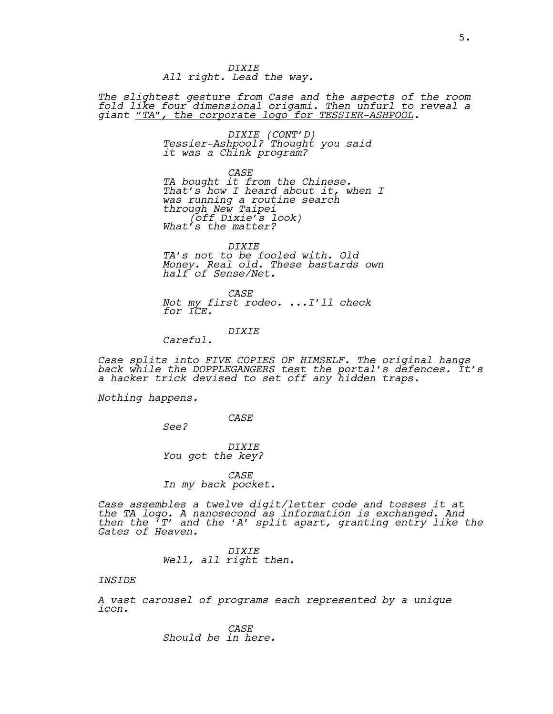*DIXIE All right. Lead the way.*

*The slightest gesture from Case and the aspects of the room fold like four dimensional origami. Then unfurl to reveal a giant "TA", the corporate logo for TESSIER-ASHPOOL.*

> *DIXIE (CONT'D) Tessier-Ashpool? Thought you said it was a Chink program?*

*CASE TA bought it from the Chinese. That's how I heard about it, when I was running a routine search through New Taipei (off Dixie's look) What's the matter?*

*DIXIE*

*TA's not to be fooled with. Old Money. Real old. These bastards own half of Sense/Net.*

*CASE Not my first rodeo. ...I'll check for ICE.*

*DIXIE*

*Careful.*

*Case splits into FIVE COPIES OF HIMSELF. The original hangs back while the DOPPLEGANGERS test the portal's defences. It's a hacker trick devised to set off any hidden traps.*

*Nothing happens.*

*CASE*

*See?*

*DIXIE You got the key?*

*CASE In my back pocket.* 

*Case assembles a twelve digit/letter code and tosses it at the TA logo. A nanosecond as information is exchanged. And then the 'T' and the 'A' split apart, granting entry like the Gates of Heaven.*

> *DIXIE Well, all right then.*

# *INSIDE*

*A vast carousel of programs each represented by a unique icon.*

> *CASE Should be in here.*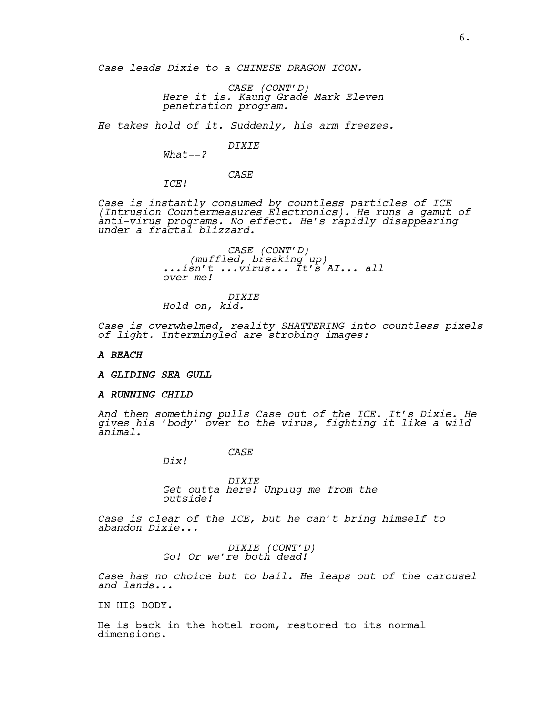*Case leads Dixie to a CHINESE DRAGON ICON.* 

*CASE (CONT'D) Here it is. Kaung Grade Mark Eleven penetration program.*

*He takes hold of it. Suddenly, his arm freezes.* 

*DIXIE*

*What--?*

*CASE*

*ICE!* 

*Case is instantly consumed by countless particles of ICE (Intrusion Countermeasures Electronics). He runs a gamut of anti-virus programs. No effect. He's rapidly disappearing under a fractal blizzard.*

> *CASE (CONT'D) (muffled, breaking up) ...isn't ...virus... It's AI... all over me!*

*DIXIE Hold on, kid.*

*Case is overwhelmed, reality SHATTERING into countless pixels of light. Intermingled are strobing images:*

#### *A BEACH*

*A GLIDING SEA GULL*

#### *A RUNNING CHILD*

*And then something pulls Case out of the ICE. It's Dixie. He gives his 'body' over to the virus, fighting it like a wild animal.*

*CASE*

*Dix!*

*DIXIE Get outta here! Unplug me from the outside!* 

*Case is clear of the ICE, but he can't bring himself to abandon Dixie...*

*DIXIE (CONT'D) Go! Or we're both dead!* 

*Case has no choice but to bail. He leaps out of the carousel and lands...*

IN HIS BODY.

He is back in the hotel room, restored to its normal dimensions.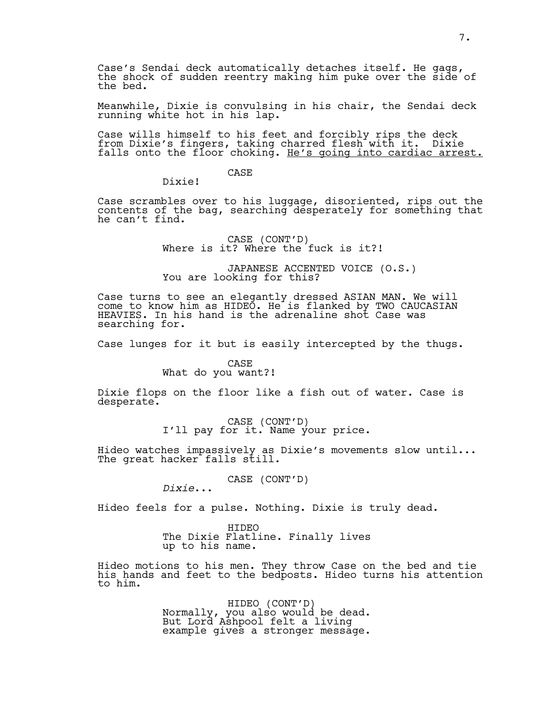Case's Sendai deck automatically detaches itself. He gags, the shock of sudden reentry making him puke over the side of the bed.

Meanwhile, Dixie is convulsing in his chair, the Sendai deck running white hot in his lap.

Case wills himself to his feet and forcibly rips the deck from Dixie's fingers, taking charred flesh with it. Dixie falls onto the floor choking. He's going into cardiac arrest.

# CASE

Dixie!

Case scrambles over to his luggage, disoriented, rips out the contents of the bag, searching desperately for something that he can't find.

CASE (CONT'D) Where is it? Where the fuck is it?!

JAPANESE ACCENTED VOICE (O.S.)<br>You are looking for this?

Case turns to see an elegantly dressed ASIAN MAN. We will come to know him as HIDEO. He is flanked by TWO CAUCASIAN HEAVIES. In his hand is the adrenaline shot Case was searching for.

Case lunges for it but is easily intercepted by the thugs.

#### CASE What do you want?!

Dixie flops on the floor like a fish out of water. Case is desperate.

CASE (CONT'D)<br>I'll pay for it. Name your price.

Hideo watches impassively as Dixie's movements slow until... The great hacker falls still.

CASE (CONT'D) *Dixie*...

Hideo feels for a pulse. Nothing. Dixie is truly dead.

HIDEO The Dixie Flatline. Finally lives up to his name.

Hideo motions to his men. They throw Case on the bed and tie his hands and feet to the bedposts. Hideo turns his attention to him.

> HIDEO (CONT'D)<br>Normally, you also would be dead. But Lord Ashpool felt a living example gives a stronger message.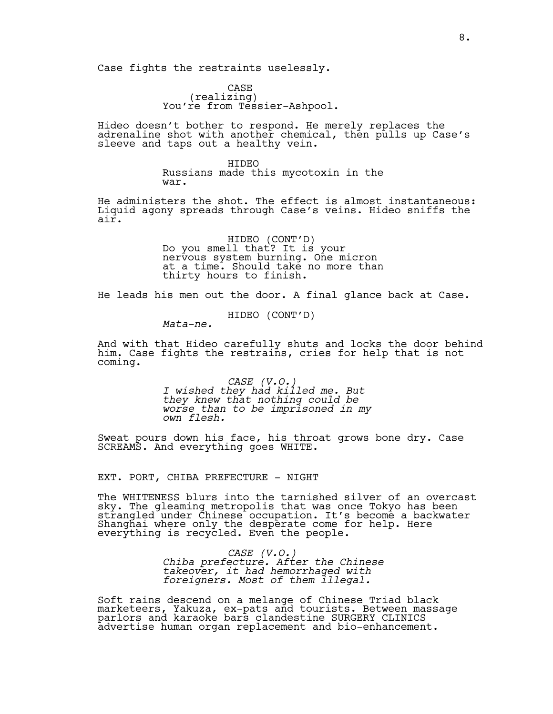Case fights the restraints uselessly.

CASE<br>(realizing) You're from Tessier-Ashpool.

Hideo doesn't bother to respond. He merely replaces the adrenaline shot with another chemical, then pulls up Case's sleeve and taps out a healthy vein.

> HIDEO Russians made this mycotoxin in the war.

He administers the shot. The effect is almost instantaneous: Liquid agony spreads through Case's veins. Hideo sniffs the air.

> HIDEO (CONT'D)<br>Do you smell that? It is your nervous system burning. One micron at a time. Should take no more than thirty hours to finish.

He leads his men out the door. A final glance back at Case.

HIDEO (CONT'D)

*Mata-ne.*

And with that Hideo carefully shuts and locks the door behind him. Case fights the restrains, cries for help that is not coming.

> *CASE (V.O.) I wished they had killed me. But they knew that nothing could be worse than to be imprisoned in my own flesh.*

Sweat pours down his face, his throat grows bone dry. Case SCREAMS. And everything goes WHITE.

EXT. PORT, CHIBA PREFECTURE - NIGHT

The WHITENESS blurs into the tarnished silver of an overcast sky. The gleaming metropolis that was once Tokyo has been strangled under Chinese occupation. It's become a backwater Shanghai where only the desperate come for help. Here everything is recycled. Even the people.

> *CASE (V.O.) Chiba prefecture. After the Chinese takeover, it had hemorrhaged with foreigners. Most of them illegal.*

Soft rains descend on a melange of Chinese Triad black marketeers, Yakuza, ex-pats and tourists. Between massage parlors and karaoke bars clandestine SURGERY CLINICS advertise human organ replacement and bio-enhancement.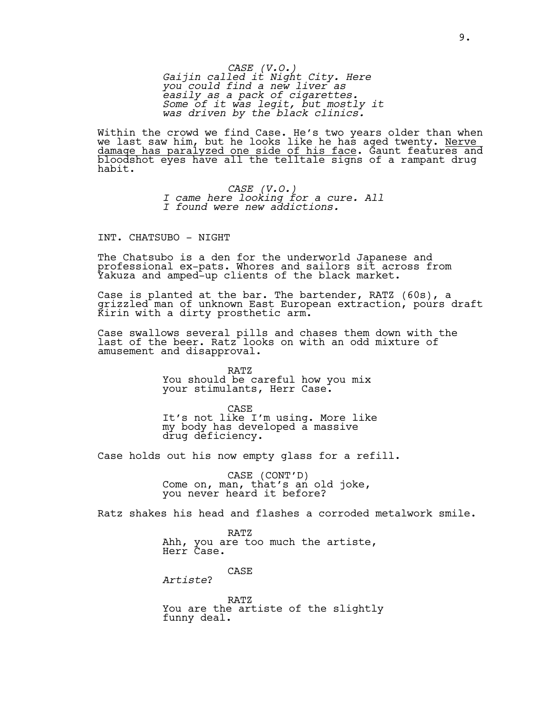*CASE (V.O.) Gaijin called it Night City. Here you could find a new liver as easily as a pack of cigarettes. Some of it was legit, but mostly it was driven by the black clinics.*

Within the crowd we find Case. He's two years older than when we last saw him, but he looks like he has aged twenty. <u>Nerve</u> damage has paralyzed one side of his face. Gaunt features and bloodshot eyes have all the telltale signs of a rampant drug habit.

> *CASE (V.O.) I came here looking for a cure. All I found were new addictions.*

INT. CHATSUBO - NIGHT

The Chatsubo is a den for the underworld Japanese and professional ex-pats. Whores and sailors sit across from Yakuza and amped-up clients of the black market.

Case is planted at the bar. The bartender, RATZ (60s), a grizzled man of unknown East European extraction, pours draft Kirin with a dirty prosthetic arm.

Case swallows several pills and chases them down with the last of the beer. Ratz looks on with an odd mixture of amusement and disapproval.

> RATZ You should be careful how you mix your stimulants, Herr Case.

CASE It's not like I'm using. More like my body has developed a massive drug deficiency.

Case holds out his now empty glass for a refill.

CASE (CONT'D)<br>Come on, man, that's an old joke, you never heard it before?

Ratz shakes his head and flashes a corroded metalwork smile.

RATZ Ahh, you are too much the artiste, Herr Case.

CASE

*Artiste*?

RATZ You are the artiste of the slightly funny deal.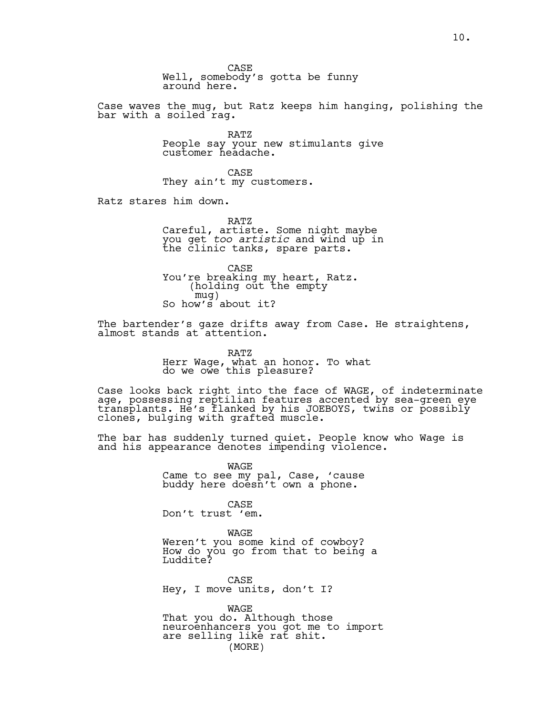CASE Well, somebody's gotta be funny around here.

Case waves the mug, but Ratz keeps him hanging, polishing the bar with a soiled rag.

> RATZ People say your new stimulants give customer headache.

CASE They ain't my customers.

Ratz stares him down.

RATZ Careful, artiste. Some night maybe you get *too artistic* and wind up in<br>the clinic tanks, spare parts.

CASE You're breaking my heart, Ratz. (holding out the empty So how's about it?

The bartender's gaze drifts away from Case. He straightens, almost stands at attention.

> RATZ Herr Wage, what an honor. To what do we owe this pleasure?

Case looks back right into the face of WAGE, of indeterminate age, possessing reptilian features accented by sea-green eye transplants. He's flanked by his JOEBOYS, twins or possibly clones, bulging with grafted muscle.

The bar has suddenly turned quiet. People know who Wage is and his appearance denotes impending violence.

> WAGE Came to see my pal, Case, 'cause buddy here doesn't own a phone.

CASE Don't trust 'em.

WAGE Weren't you some kind of cowboy? How do you go from that to being a Luddite?

CASE Hey, I move units, don't I?

WAGE That you do. Although those neuroenhancers you got me to import are selling like rat shit. (MORE)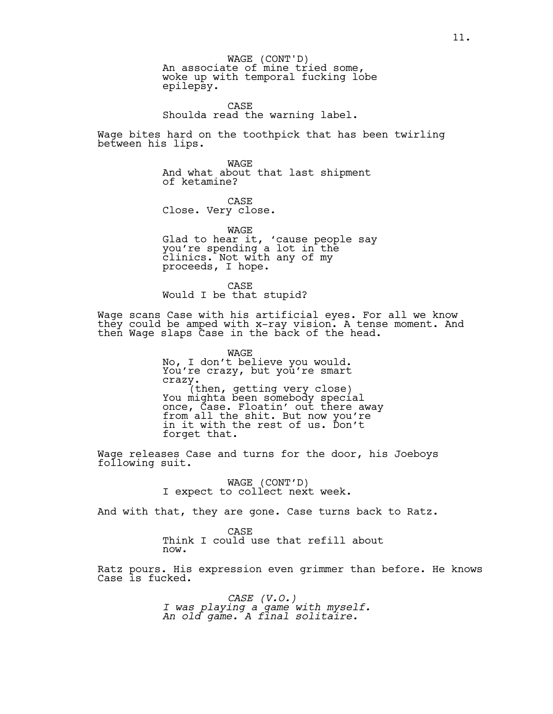An associate of mine tried some, woke up with temporal fucking lobe epilepsy. WAGE (CONT'D)

CASE Shoulda read the warning label.

Wage bites hard on the toothpick that has been twirling between his lips.

> WAGE And what about that last shipment of ketamine?

CASE Close. Very close.

WAGE Glad to hear it, 'cause people say you're spending a lot in the clinics. Not with any of my proceeds, I hope.

CASE Would I be that stupid?

Wage scans Case with his artificial eyes. For all we know they could be amped with x-ray vision. A tense moment. And then Wage slaps Case in the back of the head.

> WAGE No, I don't believe you would. You're crazy, but you're smart crazy.<br>(then, getting very close)<br>You mighta been somebody special once, Case. Floatin' out there away from all the shit. But now you're in it with the rest of us. Don't forget that.

Wage releases Case and turns for the door, his Joeboys following suit.

WAGE (CONT'D)<br>I expect to collect next week.

And with that, they are gone. Case turns back to Ratz.

CASE Think I could use that refill about now.

Ratz pours. His expression even grimmer than before. He knows Case is fucked.

> *CASE (V.O.) I was playing a game with myself. An old game. A final solitaire.*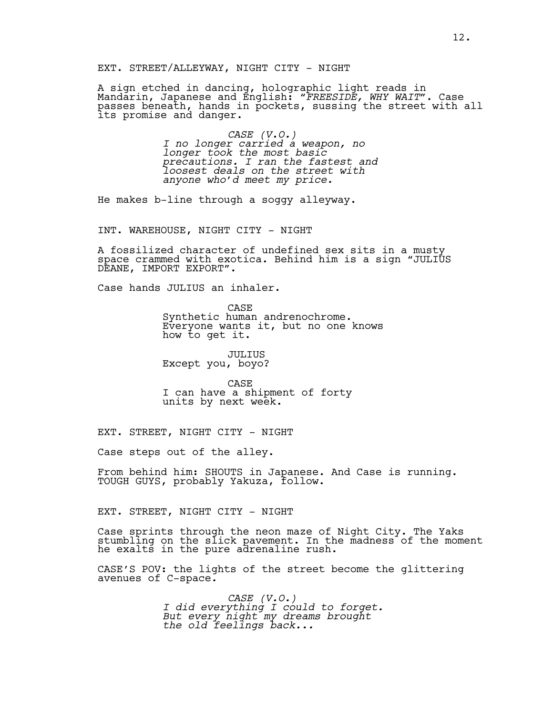EXT. STREET/ALLEYWAY, NIGHT CITY - NIGHT

A sign etched in dancing, holographic light reads in Mandarin, Japanese and English: *"FREESIDE, WHY WAIT"*. Case passes beneath, hands in pockets, sussing the street with all its promise and danger.

> *CASE (V.O.) I no longer carried a weapon, no longer took the most basic precautions. I ran the fastest and loosest deals on the street with anyone who'd meet my price.*

He makes b-line through a soggy alleyway.

INT. WAREHOUSE, NIGHT CITY - NIGHT

A fossilized character of undefined sex sits in a musty space crammed with exotica. Behind him is a sign "JULIUS DEANE, IMPORT EXPORT".

Case hands JULIUS an inhaler.

CASE Synthetic human andrenochrome. Everyone wants it, but no one knows how to get it.

JULIUS Except you, boyo?

CASE I can have a shipment of forty units by next week.

EXT. STREET, NIGHT CITY - NIGHT

Case steps out of the alley.

From behind him: SHOUTS in Japanese. And Case is running. TOUGH GUYS, probably Yakuza, follow.

EXT. STREET, NIGHT CITY - NIGHT

Case sprints through the neon maze of Night City. The Yaks stumbling on the slick pavement. In the madness of the moment he exalts in the pure adrenaline rush.

CASE'S POV: the lights of the street become the glittering avenues of C-space.

> *CASE (V.O.) I did everything I could to forget. But every night my dreams brought the old feelings back...*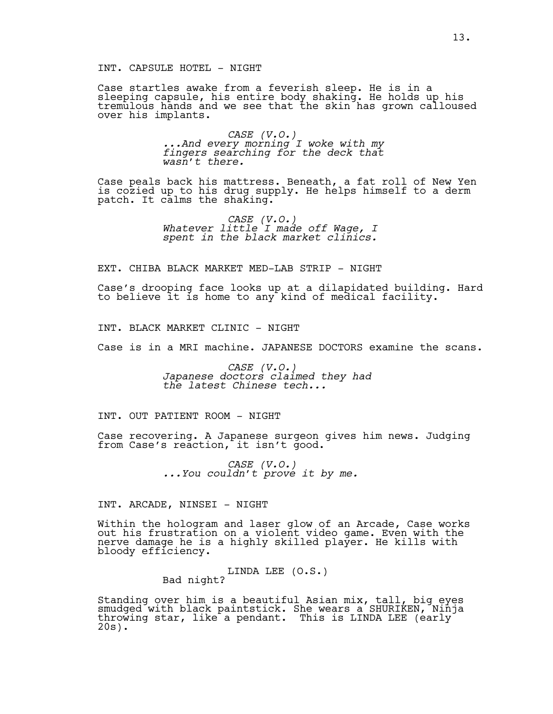# INT. CAPSULE HOTEL - NIGHT

Case startles awake from a feverish sleep. He is in a sleeping capsule, his entire body shaking. He holds up his tremulous hands and we see that the skin has grown calloused over his implants.

> *CASE (V.O.) ...And every morning I woke with my fingers searching for the deck that wasn't there.*

Case peals back his mattress. Beneath, a fat roll of New Yen is cozied up to his drug supply. He helps himself to a derm patch. It calms the shaking.

> *CASE (V.O.) Whatever little I made off Wage, I spent in the black market clinics.*

EXT. CHIBA BLACK MARKET MED-LAB STRIP - NIGHT

Case's drooping face looks up at a dilapidated building. Hard to believe it is home to any kind of medical facility.

INT. BLACK MARKET CLINIC - NIGHT

Case is in a MRI machine. JAPANESE DOCTORS examine the scans.

*CASE (V.O.) Japanese doctors claimed they had the latest Chinese tech...*

INT. OUT PATIENT ROOM - NIGHT

Case recovering. A Japanese surgeon gives him news. Judging from Case's reaction, it isn't good.

*CASE (V.O.) ...You couldn't prove it by me.*

INT. ARCADE, NINSEI - NIGHT

Within the hologram and laser glow of an Arcade, Case works out his frustration on a violent video game. Even with the nerve damage he is a highly skilled player. He kills with bloody efficiency.

LINDA LEE (O.S.)<br>Bad night?

Standing over him is a beautiful Asian mix, tall, big eyes smudged with black paintstick. She wears a SHURIKEN, Ninja throwing star, like a pendant. This is LINDA LEE (early 20s).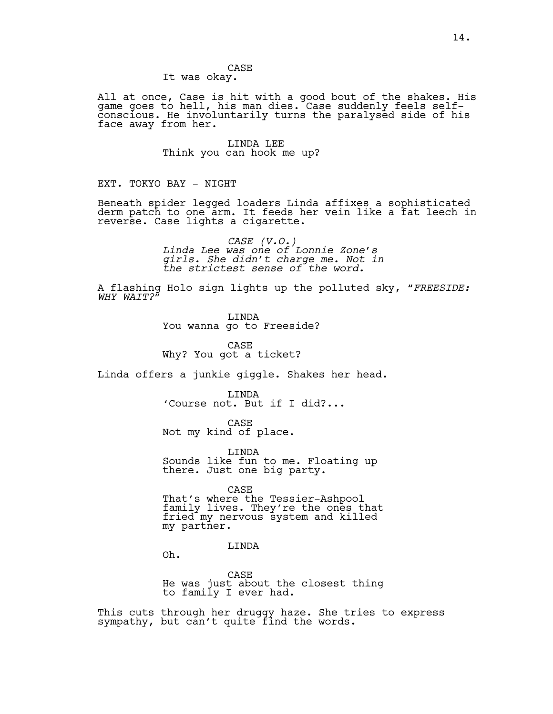# CASE

It was okay.

All at once, Case is hit with a good bout of the shakes. His game goes to hell, his man dies. Case suddenly feels selfconscious. He involuntarily turns the paralysed side of his face away from her.

> LINDA LEE Think you can hook me up?

EXT. TOKYO BAY - NIGHT

Beneath spider legged loaders Linda affixes a sophisticated derm patch to one arm. It feeds her vein like a fat leech in reverse. Case lights a cigarette.

> *CASE (V.O.) Linda Lee was one of Lonnie Zone's girls. She didn't charge me. Not in the strictest sense of the word.*

A flashing Holo sign lights up the polluted sky, "*FREESIDE: WHY WAIT?"*

> LINDA You wanna go to Freeside?

CASE Why? You got a ticket?

Linda offers a junkie giggle. Shakes her head.

LINDA 'Course not. But if I did?...

CASE Not my kind of place.

LINDA Sounds like fun to me. Floating up there. Just one big party.

CASE

That's where the Tessier-Ashpool family lives. They're the ones that fried my nervous system and killed my partner.

# LINDA

Oh.

CASE He was just about the closest thing to family I ever had.

This cuts through her druggy haze. She tries to express sympathy, but can't quite find the words.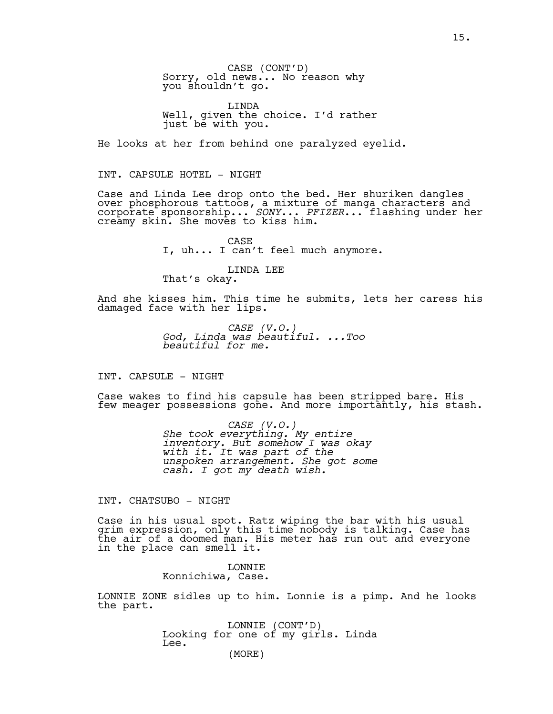CASE (CONT'D)<br>Sorry, old news... No reason why you shouldn't go.

LINDA Well, given the choice. I'd rather just be with you.

He looks at her from behind one paralyzed eyelid.

INT. CAPSULE HOTEL - NIGHT

Case and Linda Lee drop onto the bed. Her shuriken dangles over phosphorous tattoos, a mixture of manga characters and corporate sponsorship...*<sup>.</sup>SONY*... *PFIZER*... flashing under her<br>creamy skin. She moves to kiss him.

> CASE I, uh... I can't feel much anymore.

LINDA LEE That's okay.

And she kisses him. This time he submits, lets her caress his damaged face with her lips.

> *CASE (V.O.) God, Linda was beautiful. ...Too beautiful for me.*

INT. CAPSULE - NIGHT

Case wakes to find his capsule has been stripped bare. His few meager possessions gone. And more importantly, his stash.

> *CASE (V.O.) She took everything. My entire inventory. But somehow I was okay with it. It was part of the unspoken arrangement. She got some cash. I got my death wish.*

INT. CHATSUBO - NIGHT

Case in his usual spot. Ratz wiping the bar with his usual grim expression, only this time nobody is talking. Case has the air of a doomed man. His meter has run out and everyone in the place can smell it.

> LONNIE Konnichiwa, Case.

LONNIE ZONE sidles up to him. Lonnie is a pimp. And he looks the part.

> LONNIE (CONT'D)<br>Looking for one of my girls. Linda Lee.

(MORE)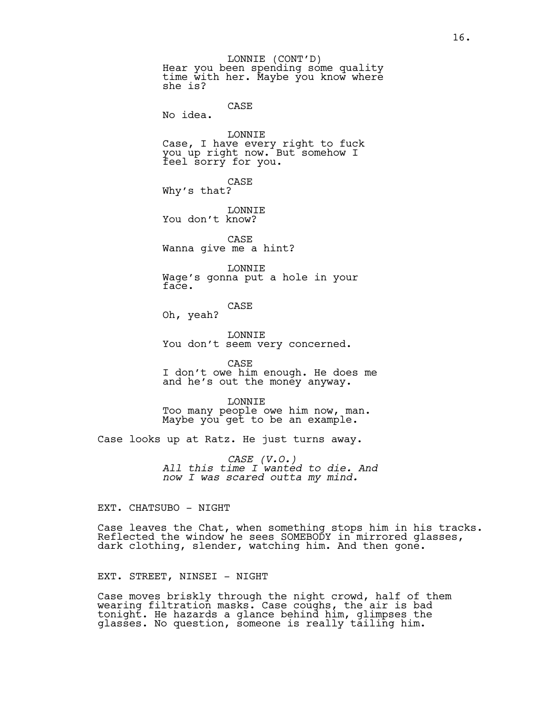Hear you been spending some quality time with her. Maybe you know where she is? LONNIE (CONT'D)

CASE No idea.

LONNIE Case, I have every right to fuck you up right now. But somehow I feel sorry for you.

CASE Why's that?

LONNIE You don't know?

CASE Wanna give me a hint?

LONNIE Wage's gonna put a hole in your face.

CASE

Oh, yeah?

LONNIE You don't seem very concerned.

CASE I don't owe him enough. He does me and he's out the money anyway.

LONNIE Too many people owe him now, man. Maybe you get to be an example.

Case looks up at Ratz. He just turns away.

*CASE (V.O.) All this time I wanted to die. And now I was scared outta my mind.*

EXT. CHATSUBO - NIGHT

Case leaves the Chat, when something stops him in his tracks. Reflected the window he sees SOMEBODY in mirrored glasses, dark clothing, slender, watching him. And then gone.

EXT. STREET, NINSEI - NIGHT

Case moves briskly through the night crowd, half of them wearing filtration masks. Case coughs, the air is bad tonight. He hazards a glance behind him, glimpses the glasses. No question, someone is really tailing him.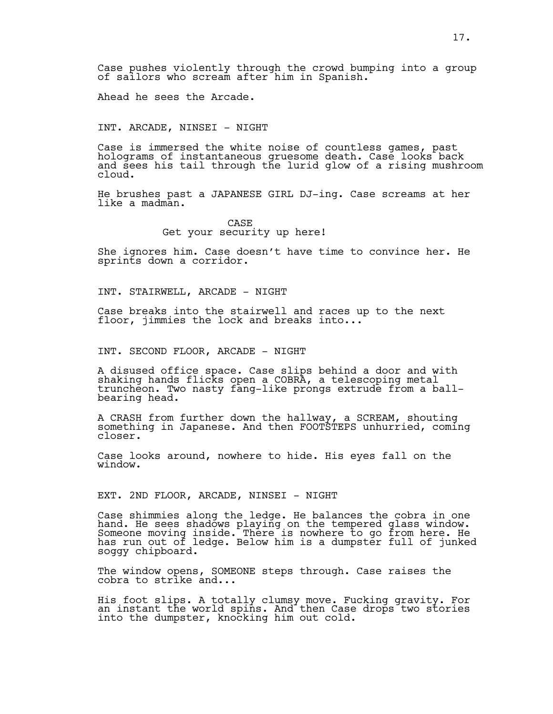Case pushes violently through the crowd bumping into a group of sailors who scream after him in Spanish.

Ahead he sees the Arcade.

INT. ARCADE, NINSEI - NIGHT

Case is immersed the white noise of countless games, past holograms of instantaneous gruesome death. Case looks back and sees his tail through the lurid glow of a rising mushroom cloud.

He brushes past a JAPANESE GIRL DJ-ing. Case screams at her like a madman.

> CASE Get your security up here!

She ignores him. Case doesn't have time to convince her. He sprints down a corridor.

INT. STAIRWELL, ARCADE - NIGHT

Case breaks into the stairwell and races up to the next floor, jimmies the lock and breaks into...

INT. SECOND FLOOR, ARCADE - NIGHT

A disused office space. Case slips behind a door and with shaking hands flicks open a COBRA, a telescoping metal truncheon. Two nasty fang-like prongs extrude from a ballbearing head.

A CRASH from further down the hallway, a SCREAM, shouting something in Japanese. And then FOOTSTEPS unhurried, coming closer.

Case looks around, nowhere to hide. His eyes fall on the window.

EXT. 2ND FLOOR, ARCADE, NINSEI - NIGHT

Case shimmies along the ledge. He balances the cobra in one hand. He sees shadows playing on the tempered glass window. Someone moving inside. There is nowhere to go from here. He has run out of ledge. Below him is a dumpster full of junked soggy chipboard.

The window opens, SOMEONE steps through. Case raises the cobra to strike and...

His foot slips. A totally clumsy move. Fucking gravity. For an instant the world spins. And then Case drops two stories into the dumpster, knocking him out cold.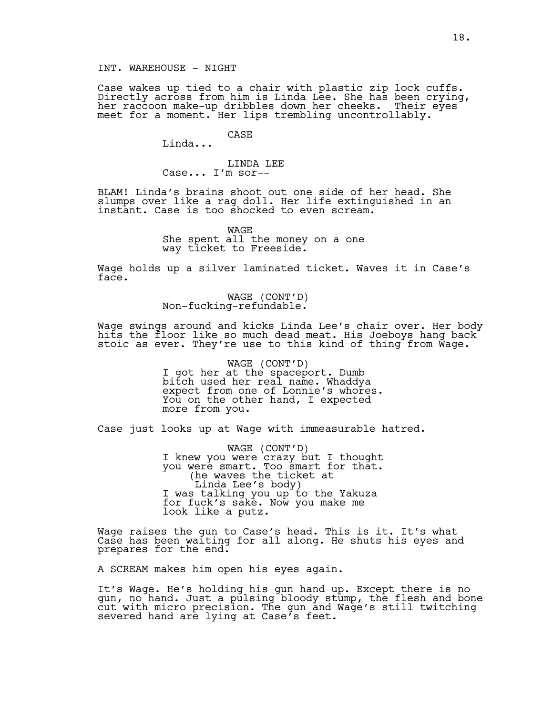INT. WAREHOUSE - NIGHT

Case wakes up tied to a chair with plastic zip lock cuffs. Directly across from him is Linda Lee. She has been crying, her raccoon make-up dribbles down her cheeks. Their eyes meet for a moment. Her lips trembling uncontrollably.

> CASE Linda...

LINDA LEE Case... I'm sor--

BLAM! Linda's brains shoot out one side of her head. She slumps over like a rag doll. Her life extinguished in an instant. Case is too shocked to even scream.

> WAGE She spent all the money on a one way ticket to Freeside.

Wage holds up a silver laminated ticket. Waves it in Case's face.

WAGE (CONT'D) Non-fucking-refundable.

Wage swings around and kicks Linda Lee's chair over. Her body hits the floor like so much dead meat. His Joeboys hang back stoic as ever. They're use to this kind of thing from Wage.

> WAGE (CONT'D)<br>I got her at the spaceport. Dumb bitch used her real name. Whaddya expect from one of Lonnie's whores. You on the other hand, I expected more from you.

Case just looks up at Wage with immeasurable hatred.

WAGE (CONT'D) I knew you were crazy but I thought you were smart. Too smart for that.<br>(he waves the ticket at Linda Lee's body) I was talking you up to the Yakuza I was talking you up to the Yakuza<br>for fuck's sake. Now you make me look like a putz.

Wage raises the gun to Case's head. This is it. It's what Case has been waiting for all along. He shuts his eyes and prepares for the end.

A SCREAM makes him open his eyes again.

It's Wage. He's holding his gun hand up. Except there is no gun, no hand. Just a pulsing bloody stump, the flesh and bone cut with micro precision. The gun and Wage's still twitching severed hand are lying at Case's feet.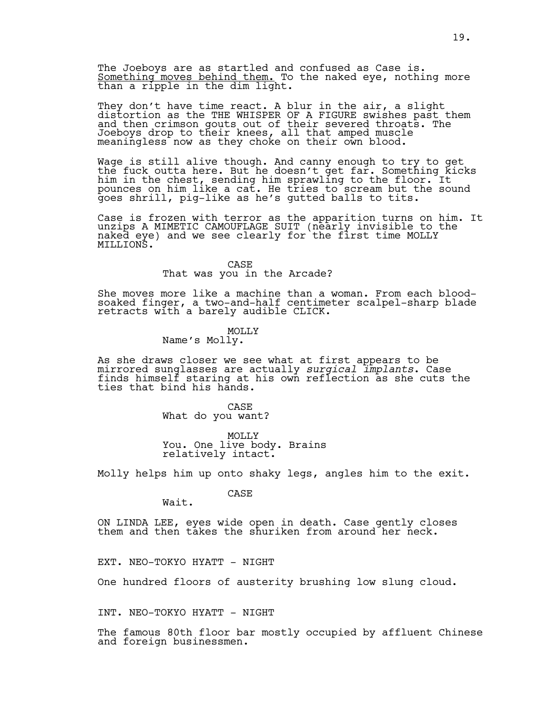The Joeboys are as startled and confused as Case is. Something moves behind them. To the naked eye, nothing more<br>than a ripple in the dim light.

They don't have time react. A blur in the air, a slight distortion as the THE WHISPER OF A FIGURE swishes past them and then crimson gouts out of their severed throats. The Joeboys drop to their knees, all that amped muscle meaningless now as they choke on their own blood.

Wage is still alive though. And canny enough to try to get the fuck outta here. But he doesn't get far. Something kicks him in the chest, sending him sprawling to the floor. It pounces on him like a cat. He tries to scream but the sound goes shrill, pig-like as he's gutted balls to tits.

Case is frozen with terror as the apparition turns on him. It unzips A MIMETIC CAMOUFLAGE SUIT (nearly invisible to the naked eye) and we see clearly for the first time MOLLY MILLIONS.

CASE

That was you in the Arcade?

She moves more like a machine than a woman. From each bloodsoaked finger, a two-and-half centimeter scalpel-sharp blade retracts with a barely audible CLICK.

# MOLLY

Name's Molly.

As she draws closer we see what at first appears to be mirrored sunglasses are actually *surgical implants*. Case finds himself staring at his own reflection as she cuts the ties that bind his hands.

> CASE What do you want?

MOLLY You. One live body. Brains relatively intact.

Molly helps him up onto shaky legs, angles him to the exit.

CASE

ON LINDA LEE, eyes wide open in death. Case gently closes them and then takes the shuriken from around her neck.

EXT. NEO-TOKYO HYATT - NIGHT

Wait.

One hundred floors of austerity brushing low slung cloud.

INT. NEO-TOKYO HYATT - NIGHT

The famous 80th floor bar mostly occupied by affluent Chinese and foreign businessmen.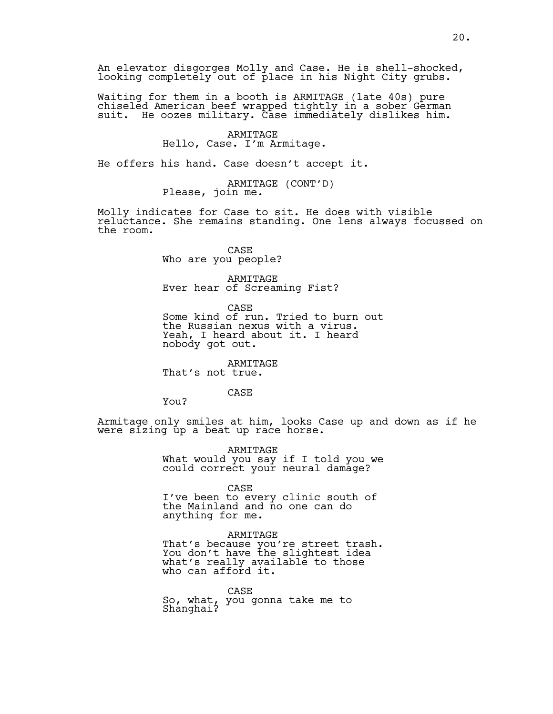An elevator disgorges Molly and Case. He is shell-shocked, looking completely out of place in his Night City grubs.

Waiting for them in a booth is ARMITAGE (late 40s) pure chiseled American beef wrapped tightly in a sober German suit. He oozes military. Case immediately dislikes him.

#### ARMITAGE Hello, Case. I'm Armitage.

He offers his hand. Case doesn't accept it.

ARMITAGE (CONT'D)<br>Please, join me.

Molly indicates for Case to sit. He does with visible reluctance. She remains standing. One lens always focussed on the room.

> CASE Who are you people?

ARMITAGE Ever hear of Screaming Fist?

CASE Some kind of run. Tried to burn out the Russian nexus with a virus. Yeah, I heard about it. I heard nobody got out.

ARMITAGE That's not true.

# CASE

You?

Armitage only smiles at him, looks Case up and down as if he were sizing up a beat up race horse.

> ARMITAGE What would you say if I told you we could correct your neural damage?

CASE I've been to every clinic south of the Mainland and no one can do anything for me.

ARMITAGE That's because you're street trash. You don't have the slightest idea what's really available to those who can afford it.

CASE So, what, you gonna take me to Shanghai?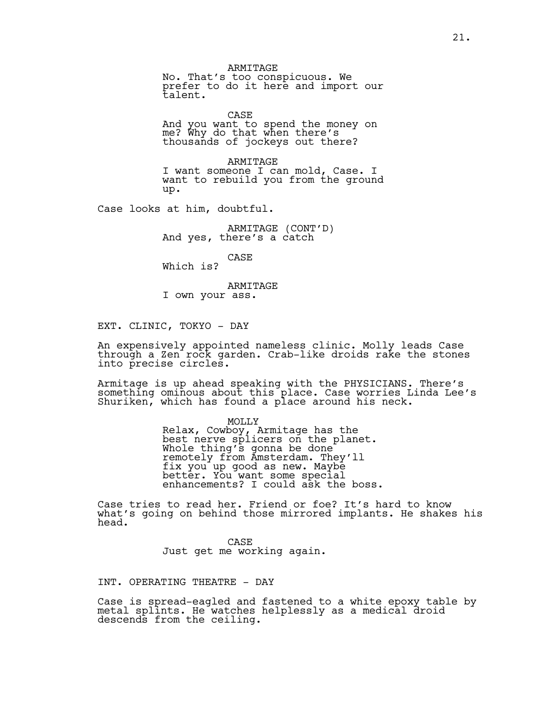ARMITAGE No. That's too conspicuous. We prefer to do it here and import our talent.

CASE And you want to spend the money on me? Why do that when there's thousands of jockeys out there?

ARMITAGE I want someone I can mold, Case. I want to rebuild you from the ground up.

Case looks at him, doubtful.

ARMITAGE (CONT'D)<br>And yes, there's a catch

CASE

Which is?

ARMITAGE I own your ass.

EXT. CLINIC, TOKYO - DAY

An expensively appointed nameless clinic. Molly leads Case through a Zen rock garden. Crab-like droids rake the stones into precise circles.

Armitage is up ahead speaking with the PHYSICIANS. There's something ominous about this place. Case worries Linda Lee's Shuriken, which has found a place around his neck.

> MOLLY Relax, Cowboy, Armitage has the best nerve splicers on the planet. Whole thing's gonna be done remotely from Amsterdam. They'll fix you up good as new. Maybe better. You want some special enhancements? I could ask the boss.

Case tries to read her. Friend or foe? It's hard to know what's going on behind those mirrored implants. He shakes his head.

> CASE Just get me working again.

# INT. OPERATING THEATRE - DAY

Case is spread-eagled and fastened to a white epoxy table by metal splints. He watches helplessly as a medical droid descends from the ceiling.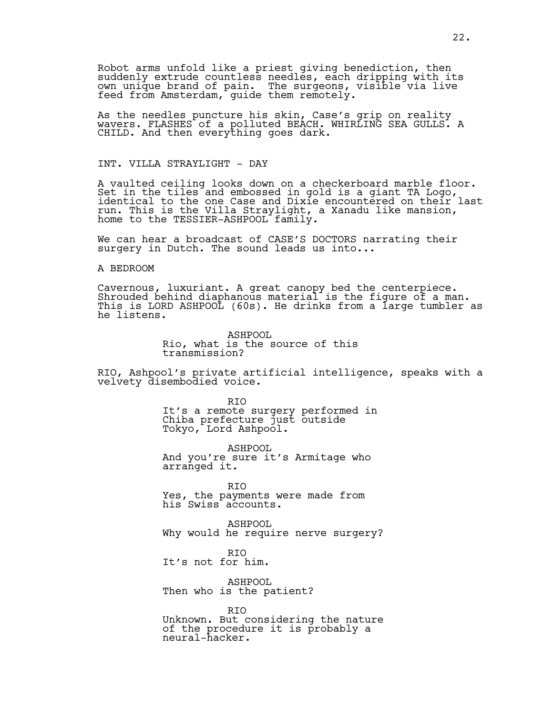Robot arms unfold like a priest giving benediction, then suddenly extrude countless needles, each dripping with its own unique brand of pain. The surgeons, visible via live feed from Amsterdam, guide them remotely.

As the needles puncture his skin, Case's grip on reality wavers. FLASHES of a polluted BEACH. WHIRLING SEA GULLS. A CHILD. And then everything goes dark.

### INT. VILLA STRAYLIGHT - DAY

A vaulted ceiling looks down on a checkerboard marble floor. Set in the tiles and embossed in gold is a giant TA Logo, identical to the one Case and Dixie encountered on their last run. This is the Villa Straylight, a Xanadu like mansion, home to the TESSIER-ASHPOOL family.

We can hear a broadcast of CASE'S DOCTORS narrating their surgery in Dutch. The sound leads us into...

#### A BEDROOM

Cavernous, luxuriant. A great canopy bed the centerpiece. Shrouded behind diaphanous material is the figure of a man. This is LORD ASHPOOL (60s). He drinks from a large tumbler as he listens.

> ASHPOOL Rio, what is the source of this transmission?

RIO, Ashpool's private artificial intelligence, speaks with a velvety disembodied voice.

> RIO It's a remote surgery performed in Chiba prefecture just outside Tokyo, Lord Ashpool.

ASHPOOL And you're sure it's Armitage who arranged it.

RIO Yes, the payments were made from his Swiss accounts.

ASHPOOL Why would he require nerve surgery?

RIO It's not for him.

ASHPOOL Then who is the patient?

RIO Unknown. But considering the nature of the procedure it is probably a neural-hacker.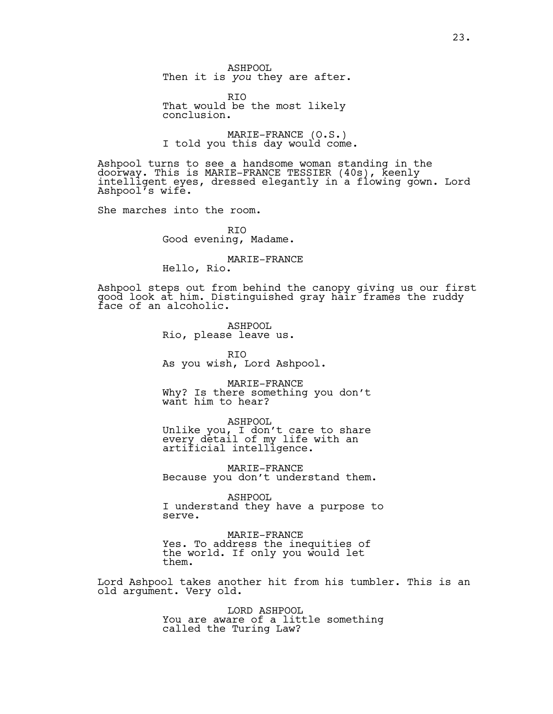ASHPOOL Then it is *you* they are after.

RIO That would be the most likely conclusion.

MARIE-FRANCE (O.S.)<br>I told you this day would come.

Ashpool turns to see a handsome woman standing in the doorway. This is MARIE-FRANCE TESSIER (40s), keenly intelligent eyes, dressed elegantly in`a flowing gown. Lord Ashpool's wife.

She marches into the room.

RIO Good evening, Madame.

MARIE-FRANCE

Hello, Rio.

Ashpool steps out from behind the canopy giving us our first good look at him. Distinguished gray hair frames the ruddy face of an alcoholic.

> ASHPOOL Rio, please leave us.

RIO As you wish, Lord Ashpool.

MARIE-FRANCE Why? Is there something you don't want him to hear?

ASHPOOL Unlike you, I don't care to share every detail of my life with an artificial intelligence.

MARIE-FRANCE Because you don't understand them.

ASHPOOL I understand they have a purpose to serve.

MARIE-FRANCE Yes. To address the inequities of the world. If only you would let them.

Lord Ashpool takes another hit from his tumbler. This is an old argument. Very old.

> LORD ASHPOOL You are aware of a little something called the Turing Law?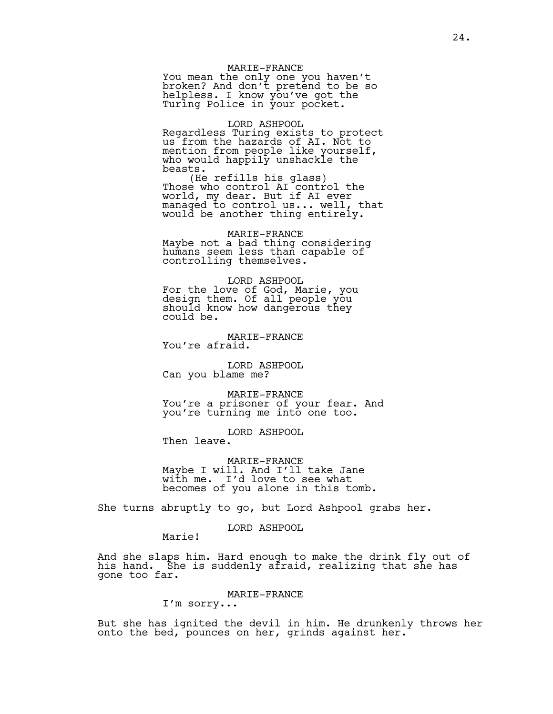#### MARIE-FRANCE

You mean the only one you haven't broken? And don't pretend to be so helpless. I know you've got the Turing Police in your pocket.

#### LORD ASHPOOL

Regardless Turing exists to protect us from the hazards of AI. Not to mention from people like yourself, who would happily unshackle the beasts.

(He refills his glass) Those who control AI control the world, my dear. But if AI ever managed to control us... well, that would be another thing entirely.

MARIE-FRANCE Maybe not a bad thing considering humans seem less than capable of controlling themselves.

LORD ASHPOOL For the love of God, Marie, you design them. Of all people you should know how dangerous they could be.

MARIE-FRANCE You're afraid.

LORD ASHPOOL Can you blame me?

MARIE-FRANCE You're a prisoner of your fear. And you're turning me into one too.

LORD ASHPOOL Then leave.

MARIE-FRANCE Maybe I will. And I'll take Jane with me. I'd love to see what becomes of you alone in this tomb.

She turns abruptly to go, but Lord Ashpool grabs her.

#### LORD ASHPOOL

Marie!

And she slaps him. Hard enough to make the drink fly out of his hand. She is suddenly afraid, realizing that she has gone too far.

MARIE-FRANCE

I'm sorry...

But she has ignited the devil in him. He drunkenly throws her onto the bed, pounces on her, grinds against her.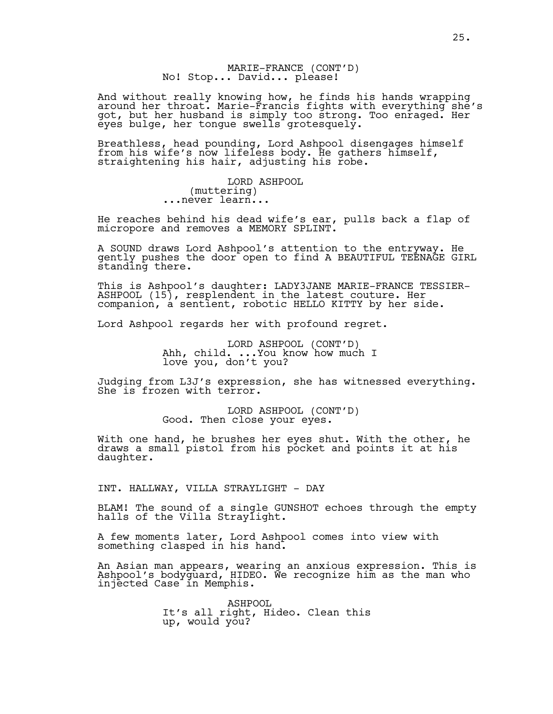# MARIE-FRANCE (CONT'D)<br>No! Stop... David... please!

And without really knowing how, he finds his hands wrapping around her throat. Marie-Francis fights with everything she's got, but her husband is simply too strong. Too enraged. Her eyes bulge, her tongue swells grotesquely.

Breathless, head pounding, Lord Ashpool disengages himself from his wife's now lifeless body. He gathers himself, straightening his hair, adjusting his robe.

> LORD ASHPOOL (muttering) ...never learn...

He reaches behind his dead wife's ear, pulls back a flap of micropore and removes a MEMORY SPLINT.

A SOUND draws Lord Ashpool's attention to the entryway. He gently pushes the door open to find A BEAUTIFUL TEENAGE GIRL standing there.

This is Ashpool's daughter: LADY3JANE MARIE-FRANCE TESSIER-ASHPOOL (15), resplendent in the latest couture. Her companion, a sentient, robotic HELLO KITTY by her side.

Lord Ashpool regards her with profound regret.

LORD ASHPOOL (CONT'D)<br>Ahh, child. ...You know how much I love you, don't you?

Judging from L3J's expression, she has witnessed everything. She is frozen with terror.

LORD ASHPOOL (CONT'D)<br>Good. Then close your eyes.

With one hand, he brushes her eyes shut. With the other, he draws a small pistol from his pocket and points it at his daughter.

INT. HALLWAY, VILLA STRAYLIGHT - DAY

BLAM! The sound of a single GUNSHOT echoes through the empty halls of the Villa Straylight.

A few moments later, Lord Ashpool comes into view with something clasped in his hand.

An Asian man appears, wearing an anxious expression. This is Ashpool's bodyguard, HIDEO. We recognize him as the man who injected Case in Memphis.

> ASHPOOL It's all right, Hideo. Clean this up, would you?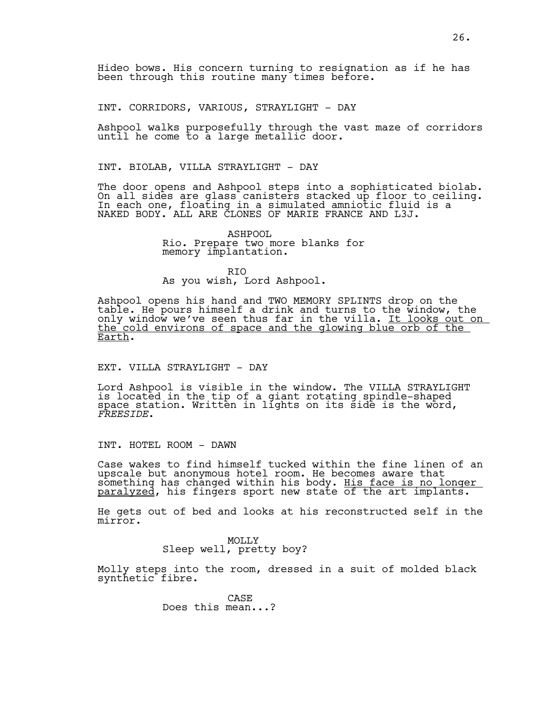Hideo bows. His concern turning to resignation as if he has been through this routine many times before.

INT. CORRIDORS, VARIOUS, STRAYLIGHT - DAY

Ashpool walks purposefully through the vast maze of corridors until he come to a large metallic door.

#### INT. BIOLAB, VILLA STRAYLIGHT - DAY

The door opens and Ashpool steps into a sophisticated biolab. On all sides are glass canisters stacked up floor to ceiling. In each one, floating in a simulated amniotic fluid is a NAKED BODY. ALL ARE CLONES OF MARIE FRANCE AND L3J.

> ASHPOOL Rio. Prepare two more blanks for memory implantation.

RIO As you wish, Lord Ashpool.

Ashpool opens his hand and TWO MEMORY SPLINTS drop on the table. He pours himself a drink and turns to the window, the only window we've seen thus far in the villa. <u>It looks out on</u> the cold environs of space and the glowing blue orb of the Earth.

## EXT. VILLA STRAYLIGHT - DAY

Lord Ashpool is visible in the window. The VILLA STRAYLIGHT is located in the tip of a giant rotating spindle-shaped space station. Written in lights on its side is the word, *FREESIDE*.

INT. HOTEL ROOM - DAWN

Case wakes to find himself tucked within the fine linen of an upscale but anonymous hotel room. He becomes aware that something has changed within his body. His face is no longer paralyzed, his fingers sport new state of the art implants.

He gets out of bed and looks at his reconstructed self in the mirror.

> MOLLY Sleep well, pretty boy?

Molly steps into the room, dressed in a suit of molded black synthetic fibre.

> CASE Does this mean...?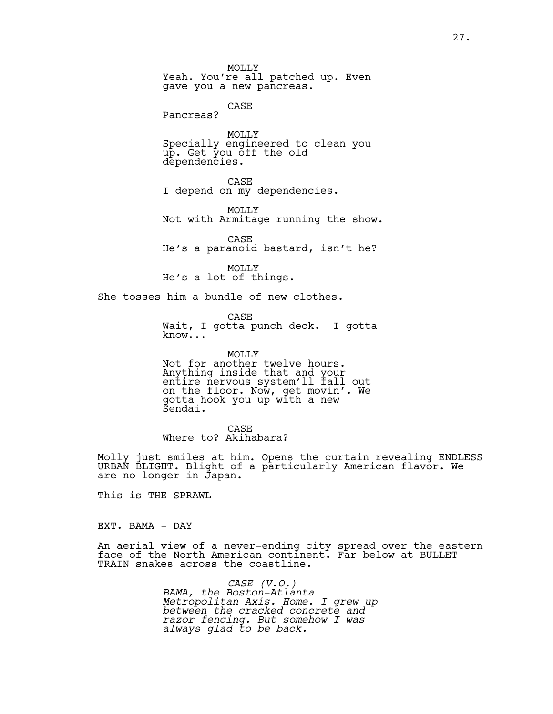MOLLY Yeah. You're all patched up. Even gave you a new pancreas. CASE Pancreas? MOLLY Specially engineered to clean you up. Get you off the old dependencies. CASE I depend on my dependencies. MOLLY Not with Armitage running the show. CASE He's a paranoid bastard, isn't he? MOLLY He's a lot of things. She tosses him a bundle of new clothes.

CASE Wait, I gotta punch deck. I gotta know...

MOLLY Not for another twelve hours. Anything inside that and your entire nervous system'll fall out on the floor. Now, get movin'. We gotta hook you up with a new Sendai.

CASE Where to? Akihabara?

Molly just smiles at him. Opens the curtain revealing ENDLESS URBAN BLIGHT. Blight of a particularly American flavor. We are no longer in Japan.

This is THE SPRAWL

EXT. BAMA - DAY

An aerial view of a never-ending city spread over the eastern face of the North American continent. Far below at BULLET TRAIN snakes across the coastline.

> *CASE (V.O.) BAMA, the Boston-Atlanta Metropolitan Axis. Home. I grew up between the cracked concrete and razor fencing. But somehow I was always glad to be back.*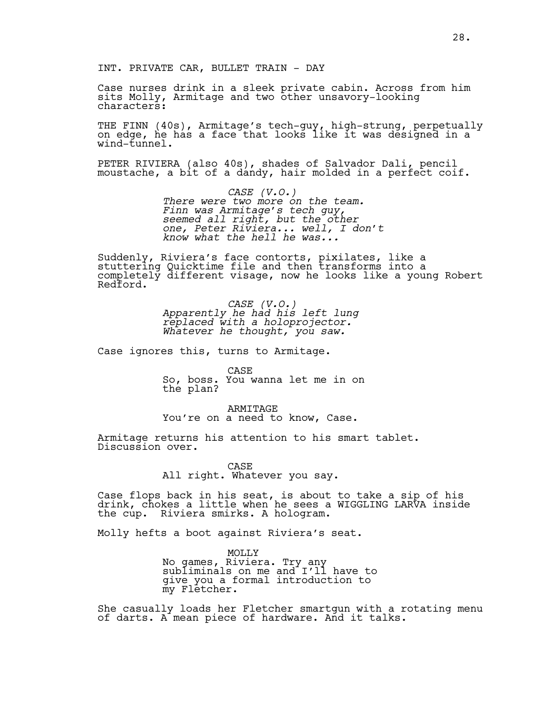Case nurses drink in a sleek private cabin. Across from him sits Molly, Armitage and two other unsavory-looking characters:

THE FINN (40s), Armitage's tech-guy, high-strung, perpetually on edge, he has a face that looks like it was designed in a wind-tunnel.

PETER RIVIERA (also 40s), shades of Salvador Dali, pencil moustache, a bit of a dandy, hair molded in a perfect coif.

> *CASE (V.O.) There were two more on the team. Finn was Armitage's tech guy, seemed all right, but the other one, Peter Riviera... well, I don't know what the hell he was...*

Suddenly, Riviera's face contorts, pixilates, like a stuttering Quicktime file and then transforms into a completely different visage, now he looks like a young Robert Redford.

> *CASE (V.O.) Apparently he had his left lung replaced with a holoprojector. Whatever he thought, you saw.*

Case ignores this, turns to Armitage.

CASE

So, boss. You wanna let me in on the plan?

ARMITAGE You're on a need to know, Case.

Armitage returns his attention to his smart tablet. Discussion over.

> CASE All right. Whatever you say.

Case flops back in his seat, is about to take a sip of his drink, chokes a little when he sees a WIGGLING LARVA inside the cup. Riviera smirks. A hologram.

Molly hefts a boot against Riviera's seat.

MOLLY No games, Riviera. Try any subliminals on me and I'll have to give you a formal introduction to my Fletcher.

She casually loads her Fletcher smartgun with a rotating menu of darts. A mean piece of hardware. And it talks.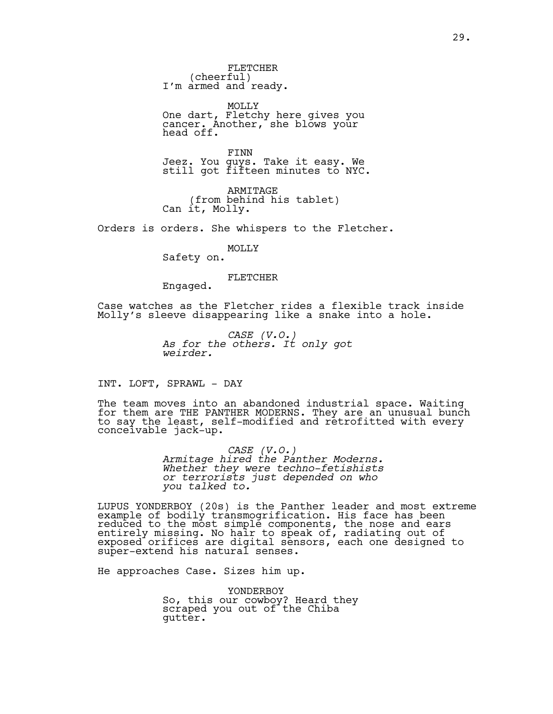FLETCHER<br>(cheerful) I'm armed and ready.

MOLLY One dart, Fletchy here gives you cancer. Another, she blows your head off.

FINN Jeez. You guys. Take it easy. We still got fifteen minutes to NYC.

ARMITAGE (from behind his tablet) Can it, Molly.

Orders is orders. She whispers to the Fletcher.

MOLLY

Safety on.

FLETCHER

Engaged.

Case watches as the Fletcher rides a flexible track inside Molly's sleeve disappearing like a snake into a hole.

> *CASE (V.O.) As for the others. It only got weirder.*

INT. LOFT, SPRAWL - DAY

The team moves into an abandoned industrial space. Waiting for them are THE PANTHER MODERNS. They are an unusual bunch to say the least, self-modified and retrofitted with every conceivable jack-up.

> *CASE (V.O.) Armitage hired the Panther Moderns. Whether they were techno-fetishists or terrorists just depended on who you talked to.*

LUPUS YONDERBOY (20s) is the Panther leader and most extreme example of bodily transmogrification. His face has been reduced to the most simple components, the nose and ears entirely missing. No hair to speak of, radiating out of exposed orifices are digital sensors, each one designed to super-extend his natural senses.

He approaches Case. Sizes him up.

YONDERBOY So, this our cowboy? Heard they scraped you out of the Chiba gutter.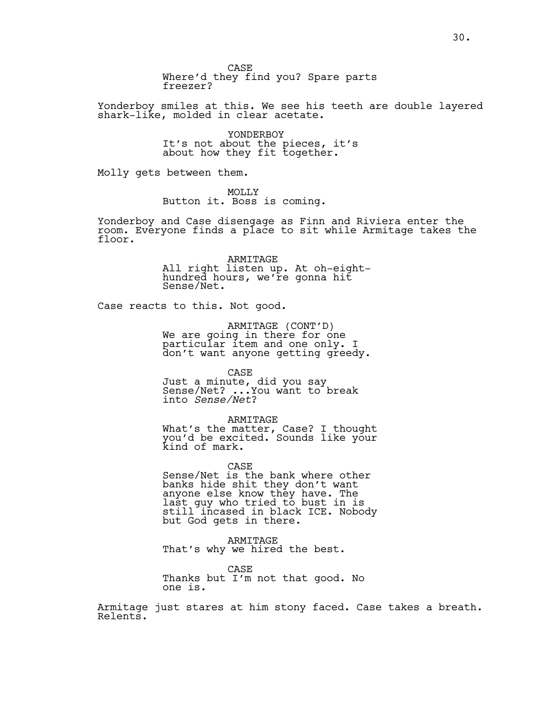CASE Where'd they find you? Spare parts freezer?

Yonderboy smiles at this. We see his teeth are double layered shark-like, molded in clear acetate.

> YONDERBOY It's not about the pieces, it's about how they fit together.

Molly gets between them.

MOLLY

Button it. Boss is coming.

Yonderboy and Case disengage as Finn and Riviera enter the room. Everyone finds a place to sit while Armitage takes the floor.

> ARMITAGE All right listen up. At oh-eighthundred hours, we're gonna hit Sense/Net.

Case reacts to this. Not good.

ARMITAGE (CONT'D)<br>We are going in there for one particular item and one only. I don't want anyone getting greedy.

CASE

Just a minute, did you say Sense/Net? ...You want to break into *Sense/Net*?

ARMITAGE

What's the matter, Case? I thought you'd be excited. Sounds like your kind of mark.

CASE Sense/Net is the bank where other banks hide shit they don't want anyone else know they have. The last guy who tried to bust in is still incased in black ICE. Nobody but God gets in there.

ARMITAGE That's why we hired the best.

CASE Thanks but I'm not that good. No one is.

Armitage just stares at him stony faced. Case takes a breath. Relents.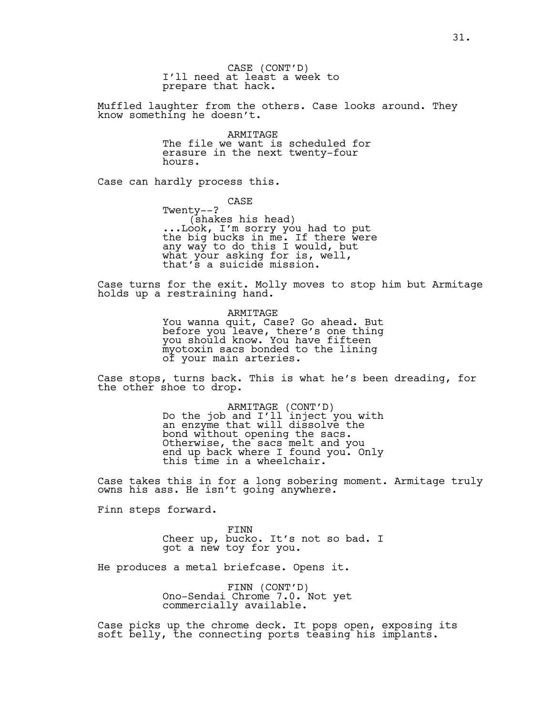CASE (CONT'D) I'll need at least a week to prepare that hack.

Muffled laughter from the others. Case looks around. They know something he doesn't.

> ARMITAGE The file we want is scheduled for erasure in the next twenty-four hours.

Case can hardly process this.

CASE Twenty--? (shakes his head) ...Look, I'm sorry you had to put the big bucks in me. If there were any way to do this I would, but what your asking for is, well, that's a suicide mission.

Case turns for the exit. Molly moves to stop him but Armitage holds up a restraining hand.

> ARMITAGE You wanna quit, Case? Go ahead. But before you leave, there's one thing you should know. You have fifteen myotoxin sacs bonded to the lining of your main arteries.

Case stops, turns back. This is what he's been dreading, for the other shoe to drop.

> ARMITAGE (CONT'D)<br>Do the job and I'll inject you with an enzyme that will dissolve the bond without opening the sacs. Otherwise, the sacs melt and you end up back where I found you. Only this time in a wheelchair.

Case takes this in for a long sobering moment. Armitage truly owns his ass. He isn't going anywhere.

Finn steps forward.

FINN Cheer up, bucko. It's not so bad. I got a new toy for you.

He produces a metal briefcase. Opens it.

FINN (CONT'D) Ono-Sendai Chrome 7.0. Not yet commercially available.

Case picks up the chrome deck. It pops open, exposing its soft belly, the connecting ports teasing his implants.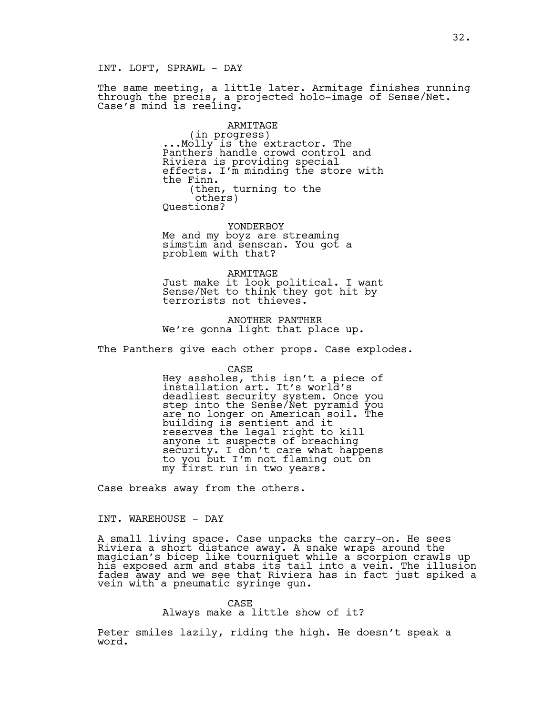INT. LOFT, SPRAWL - DAY

The same meeting, a little later. Armitage finishes running through the precis, a projected holo-image of Sense/Net. Case's mind is reeling.

> ARMITAGE<br>(in progress) (in progress) ...Molly is the extractor. The Panthers handle crowd control and Riviera is providing special effects. I'm minding the store with the Finn. (then, turning to the others) Questions?

YONDERBOY Me and my boyz are streaming simstim and senscan. You got a problem with that?

ARMITAGE Just make it look political. I want Sense/Net to think they got hit by terrorists not thieves.

ANOTHER PANTHER We're gonna light that place up.

The Panthers give each other props. Case explodes.

CASE

Hey assholes, this isn't a piece of installation art. It's world's deadliest security system. Once you step into the Sense/Net pyramid you are no longer on American soil. The building is sentient and it reserves the legal right to kill anyone it suspects of breaching security. I don't care what happens to you but I'm not flaming out on my first run in two years.

Case breaks away from the others.

INT. WAREHOUSE - DAY

A small living space. Case unpacks the carry-on. He sees Riviera a short distance away. A snake wraps around the magician's bicep like tourniquet while a scorpion crawls up his exposed arm and stabs its tail into a vein. The illusion fades away and we see that Riviera has in fact just spiked a vein with a pneumatic syringe gun.

> CASE Always make a little show of it?

Peter smiles lazily, riding the high. He doesn't speak a word.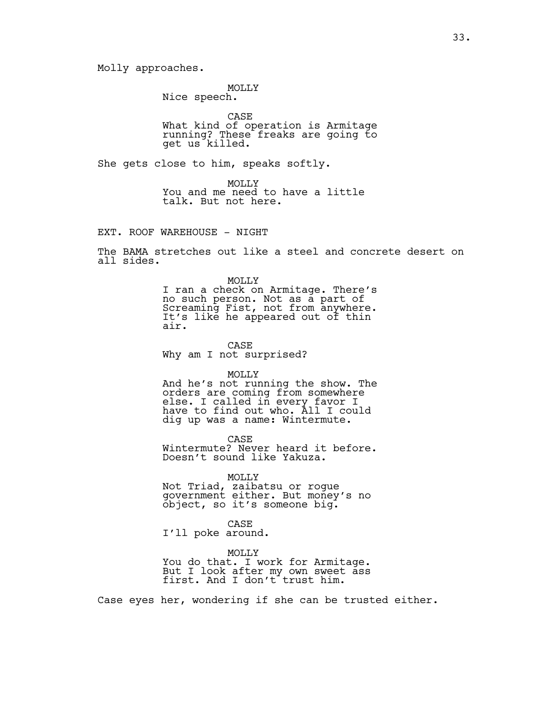Molly approaches.

MOLLY Nice speech.

CASE

What kind of operation is Armitage running? These freaks are going to get us killed.

She gets close to him, speaks softly.

MOLLY You and me need to have a little talk. But not here.

EXT. ROOF WAREHOUSE - NIGHT

The BAMA stretches out like a steel and concrete desert on all sides.

> MOLLY I ran a check on Armitage. There's no such person. Not as a part of Screaming Fist, not from anywhere. It's like he appeared out of thin air.

CASE Why am I not surprised?

MOLLY

And he's not running the show. The orders are coming from somewhere else. I called in every favor I have to find out who. All I could dig up was a name: Wintermute.

CASE

Wintermute? Never heard it before. Doesn't sound like Yakuza.

MOLLY

Not Triad, zaibatsu or rogue government either. But money's no object, so it's someone big.

CASE I'll poke around.

MOLLY You do that. I work for Armitage. But I look after my own sweet ass first. And I don't trust him.

Case eyes her, wondering if she can be trusted either.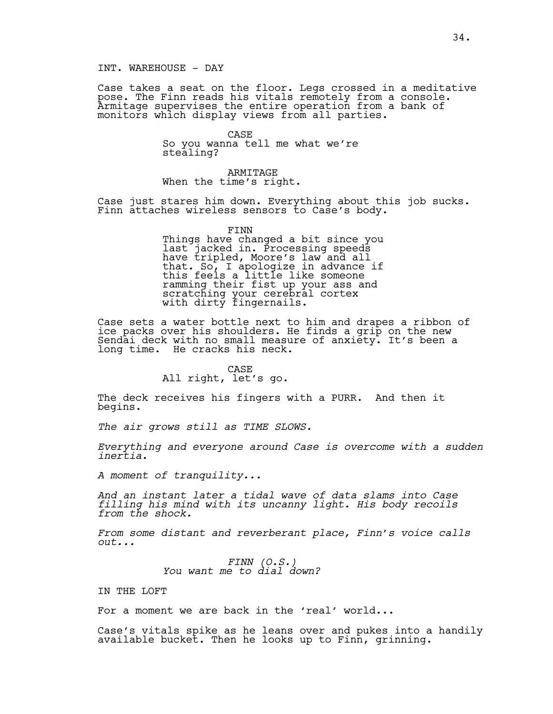Case takes a seat on the floor. Legs crossed in a meditative pose. The Finn reads his vitals remotely from a console. Armitage supervises the entire operation from a bank of monitors which display views from all parties.

> CASE So you wanna tell me what we're stealing?

ARMITAGE When the time's right.

Case just stares him down. Everything about this job sucks. Finn attaches wireless sensors to Case's body.

> FINN Things have changed a bit since you last jacked in. Processing speeds have tripled, Moore's law and all that. So, I apologize in advance if this feels a little like someone ramming their fist up your ass and scratching your cerebral cortex with dirty fingernails.

Case sets a water bottle next to him and drapes a ribbon of ice packs over his shoulders. He finds a grip on the new Sendai deck with no small measure of anxiety. It's been a long time. He cracks his neck.

#### CASE All right, let's go.

The deck receives his fingers with a PURR. And then it begins.

*The air grows still as TIME SLOWS.* 

*Everything and everyone around Case is overcome with a sudden inertia.*

*A moment of tranquility...*

*And an instant later a tidal wave of data slams into Case filling his mind with its uncanny light. His body recoils from the shock.*

*From some distant and reverberant place, Finn's voice calls out...*

*FINN (O.S.) You want me to dial down?*

IN THE LOFT

For a moment we are back in the 'real' world...

Case's vitals spike as he leans over and pukes into a handily available bucket. Then he looks up to Finn, grinning.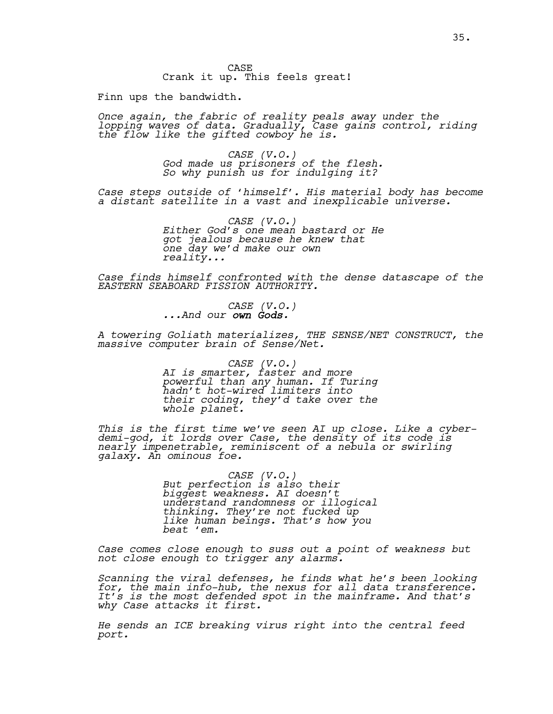CASE Crank it up. This feels great!

Finn ups the bandwidth.

*Once again, the fabric of reality peals away under the lopping waves of data. Gradually, Case gains control, riding the flow like the gifted cowboy he is.*

> *CASE (V.O.) God made us prisoners of the flesh. So why punish us for indulging it?*

*Case steps outside of 'himself'. His material body has become a distant satellite in a vast and inexplicable universe.*

> *CASE (V.O.) Either God's one mean bastard or He got jealous because he knew that one day we'd make our own reality...*

*Case finds himself confronted with the dense datascape of the EASTERN SEABOARD FISSION AUTHORITY.*

*CASE (V.O.) ...And our own Gods.*

*A towering Goliath materializes, THE SENSE/NET CONSTRUCT, the massive computer brain of Sense/Net.* 

> *CASE (V.O.) AI is smarter, faster and more powerful than any human. If Turing hadn't hot-wired limiters into their coding, they'd take over the whole planet.*

*This is the first time we've seen AI up close. Like a cyberdemi-god, it lords over Case, the density of its code is nearly impenetrable, reminiscent of a nebula or swirling galaxy. An ominous foe.*

> *CASE (V.O.) But perfection is also their biggest weakness. AI doesn't understand randomness or illogical thinking. They're not fucked up like human beings. That's how you beat 'em.*

*Case comes close enough to suss out a point of weakness but not close enough to trigger any alarms.* 

*Scanning the viral defenses, he finds what he's been looking for, the main info-hub, the nexus for all data transference. It's is the most defended spot in the mainframe. And that's why Case attacks it first.*

*He sends an ICE breaking virus right into the central feed port.*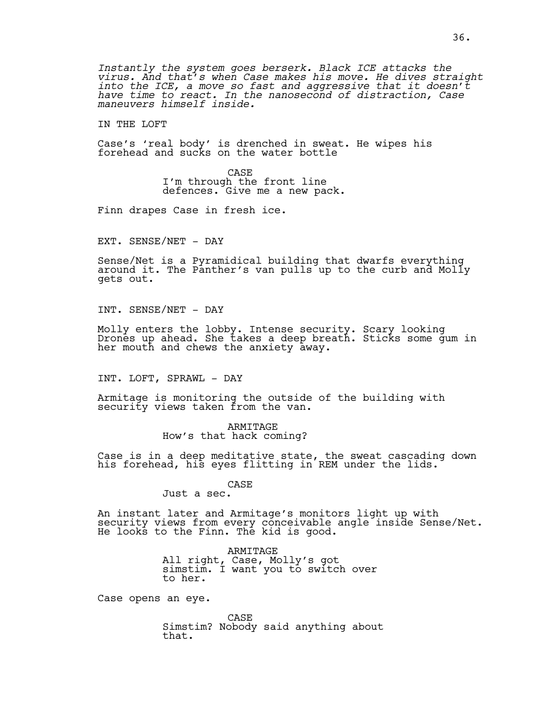*Instantly the system goes berserk. Black ICE attacks the virus. And that's when Case makes his move. He dives straight into the ICE, a move so fast and aggressive that it doesn't have time to react. In the nanosecond of distraction, Case maneuvers himself inside.* 

IN THE LOFT

Case's 'real body' is drenched in sweat. He wipes his forehead and sucks on the water bottle

> CASE I'm through the front line defences. Give me a new pack.

Finn drapes Case in fresh ice.

EXT. SENSE/NET - DAY

Sense/Net is a Pyramidical building that dwarfs everything around it. The Panther's van pulls up to the curb and Molly gets out.

INT. SENSE/NET - DAY

Molly enters the lobby. Intense security. Scary looking Drones up ahead. She takes a deep breath. Sticks some gum in her mouth and chews the anxiety away.

INT. LOFT, SPRAWL - DAY

Armitage is monitoring the outside of the building with security views taken from the van.

> ARMITAGE How's that hack coming?

Case is in a deep meditative state, the sweat cascading down his forehead, his eyes flitting in REM under the lids.

CASE

Just a sec.

An instant later and Armitage's monitors light up with security views from every conceivable angle inside Sense/Net. He looks to the Finn. The kid is good.

> ARMITAGE All right, Case, Molly's got simstim. I want you to switch over to her.

Case opens an eye.

CASE Simstim? Nobody said anything about that.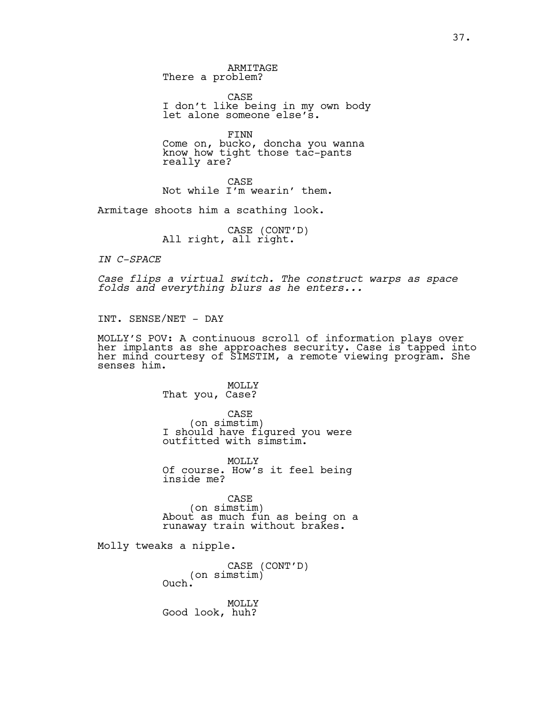ARMITAGE There a problem?

CASE I don't like being in my own body let alone someone else's.

FINN Come on, bucko, doncha you wanna know how tight those tac-pants really are?

CASE Not while I'm wearin' them.

Armitage shoots him a scathing look.

CASE (CONT'D)<br>All right, all right.

*IN C-SPACE*

*Case flips a virtual switch. The construct warps as space folds and everything blurs as he enters...*

INT. SENSE/NET - DAY

MOLLY'S POV: A continuous scroll of information plays over her implants as she approaches security. Case is tapped into her mind courtesy of SIMSTIM, a remote viewing program. She senses him.

> MOLLY That you, Case?

CASE (on simstim) I should have figured you were outfitted with simstim.

MOLLY Of course. How's it feel being inside me?

CASE<br>(on simstim) About as much fun as being on a runaway train without brakes.

Molly tweaks a nipple.

CASE (CONT'D)<br>(on simstim)<br>Ouch.

MOLLY Good look, huh?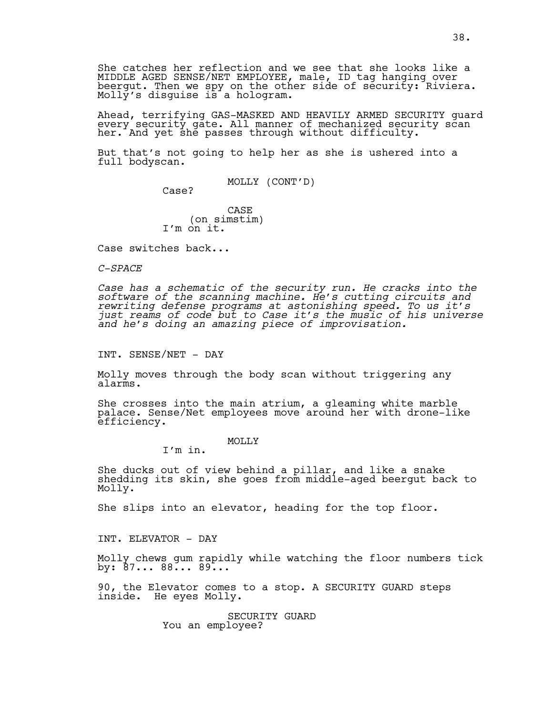She catches her reflection and we see that she looks like a MIDDLE AGED SENSE/NET EMPLOYEE, male, ID tag hanging over beergut. Then we spy on the other side of security: Riviera. Molly's disguise is a hologram.

Ahead, terrifying GAS-MASKED AND HEAVILY ARMED SECURITY guard every security gate. All manner of mechanized security scan her. And yet she passes through without difficulty.

But that's not going to help her as she is ushered into a full bodyscan.

MOLLY (CONT'D)

Case?

CASE (on simstim) I'm on it.

Case switches back...

*C-SPACE*

*Case has a schematic of the security run. He cracks into the software of the scanning machine. He's cutting circuits and rewriting defense programs at astonishing speed. To us it's just reams of code but to Case it's the music of his universe and he's doing an amazing piece of improvisation.*

INT. SENSE/NET - DAY

Molly moves through the body scan without triggering any alarms.

She crosses into the main atrium, a gleaming white marble palace. Sense/Net employees move around her with drone-like efficiency.

MOLLY<sub>N</sub>

I'm in.

She ducks out of view behind a pillar, and like a snake shedding its skin, she goes from middle-aged beergut back to Molly.

She slips into an elevator, heading for the top floor.

INT. ELEVATOR - DAY

Molly chews gum rapidly while watching the floor numbers tick by: 87... 88... 89...

90, the Elevator comes to a stop. A SECURITY GUARD steps inside. He eyes Molly.

> SECURITY GUARD You an employee?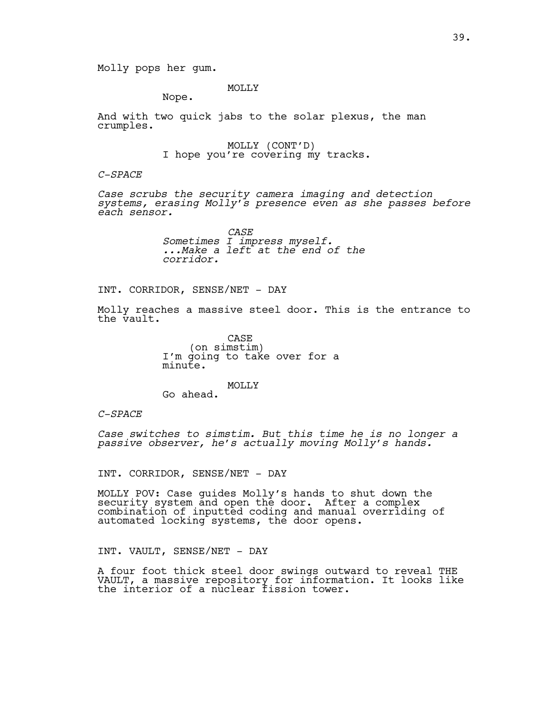MOLLY

Nope.

And with two quick jabs to the solar plexus, the man crumples.

MOLLY (CONT'D)<br>I hope you're covering my tracks.

#### *C-SPACE*

*Case scrubs the security camera imaging and detection systems, erasing Molly's presence even as she passes before each sensor.*

> *CASE Sometimes I impress myself. ...Make a left at the end of the corridor.*

# INT. CORRIDOR, SENSE/NET - DAY

Molly reaches a massive steel door. This is the entrance to the vault.

> CASE<br>(on simstim) I'm going to take over for a minute.

MOLLY Go ahead.

*C-SPACE*

*Case switches to simstim. But this time he is no longer a passive observer, he's actually moving Molly's hands.*

INT. CORRIDOR, SENSE/NET - DAY

MOLLY POV: Case guides Molly's hands to shut down the security system and open the door. After a complex combination of inputted coding and manual overriding of automated locking systems, the door opens.

INT. VAULT, SENSE/NET - DAY

A four foot thick steel door swings outward to reveal THE VAULT, a massive repository for information. It looks like the interior of a nuclear fission tower.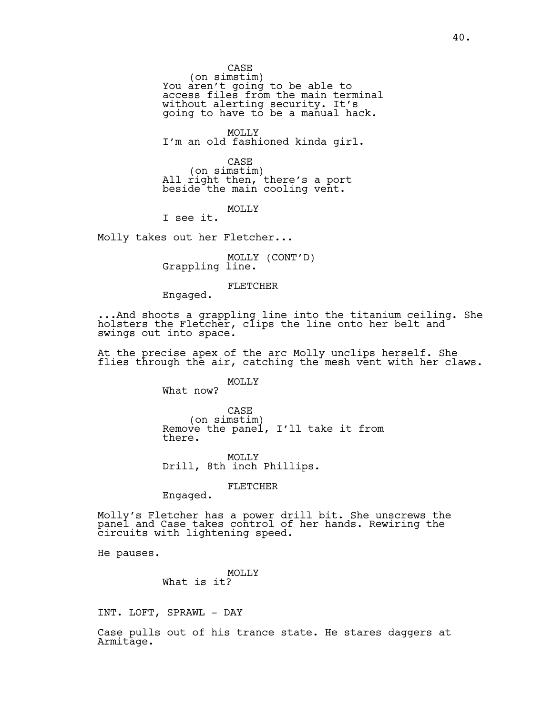CASE<br>(on simstim) (on simstim) You aren't going to be able to access files from the main terminal without alerting security. It's going to have to be a manual hack.

MOLLY I'm an old fashioned kinda girl.

CASE<br>(on simstim) (on simstim) All right then, there's a port beside the main cooling vent.

MOLLY

I see it.

Molly takes out her Fletcher...

MOLLY (CONT'D)<br>Grappling line.

FLETCHER

Engaged.

...And shoots a grappling line into the titanium ceiling. She holsters the Fletcher, clips the line onto her belt and swings out into space.

At the precise apex of the arc Molly unclips herself. She flies through the air, catching the mesh vent with her claws.

#### MOLLY

What now?

CASE<br>(on simstim) Remove the panel, I'll take it from there.

MOLLY Drill, 8th inch Phillips.

FLETCHER

Engaged.

Molly's Fletcher has a power drill bit. She unscrews the panel and Case takes control of her hands. Rewiring the circuits with lightening speed.

He pauses.

MOLLY What is it?

INT. LOFT, SPRAWL - DAY

Case pulls out of his trance state. He stares daggers at Armitage.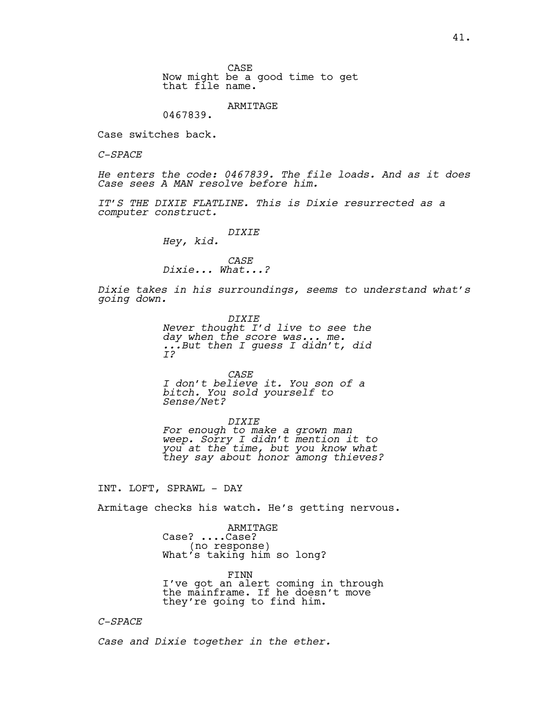CASE Now might be a good time to get that file name.

ARMITAGE

0467839.

Case switches back.

*C-SPACE*

*He enters the code: 0467839. The file loads. And as it does Case sees A MAN resolve before him.* 

*IT'S THE DIXIE FLATLINE. This is Dixie resurrected as a computer construct.*

*DIXIE*

*Hey, kid.*

#### *CASE Dixie... What...?*

*Dixie takes in his surroundings, seems to understand what's going down.*

> *DIXIE Never thought I'd live to see the day when the score was... me. ...But then I guess I didn't, did I?*

*CASE I don't believe it. You son of a bitch. You sold yourself to Sense/Net?*

*DIXIE*

*For enough to make a grown man weep. Sorry I didn't mention it to you at the time, but you know what they say about honor among thieves?* 

INT. LOFT, SPRAWL - DAY

Armitage checks his watch. He's getting nervous.

ARMITAGE Case? ....Case? (no response) What's taking him so long?

FINN I've got an alert coming in through the mainframe. If he doesn't move they're going to find him.

#### *C-SPACE*

*Case and Dixie together in the ether.*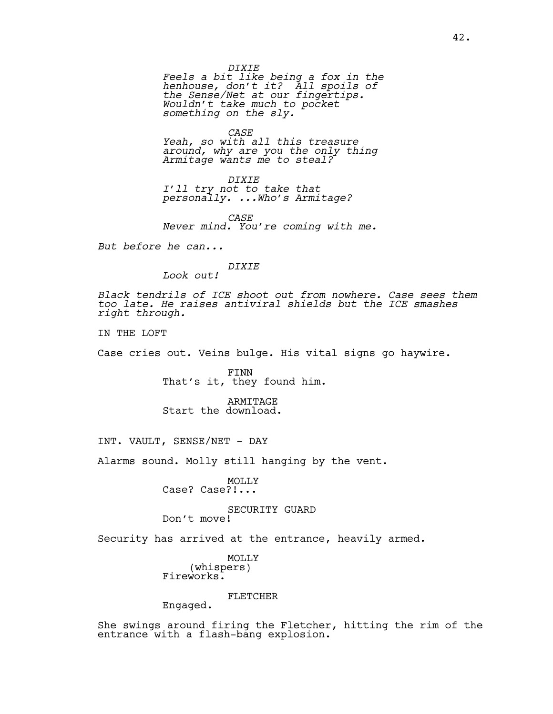*DIXIE*

*Feels a bit like being a fox in the henhouse, don't it? All spoils of the Sense/Net at our fingertips. Wouldn't take much to pocket something on the sly.* 

*CASE*

*Yeah, so with all this treasure around, why are you the only thing Armitage wants me to steal?*

*DIXIE I'll try not to take that personally. ...Who's Armitage?*

*CASE Never mind. You're coming with me.*

*But before he can...*

# *DIXIE*

*Look out!*

*Black tendrils of ICE shoot out from nowhere. Case sees them too late. He raises antiviral shields but the ICE smashes right through.* 

IN THE LOFT

Case cries out. Veins bulge. His vital signs go haywire.

FINN That's it, they found him.

ARMITAGE Start the download.

INT. VAULT, SENSE/NET - DAY

Alarms sound. Molly still hanging by the vent.

MOLLY Case? Case?!...

SECURITY GUARD Don't move!

Security has arrived at the entrance, heavily armed.

MOLLY (whispers) Fireworks.

FLETCHER

Engaged.

She swings around firing the Fletcher, hitting the rim of the entrance with a flash-bang explosion.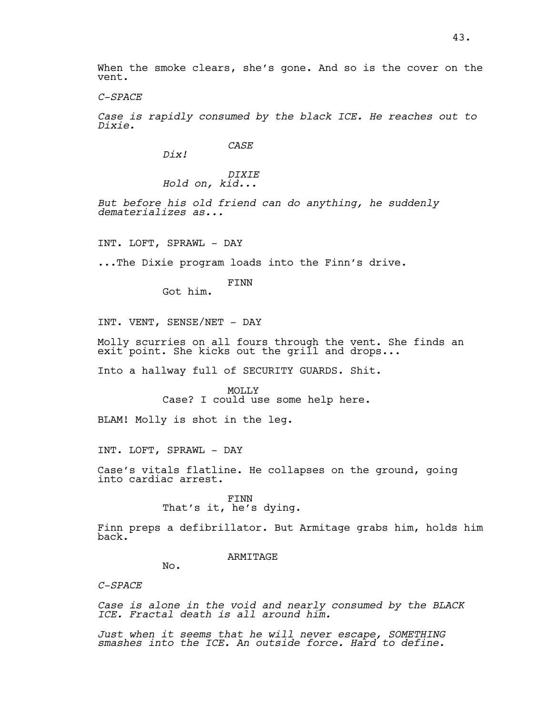When the smoke clears, she's gone. And so is the cover on the vent.

*C-SPACE*

*Case is rapidly consumed by the black ICE. He reaches out to Dixie.*

*CASE*

*Dix!*

*DIXIE Hold on, kid...*

*But before his old friend can do anything, he suddenly dematerializes as...*

INT. LOFT, SPRAWL - DAY

...The Dixie program loads into the Finn's drive.

FINN Got him.

INT. VENT, SENSE/NET - DAY

Molly scurries on all fours through the vent. She finds an  $\mathsf{exit}^{\text{-}}$  point. She kicks out the grill and drops...

Into a hallway full of SECURITY GUARDS. Shit.

MOLLY Case? I could use some help here.

BLAM! Molly is shot in the leg.

INT. LOFT, SPRAWL - DAY

Case's vitals flatline. He collapses on the ground, going into cardiac arrest.

> FINN That's it, he's dying.

Finn preps a defibrillator. But Armitage grabs him, holds him back.

ARMITAGE

No.

*C-SPACE*

*Case is alone in the void and nearly consumed by the BLACK ICE. Fractal death is all around him.* 

*Just when it seems that he will never escape, SOMETHING smashes into the ICE. An outside force. Hard to define.*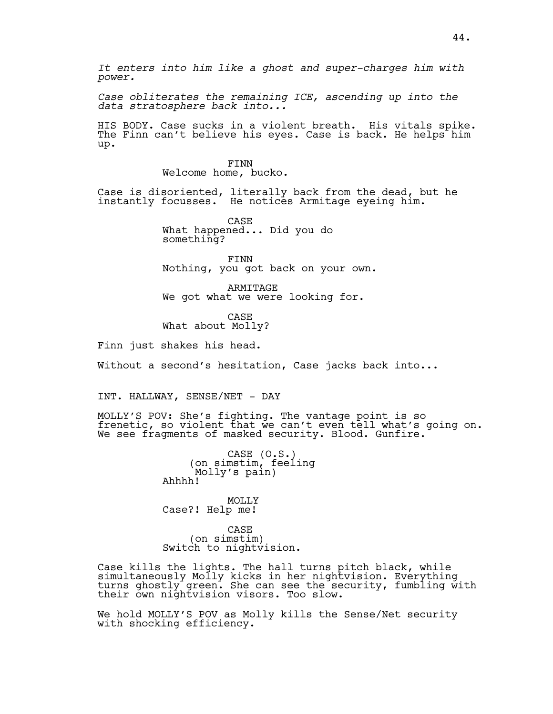*It enters into him like a ghost and super-charges him with power.* 

*Case obliterates the remaining ICE, ascending up into the data stratosphere back into...*

HIS BODY. Case sucks in a violent breath. His vitals spike. The Finn can't believe his eyes. Case is back. He helps him up.

> FINN Welcome home, bucko.

Case is disoriented, literally back from the dead, but he instantly focusses. He notices Armitage eyeing him.

> CASE What happened... Did you do something?

FINN Nothing, you got back on your own.

ARMITAGE We got what we were looking for.

CASE What about Molly?

Finn just shakes his head.

Without a second's hesitation, Case jacks back into...

INT. HALLWAY, SENSE/NET - DAY

MOLLY'S POV: She's fighting. The vantage point is so frenetic, so violent that we can't even tell what's going on. We see fragments of masked security. Blood. Gunfire.

> CASE (O.S.)<br>on simstim, feeling) Molly's pain) Ahhhh!

MOLLY Case?! Help me!

CASE<br>(on simstim) Switch to nightvision.

Case kills the lights. The hall turns pitch black, while simultaneously Molly kicks in her nightvision. Everything turns ghostly green. She can see the security, fumbling with their own nightvision visors. Too slow.

We hold MOLLY'S POV as Molly kills the Sense/Net security with shocking efficiency.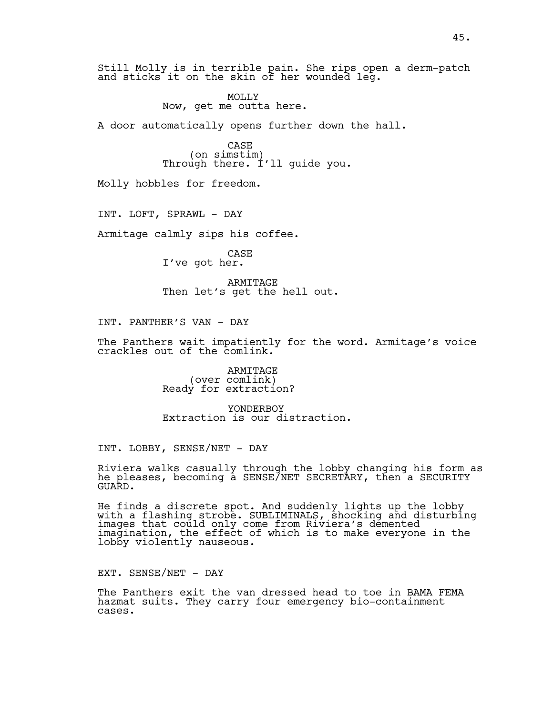Still Molly is in terrible pain. She rips open a derm-patch and sticks it on the skin of her wounded leg.

> MOLLY Now, get me outta here.

A door automatically opens further down the hall.

CASE<br>(on simstim) Through there. I'll guide you.

Molly hobbles for freedom.

INT. LOFT, SPRAWL - DAY

Armitage calmly sips his coffee.

CASE I've got her.

ARMITAGE Then let's get the hell out.

INT. PANTHER'S VAN - DAY

The Panthers wait impatiently for the word. Armitage's voice crackles out of the comlink.

> ARMITAGE (over comlink) Ready for extraction?

YONDERBOY Extraction is our distraction.

INT. LOBBY, SENSE/NET - DAY

Riviera walks casually through the lobby changing his form as he pleases, becoming a SENSE/NET SECRETARY, then a SECURITY GUARD.

He finds a discrete spot. And suddenly lights up the lobby with a flashing strobe. SUBLIMINALS, shocking and disturbing images that could only come from Riviera's demented imagination, the effect of which is to make everyone in the lobby violently nauseous.

EXT. SENSE/NET - DAY

The Panthers exit the van dressed head to toe in BAMA FEMA hazmat suits. They carry four emergency bio-containment cases.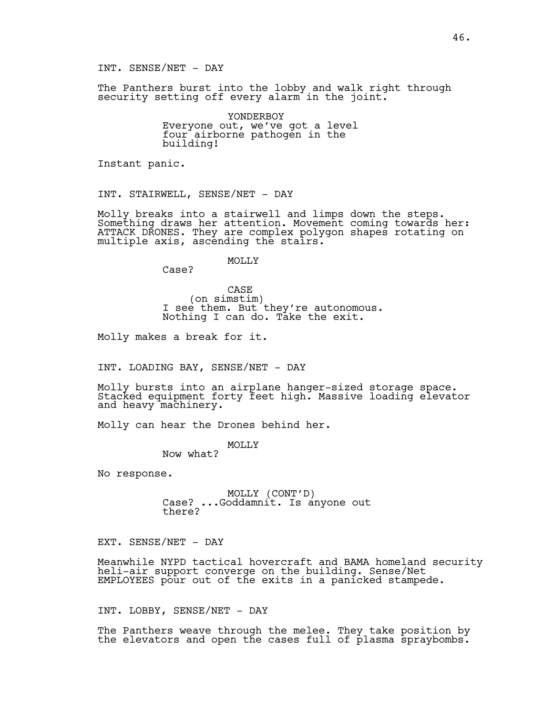INT. SENSE/NET - DAY

The Panthers burst into the lobby and walk right through security setting off every alarm in the joint.

> YONDERBOY Everyone out, we've got a level four airborne pathogen in the building!

Instant panic.

INT. STAIRWELL, SENSE/NET - DAY

Molly breaks into a stairwell and limps down the steps. Something draws her attention. Movement coming towards her: ATTACK DRONES. They are complex polygon shapes rotating on multiple axis, ascending the stairs.

MOLLY

Case?

CASE<br>(on simstim) I see them. But they're autonomous. Nothing I can do. Take the exit.

Molly makes a break for it.

INT. LOADING BAY, SENSE/NET - DAY

Molly bursts into an airplane hanger-sized storage space. Stacked equipment forty feet high. Massive loading elevator and heavy machinery.

Molly can hear the Drones behind her.

MOLLY Now what?

No response.

MOLLY (CONT'D)<br>Case? ...Goddamnit. Is anyone out there?

EXT. SENSE/NET - DAY

Meanwhile NYPD tactical hovercraft and BAMA homeland security heli-air support converge on the building. Sense/Net EMPLOYEES pour out of the exits in a panicked stampede.

INT. LOBBY, SENSE/NET - DAY

The Panthers weave through the melee. They take position by the elevators and open the cases full of plasma spraybombs.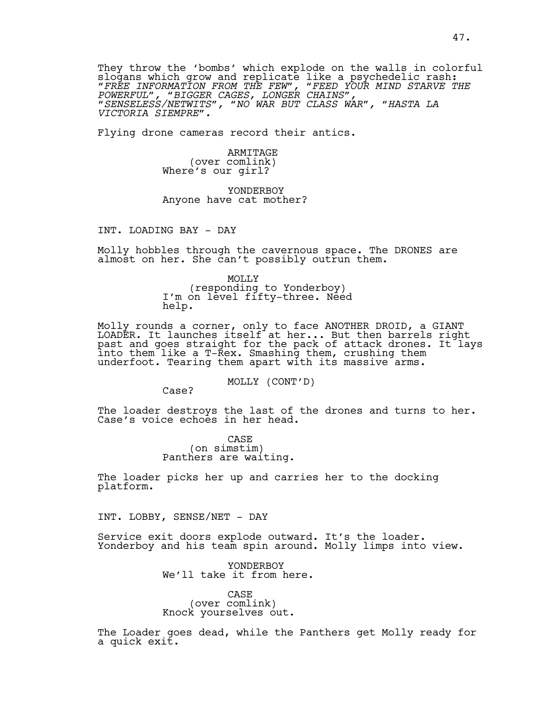They throw the 'bombs' which explode on the walls in colorful slogans which grow and replicate like a psychedelic rash: *"FREE INFORMATION FROM THE FEW", "FEED YOUR MIND STARVE THE POWERFUL", "BIGGER CAGES, LONGER CHAINS", "SENSELESS/NETWITS", "NO WAR BUT CLASS WAR", "HASTA LA VICTORIA SIEMPRE".*

Flying drone cameras record their antics.

ARMITAGE<br>(over comlink) Where's our girl?

YONDERBOY Anyone have cat mother?

INT. LOADING BAY - DAY

Molly hobbles through the cavernous space. The DRONES are almost on her. She can't possibly outrun them.

> MOLLY (responding to Yonderboy) I'm on level fifty-three. Need help.

Molly rounds a corner, only to face ANOTHER DROID, a GIANT LOADER. It launches itself at her... But then barrels right past and goes straight for the pack of attack drones. It lays into them like a T-Rex. Smashing them, crushing them underfoot. Tearing them apart with its massive arms.

MOLLY (CONT'D)

Case?

The loader destroys the last of the drones and turns to her. Case's voice echoes in her head.

> CASE)<br>(on simstim) Panthers are waiting.

The loader picks her up and carries her to the docking platform.

INT. LOBBY, SENSE/NET - DAY

Service exit doors explode outward. It's the loader. Yonderboy and his team spin around. Molly limps into view.

> YONDERBOY We'll take it from here.

CASE<br>(over comlink) Knock yourselves out.

The Loader goes dead, while the Panthers get Molly ready for a quick exit.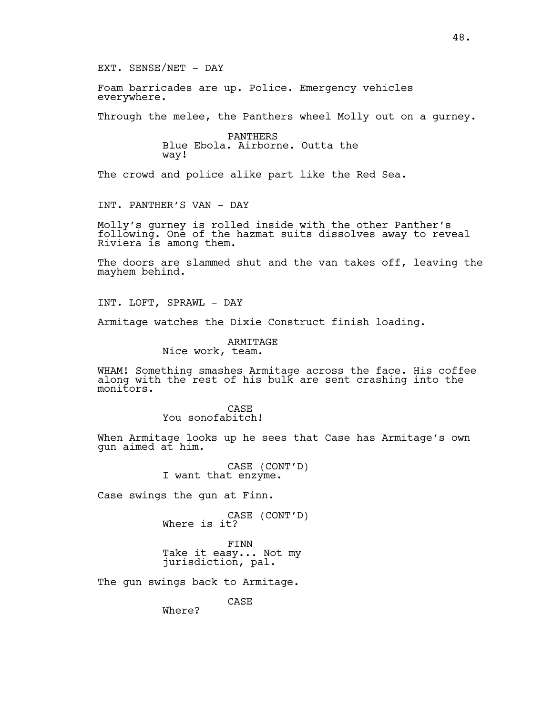EXT. SENSE/NET - DAY

Foam barricades are up. Police. Emergency vehicles everywhere.

Through the melee, the Panthers wheel Molly out on a gurney.

PANTHERS Blue Ebola. Airborne. Outta the way!

The crowd and police alike part like the Red Sea.

INT. PANTHER'S VAN - DAY

Molly's gurney is rolled inside with the other Panther's following. One of the hazmat suits dissolves away to reveal Riviera is among them.

The doors are slammed shut and the van takes off, leaving the mayhem behind.

INT. LOFT, SPRAWL - DAY

Armitage watches the Dixie Construct finish loading.

ARMITAGE Nice work, team.

WHAM! Something smashes Armitage across the face. His coffee along with the rest of his bulk are sent crashing into the monitors.

> CASE You sonofabitch!

When Armitage looks up he sees that Case has Armitage's own gun aimed at him.

CASE (CONT'D)<br>I want that enzyme.

Case swings the gun at Finn.

CASE (CONT'D)<br>Where is it?

FINN Take it easy... Not my jurisdiction, pal.

The gun swings back to Armitage.

CASE

Where?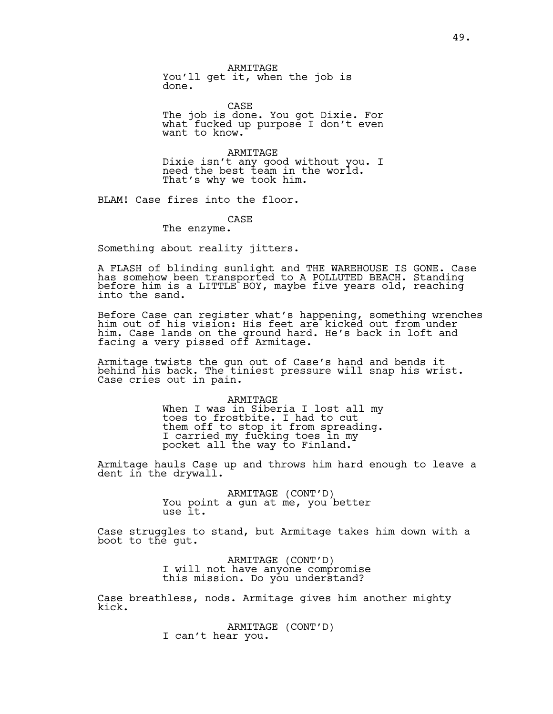ARMITAGE You'll get it, when the job is done.

CASE

The job is done. You got Dixie. For what fucked up purpose I don't even want to know.

ARMITAGE Dixie isn't any good without you. I need the best team in the world. That's why we took him.

BLAM! Case fires into the floor.

#### CASE

The enzyme.

Something about reality jitters.

A FLASH of blinding sunlight and THE WAREHOUSE IS GONE. Case has somehow been transported to A POLLUTED BEACH. Standing before him is a LITTLE BOY, maybe five years old, reaching into the sand.

Before Case can register what's happening, something wrenches him out of his vision: His feet are kicked out from under him. Case lands on the ground hard. He's back in loft and facing a very pissed off Armitage.

Armitage twists the gun out of Case's hand and bends it behind his back. The tiniest pressure will snap his wrist. Case cries out in pain.

> ARMITAGE When I was in Siberia I lost all my toes to frostbite. I had to cut them off to stop it from spreading. I carried my fucking toes in my pocket all the way to Finland.

Armitage hauls Case up and throws him hard enough to leave a dent in the drywall.

> ARMITAGE (CONT'D)<br>You point a gun at me, you better use it.

Case struggles to stand, but Armitage takes him down with a boot to the gut.

> ARMITAGE (CONT'D)<br>I will not have anyone compromise this mission. Do you understand?

Case breathless, nods. Armitage gives him another mighty kick.

ARMITAGE (CONT'D)<br>I can't hear you.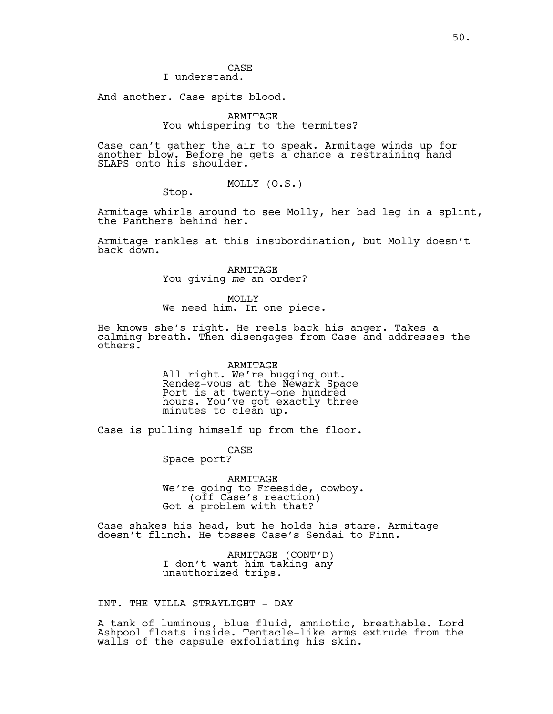#### CASE I understand.

And another. Case spits blood.

# ARMITAGE You whispering to the termites?

Case can't gather the air to speak. Armitage winds up for another blow. Before he gets a chance a restraining hand SLAPS onto his shoulder.

MOLLY (O.S.)

Stop.

Armitage whirls around to see Molly, her bad leg in a splint, the Panthers behind her.

Armitage rankles at this insubordination, but Molly doesn't back down.

> ARMITAGE You giving *me* an order?

MOLLY We need him. In one piece.

He knows she's right. He reels back his anger. Takes a calming breath. Then disengages from Case and addresses the others.

> ARMITAGE All right. We're bugging out. Rendez-vous at the Newark Space Port is at twenty-one hundred hours. You've got exactly three minutes to clean up.

Case is pulling himself up from the floor.

CASE Space port?

ARMITAGE We're going to Freeside, cowboy.<br>(off Case's reaction)<br>Got a problem with that?

Case shakes his head, but he holds his stare. Armitage doesn't flinch. He tosses Case's Sendai to Finn.

> ARMITAGE (CONT'D) I don't want him taking any unauthorized trips.

INT. THE VILLA STRAYLIGHT - DAY

A tank of luminous, blue fluid, amniotic, breathable. Lord Ashpool floats inside. Tentacle-like arms extrude from the walls of the capsule exfoliating his skin.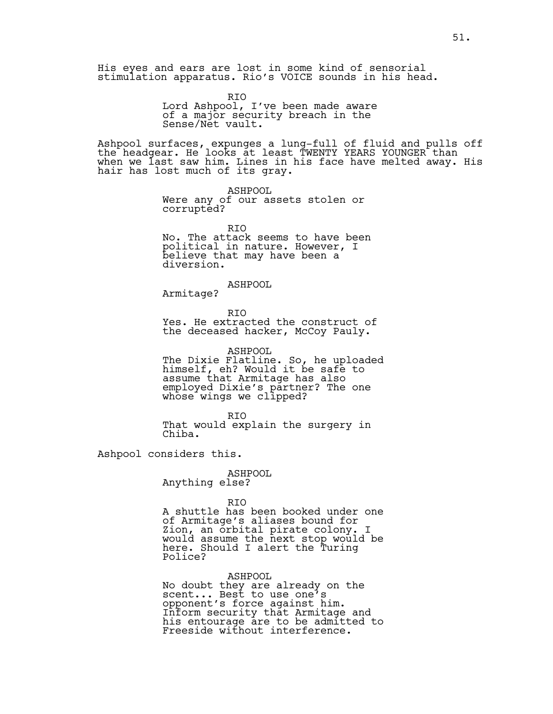His eyes and ears are lost in some kind of sensorial stimulation apparatus. Rio's VOICE sounds in his head.

> RIO Lord Ashpool, I've been made aware of a major security breach in the Sense/Net vault.

Ashpool surfaces, expunges a lung-full of fluid and pulls off the headgear. He looks at least TWENTY YEARS YOUNGER than when we last saw him. Lines in his face have melted away. His hair has lost much of its gray.

> ASHPOOL Were any of our assets stolen or corrupted?

RIO No. The attack seems to have been political in nature. However, I believe that may have been a diversion.

ASHPOOL

Armitage?

RIO Yes. He extracted the construct of the deceased hacker, McCoy Pauly.

ASHPOOL The Dixie Flatline. So, he uploaded himself, eh? Would it be safe to assume that Armitage has also employed Dixie's partner? The one whose wings we clipped?

RIO That would explain the surgery in Chiba.

Ashpool considers this.

ASHPOOL Anything else?

RIO

A shuttle has been booked under one of Armitage's aliases bound for Zion, an orbital pirate colony. I would assume the next stop would be here. Should I alert the Turing Police?

ASHPOOL

No doubt they are already on the scent... Best to use one's opponent's force against him. Inform security that Armitage and his entourage are to be admitted to Freeside without interference.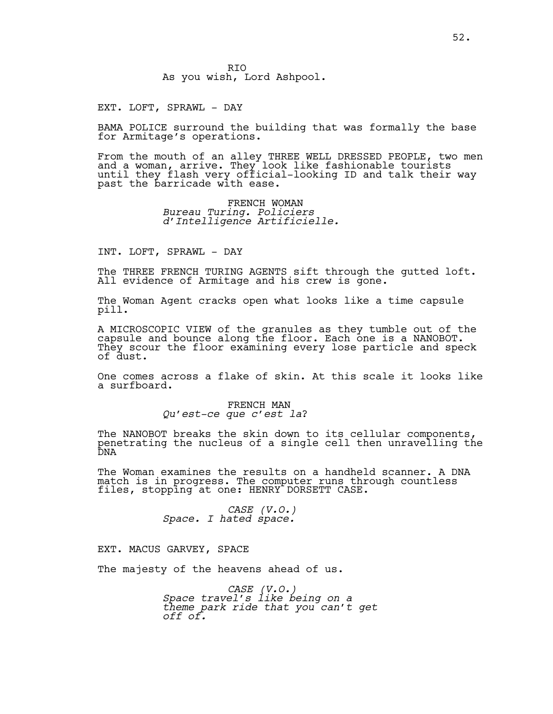RIO As you wish, Lord Ashpool.

EXT. LOFT, SPRAWL - DAY

BAMA POLICE surround the building that was formally the base for Armitage's operations.

From the mouth of an alley THREE WELL DRESSED PEOPLE, two men and a woman, arrive. They look like fashionable tourists until they flash very official-looking ID and talk their way past the barricade with ease.

> FRENCH WOMAN *Bureau Turing. Policiers d'Intelligence Artificielle.*

INT. LOFT, SPRAWL - DAY

The THREE FRENCH TURING AGENTS sift through the gutted loft. All evidence of Armitage and his crew is gone.

The Woman Agent cracks open what looks like a time capsule pill.

A MICROSCOPIC VIEW of the granules as they tumble out of the capsule and bounce along the floor. Each one is a NANOBOT. They scour the floor examining every lose particle and speck of dust.

One comes across a flake of skin. At this scale it looks like a surfboard.

> FRENCH MAN *Qu'est-ce que c'est la*?

The NANOBOT breaks the skin down to its cellular components, penetrating the nucleus of a single cell then unravelling the DNA

The Woman examines the results on a handheld scanner. A DNA match is in progress. The computer runs through countless files, stopping at one: HENRY DORSETT CASE.

*CASE (V.O.) Space. I hated space.*

EXT. MACUS GARVEY, SPACE

The majesty of the heavens ahead of us.

*CASE (V.O.) Space travel's like being on a theme park ride that you can't get off of.*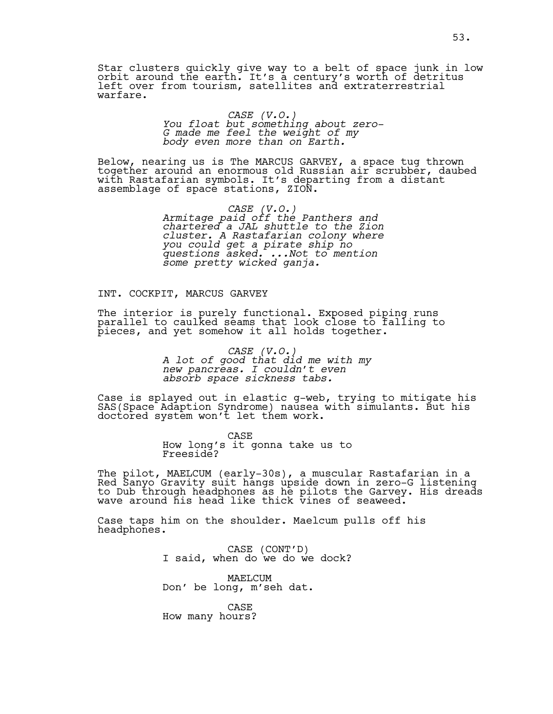Star clusters quickly give way to a belt of space junk in low orbit around the earth. It's a century's worth of detritus left over from tourism, satellites and extraterrestrial warfare.

# *CASE (V.O.) You float but something about zero-G made me feel the weight of my body even more than on Earth.*

Below, nearing us is The MARCUS GARVEY, a space tug thrown together around an enormous old Russian air scrubber, daubed with Rastafarian symbols. It's departing from a distant assemblage of space stations, ZION.

> *CASE (V.O.) Armitage paid off the Panthers and chartered a JAL shuttle to the Zion cluster. A Rastafarian colony where you could get a pirate ship no questions asked. ...Not to mention some pretty wicked ganja.*

#### INT. COCKPIT, MARCUS GARVEY

The interior is purely functional. Exposed piping runs parallel to caulked seams that look close to falling to pieces, and yet somehow it all holds together.

> *CASE (V.O.) A lot of good that did me with my new pancreas. I couldn't even absorb space sickness tabs.*

Case is splayed out in elastic g-web, trying to mitigate his SAS(Space Adaption Syndrome) nausea with simulants. But his doctored system won't let them work.

> CASE How long's it gonna take us to Freeside?

The pilot, MAELCUM (early-30s), a muscular Rastafarian in a Red Sanyo Gravity suit hangs upside down in zero-G listening to Dub through headphones as he pilots the Garvey. His dreads wave around his head like thick vines of seaweed.

Case taps him on the shoulder. Maelcum pulls off his headphones.

CASE (CONT'D)<br>I said, when do we do we dock?

MAELCUM Don' be long, m'seh dat.

CASE How many hours?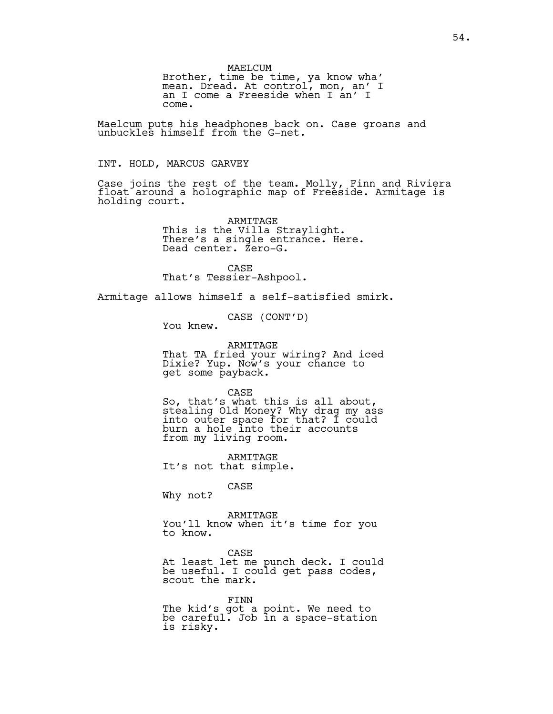MAELCUM Brother, time be time, ya know wha' mean. Dread. At control, mon, an' I an I come a Freeside when I an' I come.

Maelcum puts his headphones back on. Case groans and unbuckles himself from the G-net.

#### INT. HOLD, MARCUS GARVEY

Case joins the rest of the team. Molly, Finn and Riviera float around a holographic map of Freeside. Armitage is holding court.

> ARMITAGE This is the Villa Straylight. There's a single entrance. Here. Dead center. Zero-G.

CASE That's Tessier-Ashpool.

Armitage allows himself a self-satisfied smirk.

CASE (CONT'D) You knew.

ARMITAGE That TA fried your wiring? And iced Dixie? Yup. Now's your chance to get some payback.

CASE

So, that's what this is all about, stealing Old Money? Why drag my ass into outer space for that? I could burn a hole into their accounts from my living room.

ARMITAGE It's not that simple.

CASE

Why not?

ARMITAGE You'll know when it's time for you to know.

CASE At least let me punch deck. I could be useful. I could get pass codes, scout the mark.

FINN The kid's got a point. We need to be careful. Job in a space-station is risky.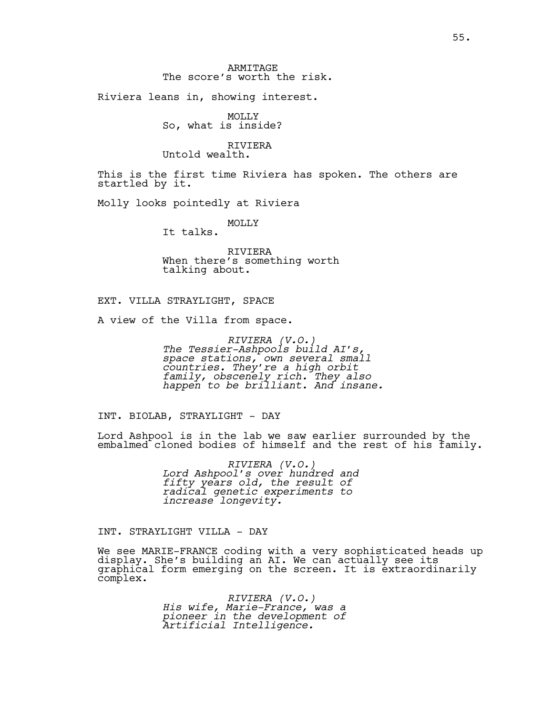Riviera leans in, showing interest.

MOLLY So, what is inside?

RIVIERA Untold wealth.

This is the first time Riviera has spoken. The others are startled by it.

Molly looks pointedly at Riviera

MOLLY It talks.

RIVIERA When there's something worth talking about.

#### EXT. VILLA STRAYLIGHT, SPACE

A view of the Villa from space.

*RIVIERA (V.O.) The Tessier-Ashpools build AI's, space stations, own several small countries. They're a high orbit family, obscenely rich. They also happen to be brilliant. And insane.*

INT. BIOLAB, STRAYLIGHT - DAY

Lord Ashpool is in the lab we saw earlier surrounded by the embalmed cloned bodies of himself and the rest of his family.

> *RIVIERA (V.O.) Lord Ashpool's over hundred and fifty years old, the result of radical genetic experiments to increase longevity.*

INT. STRAYLIGHT VILLA - DAY

We see MARIE-FRANCE coding with a very sophisticated heads up display. She's building an AI. We can actually see its graphical form emerging on the screen. It is extraordinarily complex.

> *RIVIERA (V.O.) His wife, Marie-France, was a pioneer in the development of Artificial Intelligence.*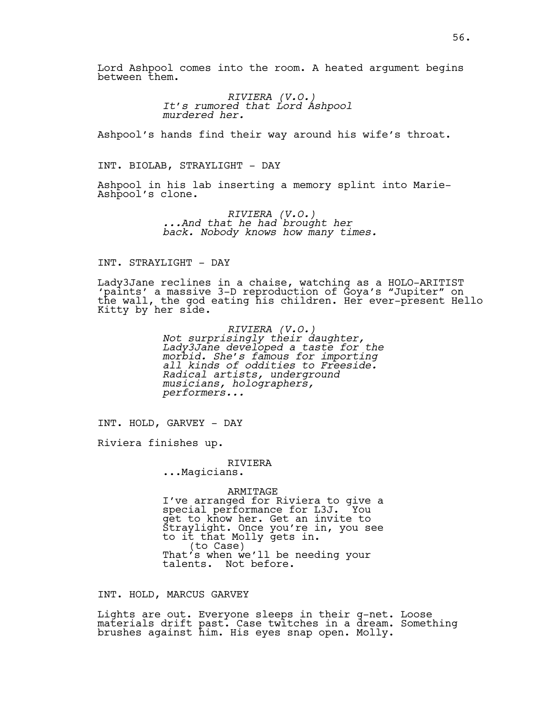Lord Ashpool comes into the room. A heated argument begins between them.

> *RIVIERA (V.O.) It's rumored that Lord Ashpool murdered her.*

Ashpool's hands find their way around his wife's throat.

INT. BIOLAB, STRAYLIGHT - DAY

Ashpool in his lab inserting a memory splint into Marie-Ashpool's clone.

> *RIVIERA (V.O.) ...And that he had brought her back. Nobody knows how many times.*

#### INT. STRAYLIGHT - DAY

Lady3Jane reclines in a chaise, watching as a HOLO-ARITIST 'paints' a massive 3-D reproduction of Goya's "Jupiter" on the wall, the god eating his children. Her ever-present Hello Kitty by her side.

> *RIVIERA (V.O.) Not surprisingly their daughter, Lady3Jane developed a taste for the morbid. She's famous for importing all kinds of oddities to Freeside. Radical artists, underground musicians, holographers, performers...*

INT. HOLD, GARVEY - DAY

Riviera finishes up.

RIVIERA ...Magicians.

ARMITAGE I've arranged for Riviera to give a special performance for L3J. You get to know her. Get an invite to Straylight. Once you're in, you see to it that Molly gets in. (to Case) That's when we'll be needing your talents. Not before.

INT. HOLD, MARCUS GARVEY

Lights are out. Everyone sleeps in their g-net. Loose materials drift past. Case twitches in a dream. Something brushes against him. His eyes snap open. Molly.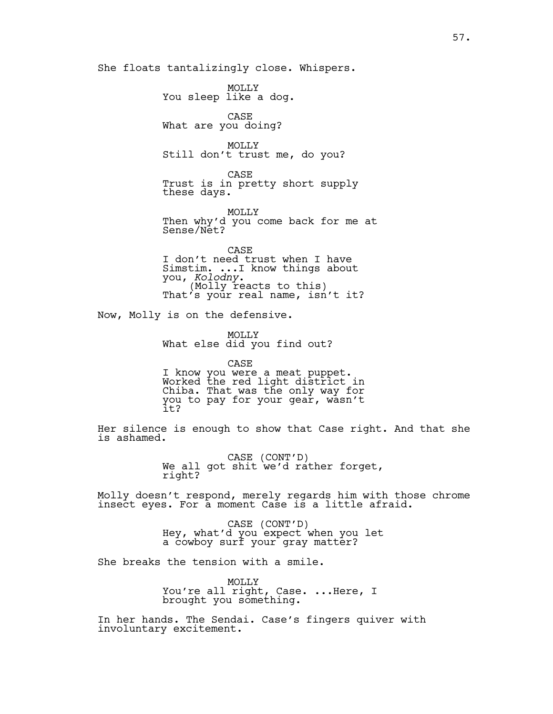She floats tantalizingly close. Whispers.

MOLLY You sleep like a dog. CASE What are you doing? MOLLY Still don't trust me, do you? CASE Trust is in pretty short supply these days.

MOLLY Then why'd you come back for me at Sense/Net?

CASE I don't need trust when I have Simstim. ...I know things about<br>you, Kolodny. <sup>1</sup> (Molly reacts to this)<br>That's your real name, isn't it?

Now, Molly is on the defensive.

MOLLY What else did you find out?

CASE I know you were a meat puppet. Worked the red light district in Chiba. That was the only way for you to pay for your gear, wasn't it?

Her silence is enough to show that Case right. And that she is ashamed.

> CASE (CONT'D)<br>We all got shit we'd rather forget, right?

Molly doesn't respond, merely regards him with those chrome insect eyes. For a moment Case is a little afraid.

> CASE (CONT'D)<br>Hey, what'd you expect when you let a cowboy surf your gray matter?

She breaks the tension with a smile.

MOLLY You're all right, Case. ...Here, I brought you something.

In her hands. The Sendai. Case's fingers quiver with involuntary excitement.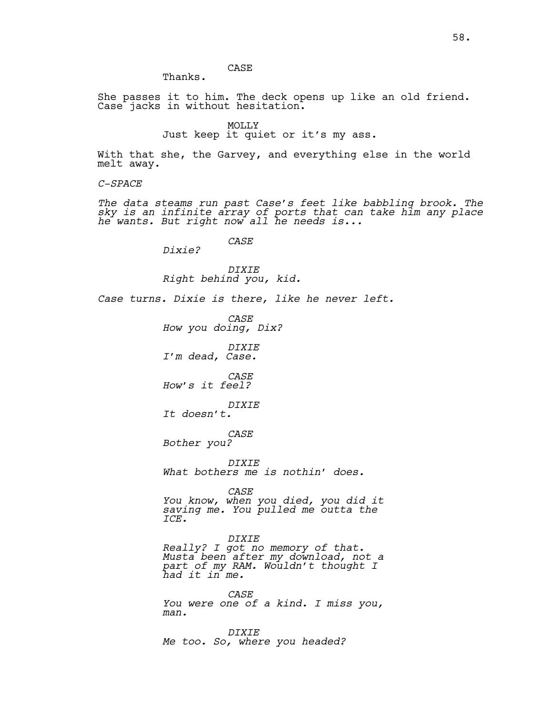CASE

She passes it to him. The deck opens up like an old friend. Case jacks in without hesitation.

> MOLLY Just keep it quiet or it's my ass.

With that she, the Garvey, and everything else in the world melt away.

*C-SPACE*

*The data steams run past Case's feet like babbling brook. The sky is an infinite array of ports that can take him any place he wants. But right now all he needs is...*

*CASE*

*Dixie?*

Thanks.

*DIXIE Right behind you, kid.*

*Case turns. Dixie is there, like he never left.* 

*CASE How you doing, Dix? DIXIE I'm dead, Case.*

*CASE*

*How's it feel?*

*DIXIE It doesn't.*

*CASE Bother you?*

*DIXIE What bothers me is nothin' does.* 

*CASE*

*You know, when you died, you did it saving me. You pulled me outta the ICE.* 

*DIXIE*

*Really? I got no memory of that. Musta been after my download, not a part of my RAM. Wouldn't thought I had it in me.* 

*CASE You were one of a kind. I miss you, man.*

*DIXIE Me too. So, where you headed?*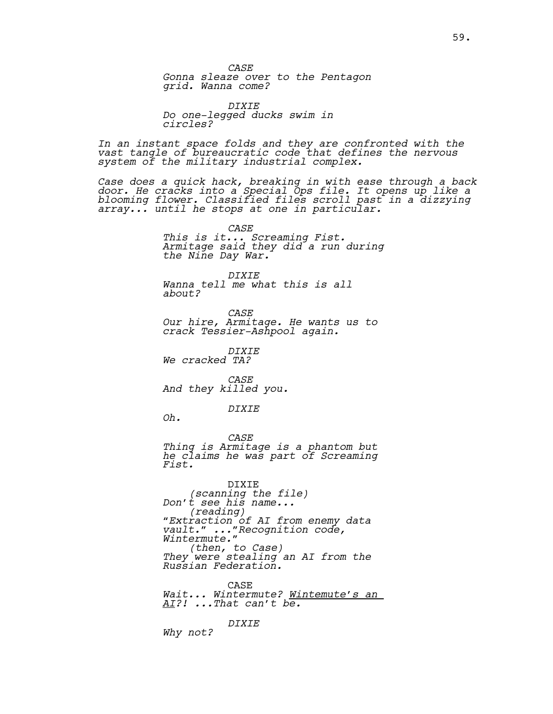*CASE*

*Gonna sleaze over to the Pentagon grid. Wanna come?*

*DIXIE Do one-legged ducks swim in circles?*

*In an instant space folds and they are confronted with the vast tangle of bureaucratic code that defines the nervous system of the military industrial complex.* 

*Case does a quick hack, breaking in with ease through a back door. He cracks into a Special Ops file. It opens up like a blooming flower. Classified files scroll past in a dizzying array... until he stops at one in particular.*

> *CASE This is it... Screaming Fist. Armitage said they did a run during the Nine Day War.*

*DIXIE Wanna tell me what this is all about?*

*CASE Our hire, Armitage. He wants us to crack Tessier-Ashpool again.* 

*DIXIE We cracked TA?*

*CASE And they killed you.*

*DIXIE*

*Oh.*

*CASE Thing is Armitage is a phantom but he claims he was part of Screaming Fist.*

DIXIE *(scanning the file) Don't see his name... (reading) "Extraction of AI from enemy data vault." ..."Recognition code, Wintermute." (then, to Case) They were stealing an AI from the Russian Federation.*

CASE *Wait... Wintermute? Wintemute's an AI?! ...That can't be.*

*DIXIE Why not?*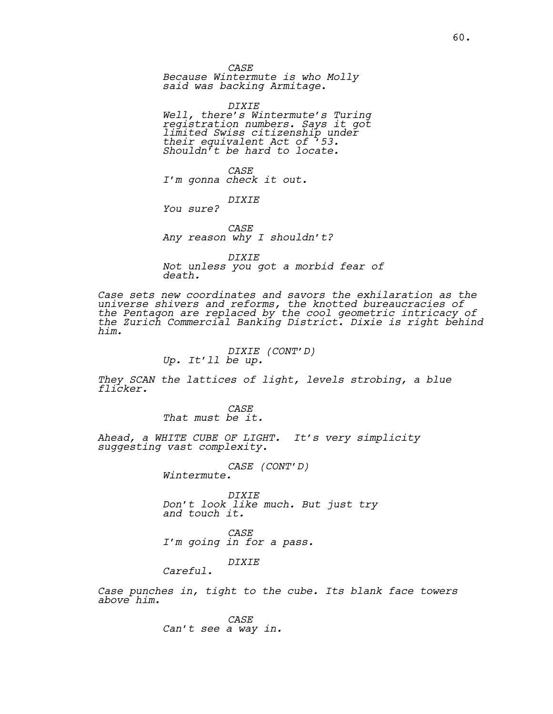*CASE*

*Because Wintermute is who Molly said was backing Armitage*.

*DIXIE Well, there's Wintermute's Turing registration numbers. Says it got limited Swiss citizenship under their equivalent Act of '53. Shouldn't be hard to locate.*

*CASE I'm gonna check it out.*

*DIXIE*

*You sure?*

*CASE Any reason why I shouldn't?*

*DIXIE Not unless you got a morbid fear of death.*

*Case sets new coordinates and savors the exhilaration as the universe shivers and reforms, the knotted bureaucracies of the Pentagon are replaced by the cool geometric intricacy of the Zurich Commercial Banking District. Dixie is right behind him.*

*DIXIE (CONT'D) Up. It'll be up.* 

*They SCAN the lattices of light, levels strobing, a blue flicker.* 

> *CASE That must be it.*

*Ahead, a WHITE CUBE OF LIGHT. It's very simplicity suggesting vast complexity.*

*CASE (CONT'D) Wintermute.*

*DIXIE Don't look like much. But just try and touch it.* 

*CASE I'm going in for a pass.*

*DIXIE*

*Careful.*

*Case punches in, tight to the cube. Its blank face towers above him.*

> *CASE Can't see a way in.*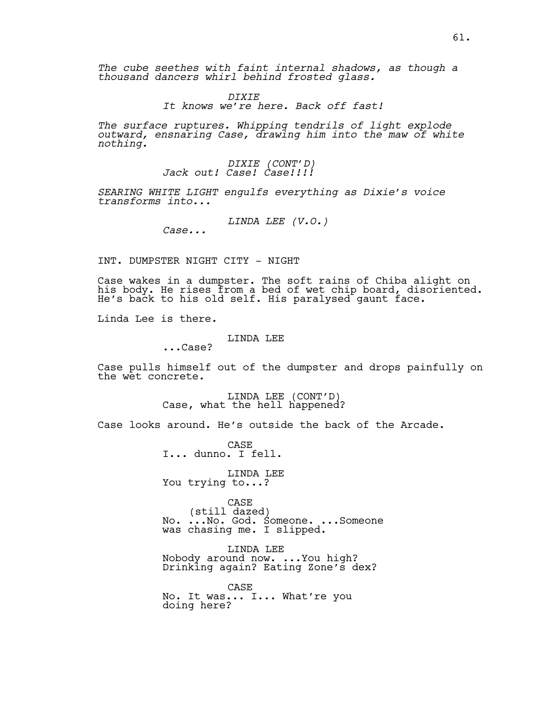*The cube seethes with faint internal shadows, as though a thousand dancers whirl behind frosted glass.*

> *DIXIE It knows we're here. Back off fast!*

*The surface ruptures. Whipping tendrils of light explode outward, ensnaring Case, drawing him into the maw of white nothing.*

# *DIXIE (CONT'D) Jack out! Case! Case!!!!*

*SEARING WHITE LIGHT engulfs everything as Dixie's voice transforms into...*

*LINDA LEE (V.O.)*

*Case...*

INT. DUMPSTER NIGHT CITY - NIGHT

Case wakes in a dumpster. The soft rains of Chiba alight on his body. He rises from a bed of wet chip board, disoriented. He's back to his old self. His paralysed gaunt face.

Linda Lee is there.

### LINDA LEE

...Case?

Case pulls himself out of the dumpster and drops painfully on the wet concrete.

LINDA LEE (CONT'D)<br>Case, what the hell happened?

Case looks around. He's outside the back of the Arcade.

CASE I... dunno. I fell.

LINDA LEE You trying to...?

CASE<br>(still dazed) (still dazed) No. ...No. God. Someone. ...Someone was chasing me. I slipped.

LINDA LEE Nobody around now. ...You high? Drinking again? Eating Zone's dex?

CASE No. It was... I... What're you doing here?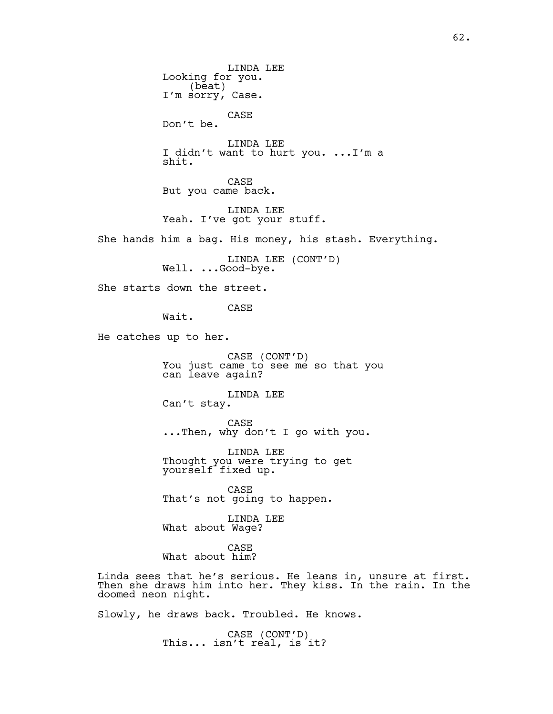LINDA LEE Looking for you. (beat) I'm sorry, Case. CASE Don't be. LINDA LEE I didn't want to hurt you. ...I'm a shit. CASE But you came back. LINDA LEE Yeah. I've got your stuff. She hands him a bag. His money, his stash. Everything. LINDA LEE (CONT'D)<br>Well. ...Good-bye. She starts down the street. CASE Wait. He catches up to her. CASE (CONT'D) You just came to see me so that you can leave again? LINDA LEE Can't stay. CASE ...Then, why don't I go with you. LINDA LEE Thought you were trying to get yourself fixed up. CASE That's not going to happen. LINDA LEE What about Wage? CASE What about him? Linda sees that he's serious. He leans in, unsure at first. Then she draws him into her. They kiss. In the rain. In the doomed neon night. Slowly, he draws back. Troubled. He knows.

CASE (CONT'D)<br>This... isn't real, is it?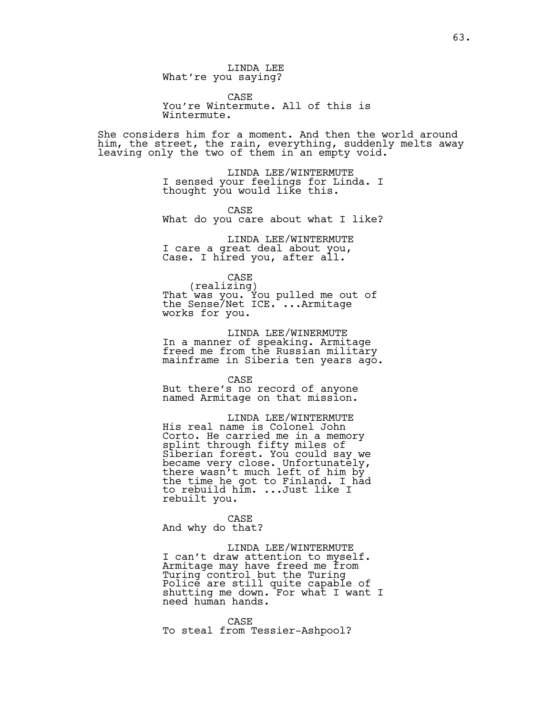LINDA LEE What're you saying?

CASE You're Wintermute. All of this is Wintermute.

She considers him for a moment. And then the world around him, the street, the rain, everything, suddenly melts away leaving only the two of them in an empty void.

> LINDA LEE/WINTERMUTE I sensed your feelings for Linda. I thought you would like this.

> CASE What do you care about what I like?

LINDA LEE/WINTERMUTE I care a great deal about you, Case. I hired you, after all.

CASE<br>(realizing) (realizing) That was you. You pulled me out of the Sense/Net ICE. ...Armitage works for you.

LINDA LEE/WINERMUTE In a manner of speaking. Armitage freed me from the Russian military mainframe in Siberia ten years ago.

CASE

But there's no record of anyone named Armitage on that mission.

LINDA LEE/WINTERMUTE His real name is Colonel John Corto. He carried me in a memory splint through fifty miles of Siberian forest. You could say we became very close. Unfortunately, there wasn't much left of him by the time he got to Finland. I had to rebuild him. ...Just like I rebuilt you.

CASE And why do that?

LINDA LEE/WINTERMUTE I can't draw attention to myself. Armitage may have freed me from Turing control but the Turing Police are still quite capable of shutting me down. For what I want I need human hands.

CASE To steal from Tessier-Ashpool?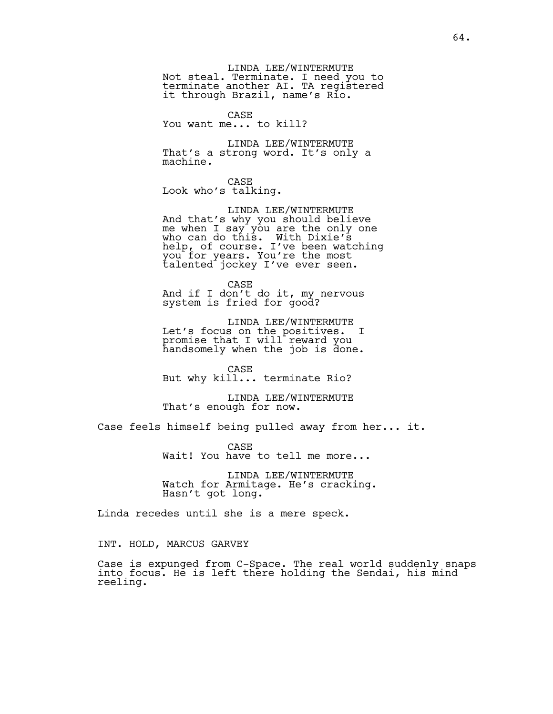LINDA LEE/WINTERMUTE Not steal. Terminate. I need you to terminate another AI. TA registered it through Brazil, name's Rio.

CASE You want me... to kill?

LINDA LEE/WINTERMUTE That's a strong word. It's only a machine.

CASE Look who's talking.

LINDA LEE/WINTERMUTE And that's why you should believe me when I say you are the only one who can do this. With Dixie's help, of course. I've been watching you for years. You're the most talented jockey I've ever seen.

CASE And if I don't do it, my nervous system is fried for good?

LINDA LEE/WINTERMUTE Let's focus on the positives. I promise that I will reward you handsomely when the job is done.

CASE But why kill... terminate Rio?

LINDA LEE/WINTERMUTE That's enough for now.

Case feels himself being pulled away from her... it.

CASE Wait! You have to tell me more...

LINDA LEE/WINTERMUTE Watch for Armitage. He's cracking. Hasn't got long.

Linda recedes until she is a mere speck.

INT. HOLD, MARCUS GARVEY

Case is expunged from C-Space. The real world suddenly snaps into focus. He is left there holding the Sendai, his mind reeling.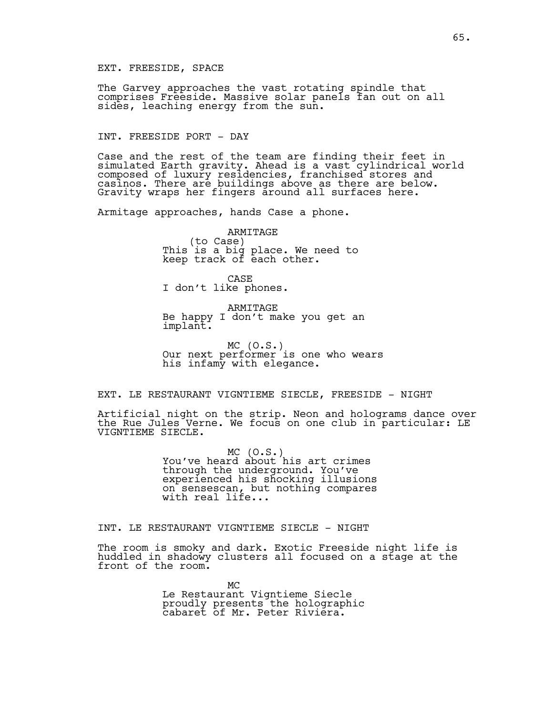#### EXT. FREESIDE, SPACE

The Garvey approaches the vast rotating spindle that comprises Freeside. Massive solar panels fan out on all sides, leaching energy from the sun.

#### INT. FREESIDE PORT - DAY

Case and the rest of the team are finding their feet in simulated Earth gravity. Ahead is a vast cylindrical world composed of luxury residencies, franchised stores and casinos. There are buildings above as there are below. Gravity wraps her fingers around all surfaces here.

Armitage approaches, hands Case a phone.

ARMITAGE<br>(to Case) (to Case) This is a big place. We need to keep track of each other.

CASE I don't like phones.

ARMITAGE Be happy I don't make you get an implant.

MC (O.S.)<br>Our next performer is one who wears his infamy with elegance.

EXT. LE RESTAURANT VIGNTIEME SIECLE, FREESIDE - NIGHT

Artificial night on the strip. Neon and holograms dance over the Rue Jules Verne. We focus on one club in particular: LE VIGNTIEME SIECLE.

> MC (O.S.)<br>You've heard about his art crimes through the underground. You've experienced his shocking illusions on sensescan, but nothing compares with real life...

# INT. LE RESTAURANT VIGNTIEME SIECLE - NIGHT

The room is smoky and dark. Exotic Freeside night life is huddled in shadowy clusters all focused on a stage at the front of the room.

> MC Le Restaurant Vigntieme Siecle proudly presents the holographic cabaret of Mr. Peter Riviera.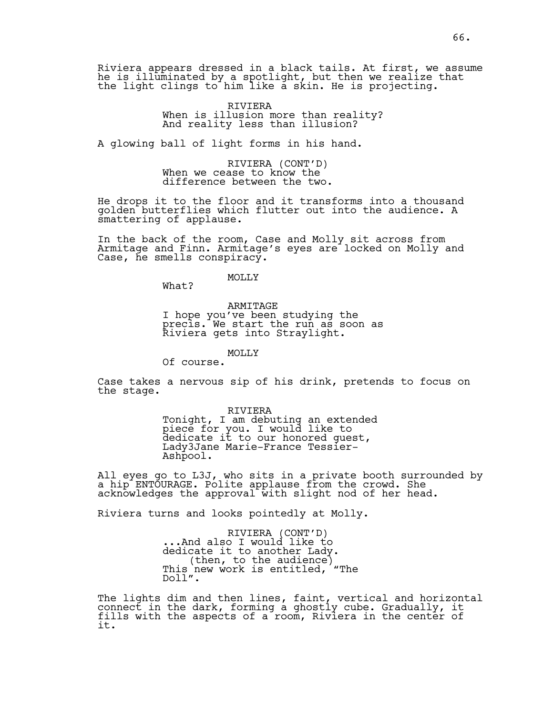Riviera appears dressed in a black tails. At first, we assume he is illuminated by a spotlight, but then we realize that the light clings to him like a skin. He is projecting.

> RIVIERA When is illusion more than reality? And reality less than illusion?

A glowing ball of light forms in his hand.

RIVIERA (CONT'D) When we cease to know the difference between the two.

He drops it to the floor and it transforms into a thousand golden butterflies which flutter out into the audience. A smattering of applause.

In the back of the room, Case and Molly sit across from Armitage and Finn. Armitage's eyes are locked on Molly and Case, he smells conspiracy.

MOLLY

What?

ARMITAGE I hope you've been studying the precis. We start the run as soon as Riviera gets into Straylight.

MOLLY

Of course.

Case takes a nervous sip of his drink, pretends to focus on the stage.

> RIVIERA Tonight, I am debuting an extended piece for you. I would like to dedicate it to our honored guest, Lady3Jane Marie-France Tessier-Ashpool.

All eyes go to L3J, who sits in a private booth surrounded by a hip ENTOURAGE. Polite applause from the crowd. She acknowledges the approval with slight nod of her head.

Riviera turns and looks pointedly at Molly.

RIVIERA (CONT'D)<br>And also I would like to... dedicate it to another Lady.<br>(then, to the audience)<br>This new work is entitled, "The Doll".

The lights dim and then lines, faint, vertical and horizontal connect in the dark, forming a ghostly cube. Gradually, it fills with the aspects of a room, Riviera in the center of it.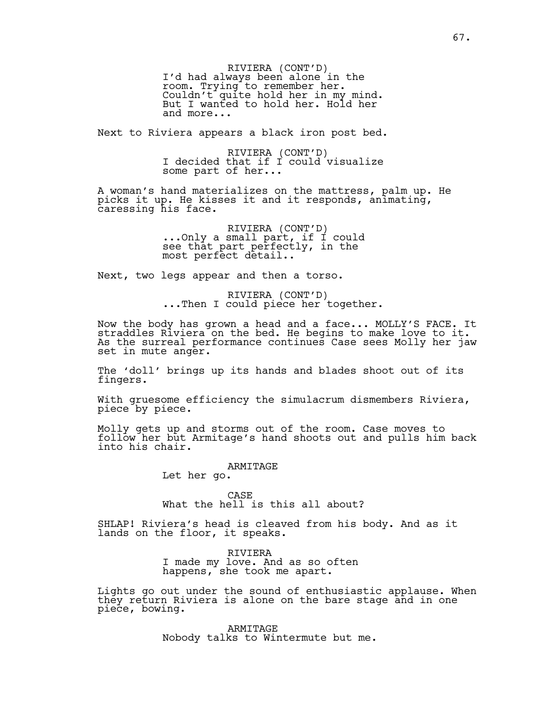RIVIERA (CONT'D) I'd had always been alone in the room. Trying to remember her. Couldn't quite hold her in my mind. But I wanted to hold her. Hold her and more...

Next to Riviera appears a black iron post bed.

RIVIERA (CONT'D)<br>I decided that if I could visualize some part of her...

A woman's hand materializes on the mattress, palm up. He picks it up. He kisses it and it responds, animating, caressing his face.

> RIVIERA (CONT'D)<br>...Only a small part, if I could see that part perfectly, in the most perfect detail..

Next, two legs appear and then a torso.

RIVIERA (CONT'D)<br>...Then I could piece her together.

Now the body has grown a head and a face... MOLLY'S FACE. It straddles Riviera on the bed. He begins to make love to it. As the surreal performance continues Case sees Molly her jaw set in mute anger.

The 'doll' brings up its hands and blades shoot out of its fingers.

With gruesome efficiency the simulacrum dismembers Riviera, piece by piece.

Molly gets up and storms out of the room. Case moves to follow her but Armitage's hand shoots out and pulls him back into his chair.

ARMITAGE

Let her go.

CASE What the hell is this all about?

SHLAP! Riviera's head is cleaved from his body. And as it lands on the floor, it speaks.

> RIVIERA I made my love. And as so often happens, she took me apart.

Lights go out under the sound of enthusiastic applause. When they return Riviera is alone on the bare stage and in one piece, bowing.

> ARMITAGE Nobody talks to Wintermute but me.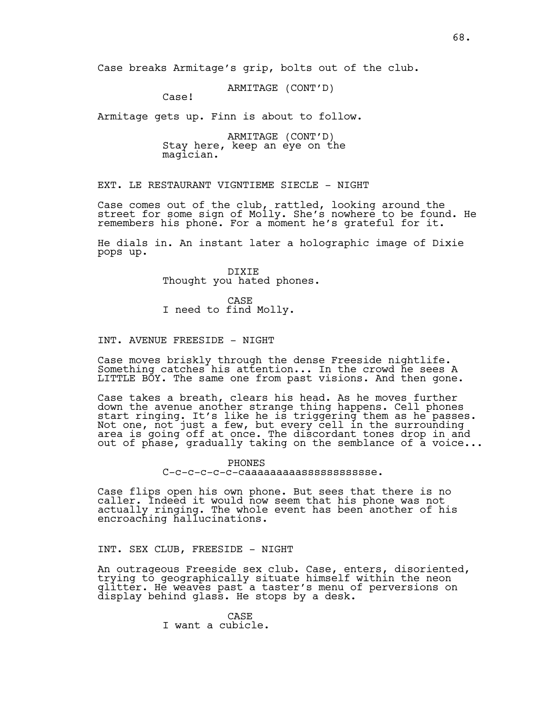Case breaks Armitage's grip, bolts out of the club.

ARMITAGE (CONT'D)

Case!

Armitage gets up. Finn is about to follow.

ARMITAGE (CONT'D)<br>Stay here, keep an eye on the magician.

EXT. LE RESTAURANT VIGNTIEME SIECLE - NIGHT

Case comes out of the club, rattled, looking around the street for some sign of Molly. She's nowhere to be found. He remembers his phone. For a moment he's grateful for it.

He dials in. An instant later a holographic image of Dixie pops up.

> DIXIE Thought you hated phones.

CASE I need to find Molly.

#### INT. AVENUE FREESIDE - NIGHT

Case moves briskly through the dense Freeside nightlife. Something catches his attention... In the crowd he sees A LITTLE BOY. The same one from past visions. And then gone.

Case takes a breath, clears his head. As he moves further down the avenue another strange thing happens. Cell phones start ringing. It's like he is triggering them as he passes. Not one, not just a few, but every cell in the surrounding area is going off at once. The discordant tones drop in and out of phase, gradually taking on the semblance of a voice...

> PHONES C-c-c-c-c-c-caaaaaaaaassssssssssse.

Case flips open his own phone. But sees that there is no caller. Indeed it would now seem that his phone was not actually ringing. The whole event has been another of his encroaching hallucinations.

INT. SEX CLUB, FREESIDE - NIGHT

An outrageous Freeside sex club. Case, enters, disoriented, trying to geographically situate himself within the neon glitter. He weaves past a taster's menu of perversions on display behind glass. He stops by a desk.

> CASE I want a cubicle.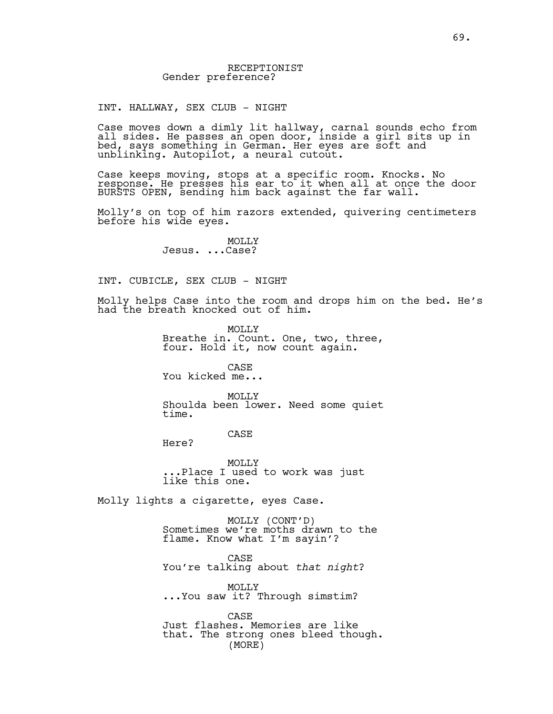INT. HALLWAY, SEX CLUB - NIGHT

Case moves down a dimly lit hallway, carnal sounds echo from all sides. He passes an open door, inside a girl sits up in bed, says something in German. Her eyes are soft and unblinking. Autopilot, a neural cutout.

Case keeps moving, stops at a specific room. Knocks. No response. He presses his ear to it when all at once the door BURSTS OPEN, sending him back against the far wall.

Molly's on top of him razors extended, quivering centimeters before his wide eyes.

> MOLLY<sub>N</sub> Jesus. ...Case?

INT. CUBICLE, SEX CLUB - NIGHT

Molly helps Case into the room and drops him on the bed. He's had the breath knocked out of him.

> MOLLY Breathe in. Count. One, two, three, four. Hold it, now count again.

CASE You kicked me...

MOLLY Shoulda been lower. Need some quiet time.

CASE

MOLLY ...Place I used to work was just like this one.

Molly lights a cigarette, eyes Case.

Here?

MOLLY (CONT'D) Sometimes we're moths drawn to the flame. Know what I'm sayin'?

CASE You're talking about *that night*?

MOLLY ...You saw it? Through simstim?

CASE Just flashes. Memories are like that. The strong ones bleed though. (MORE)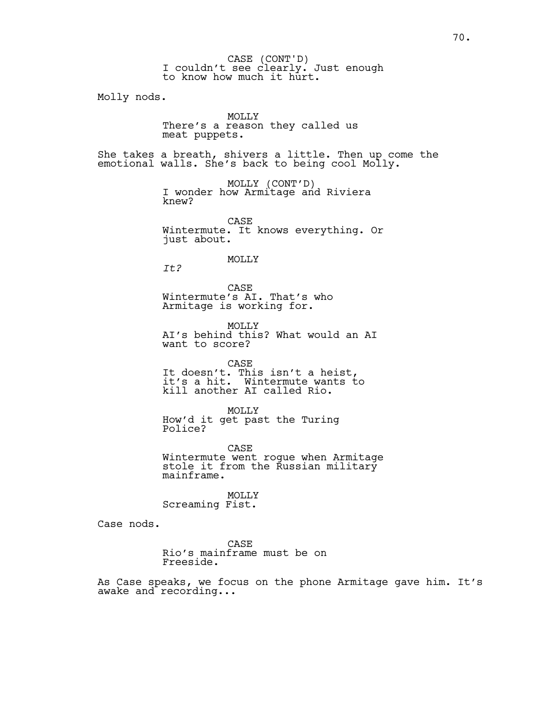I couldn't see clearly. Just enough to know how much it hurt. CASE (CONT'D)

Molly nods.

MOLLY There's a reason they called us meat puppets.

She takes a breath, shivers a little. Then up come the emotional walls. She's back to being cool Molly.

> MOLLY (CONT'D)<br>I wonder how Armitage and Riviera knew?

CASE Wintermute. It knows everything. Or just about.

#### MOLLY

*It?*

CASE Wintermute's AI. That's who Armitage is working for.

MOLLY AI's behind this? What would an AI want to score?

CASE It doesn't. This isn't a heist, it's a hit. Wintermute wants to kill another AI called Rio.

MOLLY How'd it get past the Turing Police?

CASE Wintermute went rogue when Armitage stole it from the Russian military mainframe.

MOLLY

Screaming Fist.

Case nods.

CASE Rio's mainframe must be on Freeside.

As Case speaks, we focus on the phone Armitage gave him. It's awake and recording...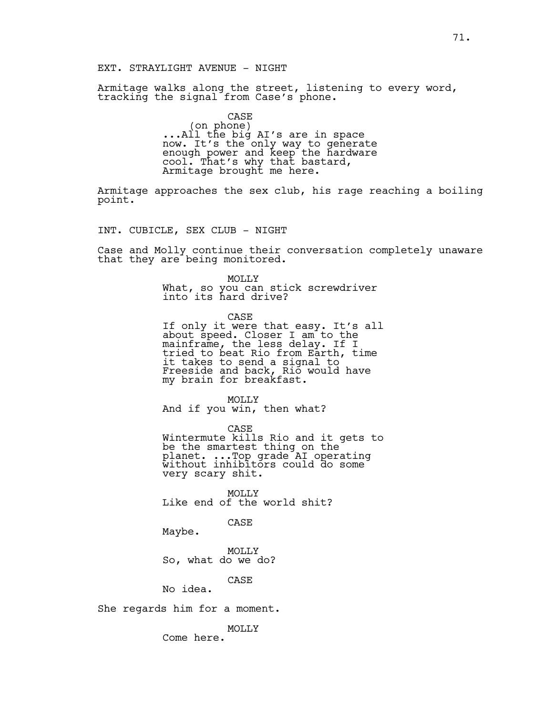#### EXT. STRAYLIGHT AVENUE - NIGHT

Armitage walks along the street, listening to every word, tracking the signal from Case's phone.

> CASE<br>(on phone) ...All the big AI's are in space now. It's the only way to generate enough power and keep the hardware cool. That's why that bastard, Armitage brought me here.

Armitage approaches the sex club, his rage reaching a boiling point.

INT. CUBICLE, SEX CLUB - NIGHT

Case and Molly continue their conversation completely unaware that they are being monitored.

> MOLLY What, so you can stick screwdriver into its hard drive?

CASE If only it were that easy. It's all about speed. Closer I am to the mainframe, the less delay. If I tried to beat Rio from Earth, time it takes to send a signal to Freeside and back, Rio would have my brain for breakfast.

MOLLY And if you win, then what?

CASE

Wintermute kills Rio and it gets to be the smartest thing on the planet. ...Top grade AI operating without inhibitors could do some very scary shit.

MOLLY Like end of the world shit?

CASE

Maybe.

MOLLY So, what do we do?

CASE

No idea.

She regards him for a moment.

MOLLY

Come here.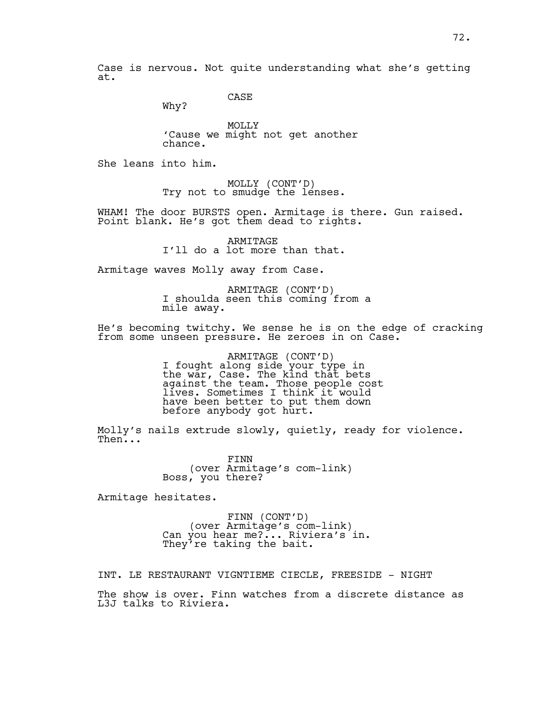Case is nervous. Not quite understanding what she's getting at.

CASE

Why?

MOLLY 'Cause we might not get another chance.

She leans into him.

MOLLY (CONT'D)<br>Try not to smudge the lenses.

WHAM! The door BURSTS open. Armitage is there. Gun raised. Point blank. He's got them dead to rights.

> ARMITAGE I'll do a lot more than that.

Armitage waves Molly away from Case.

ARMITAGE (CONT'D) I shoulda seen this coming from a mile away.

He's becoming twitchy. We sense he is on the edge of cracking from some unseen pressure. He zeroes in on Case.

> ARMITAGE (CONT'D)<br>I fought along side your type in the war, Case. The kind that bets against the team. Those people cost lives. Sometimes I think it would have been better to put them down before anybody got hurt.

Molly's nails extrude slowly, quietly, ready for violence. Then...

> FINN (over Armitage's com-link) Boss, you there?

Armitage hesitates.

FINN (CONT'D)<br>(over Armitage's com-link)<br>Can you hear me?... Riviera's in. They're taking the bait.

INT. LE RESTAURANT VIGNTIEME CIECLE, FREESIDE - NIGHT The show is over. Finn watches from a discrete distance as L3J talks to Riviera.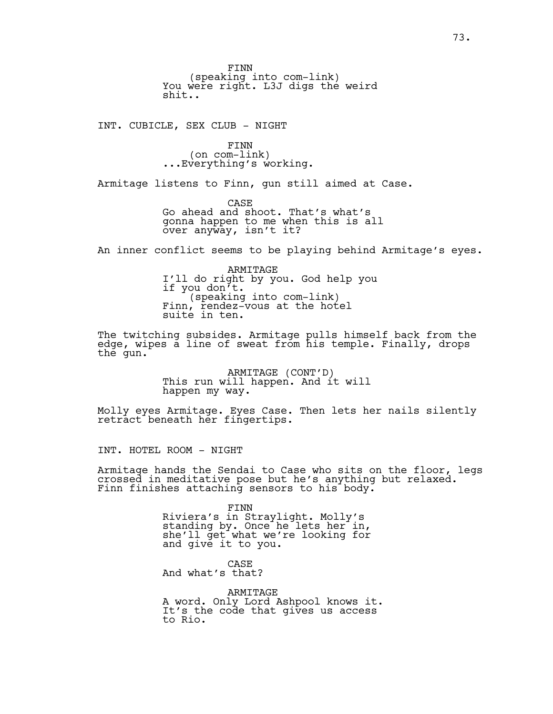FINN<br>(speaking into com-link) You were right. L3J digs the weird shit..

INT. CUBICLE, SEX CLUB - NIGHT

FINN<br>(on com-link) ...Everything's working.

Armitage listens to Finn, gun still aimed at Case.

CASE Go ahead and shoot. That's what's gonna happen to me when this is all over anyway, isn't it?

An inner conflict seems to be playing behind Armitage's eyes.

ARMITAGE I'll do right by you. God help you if you don't.<br>(speaking into com-link)<br>Finn, rendez-vous at the hotel suite in ten.

The twitching subsides. Armitage pulls himself back from the edge, wipes a line of sweat from his temple. Finally, drops the gun.

> ARMITAGE (CONT'D)<br>This run will happen. And it will happen my way.

Molly eyes Armitage. Eyes Case. Then lets her nails silently retract beneath her fingertips.

INT. HOTEL ROOM - NIGHT

Armitage hands the Sendai to Case who sits on the floor, legs crossed in meditative pose but he's anything but relaxed. Finn finishes attaching sensors to his body.

> FINN Riviera's in Straylight. Molly's standing by. Once he lets her in, she'll get what we're looking for and give it to you.

CASE And what's that?

ARMITAGE A word. Only Lord Ashpool knows it. It's the code that gives us access to Rio.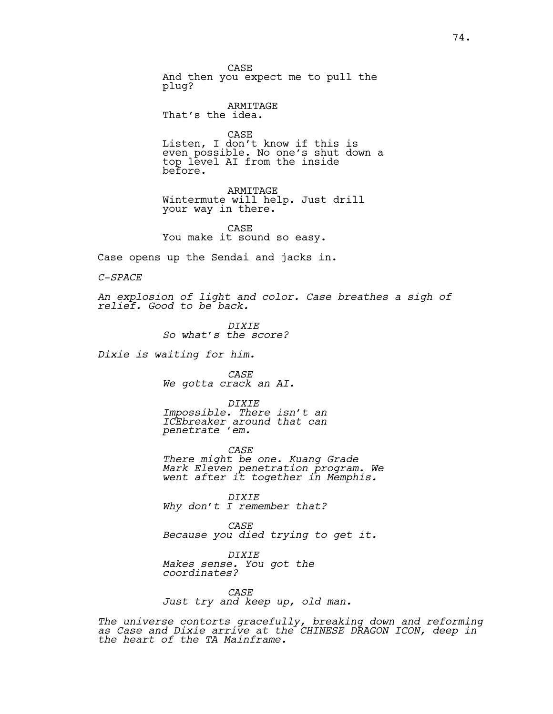CASE And then you expect me to pull the plug?

ARMITAGE That's the idea.

CASE Listen, I don't know if this is even possible. No one's shut down a top level AI from the inside before.

ARMITAGE Wintermute will help. Just drill your way in there.

CASE You make it sound so easy.

Case opens up the Sendai and jacks in.

*C-SPACE*

*An explosion of light and color. Case breathes a sigh of relief. Good to be back.*

> *DIXIE So what's the score?*

*Dixie is waiting for him.* 

*CASE We gotta crack an AI.*

*DIXIE Impossible. There isn't an ICEbreaker around that can penetrate 'em.*

*CASE There might be one. Kuang Grade Mark Eleven penetration program. We went after it together in Memphis.*

*DIXIE Why don't I remember that?*

*CASE Because you died trying to get it.*

*DIXIE Makes sense. You got the coordinates?*

*CASE Just try and keep up, old man.*

*The universe contorts gracefully, breaking down and reforming as Case and Dixie arrive at the CHINESE DRAGON ICON, deep in the heart of the TA Mainframe.*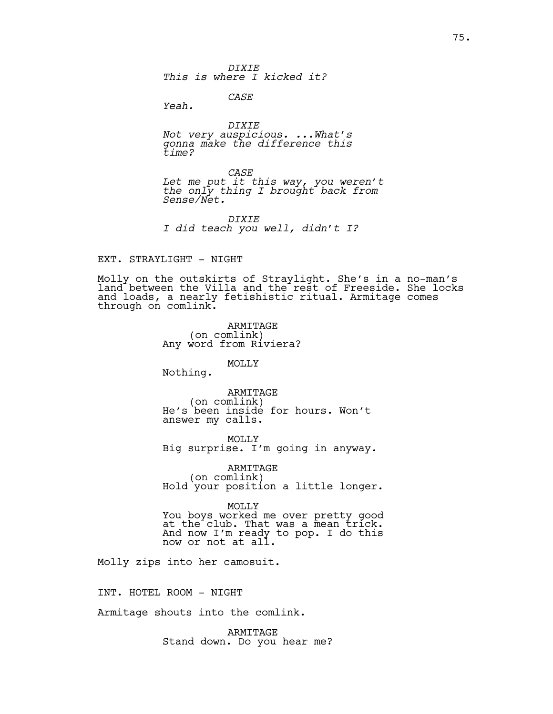*DIXIE This is where I kicked it?*

*CASE*

*Yeah.*

*DIXIE Not very auspicious. ...What's gonna make the difference this time?*

*CASE Let me put it this way, you weren't the only thing I brought back from Sense/Net.*

*DIXIE I did teach you well, didn't I?*

### EXT. STRAYLIGHT - NIGHT

Molly on the outskirts of Straylight. She's in a no-man's land between the Villa and the rest of Freeside. She locks and loads, a nearly fetishistic ritual. Armitage comes through on comlink.

> ARMITAGE (on comlink) Any word from Riviera?

### MOLLY

Nothing.

ARMITAGE<br>(on comlink) He's been inside for hours. Won't answer my calls.

MOLLY Big surprise. I'm going in anyway.

ARMITAGE<br>(on comlink) Hold your position a little longer.

MOLLY

You boys worked me over pretty good at the club. That was a mean trick. And now I'm ready to pop. I do this now or not at all.

Molly zips into her camosuit.

INT. HOTEL ROOM - NIGHT

Armitage shouts into the comlink.

ARMITAGE Stand down. Do you hear me?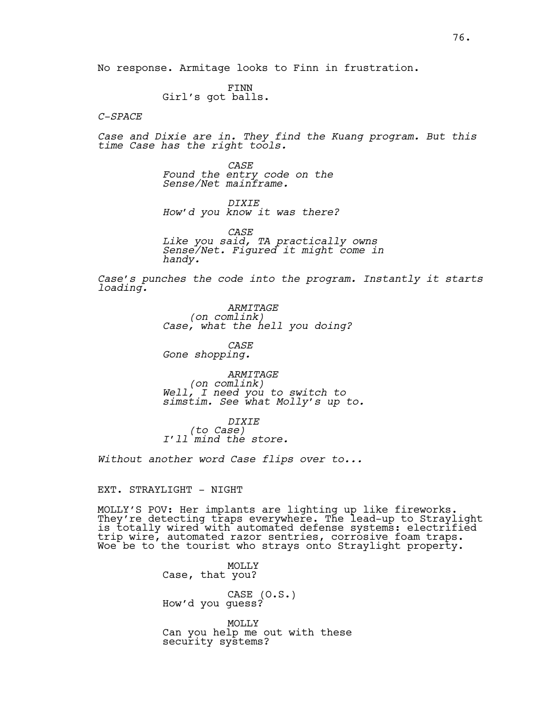No response. Armitage looks to Finn in frustration.

FINN Girl's got balls.

*C-SPACE*

*Case and Dixie are in. They find the Kuang program. But this time Case has the right tools.*

> *CASE Found the entry code on the Sense/Net mainframe.*

*DIXIE How'd you know it was there?*

*CASE Like you said, TA practically owns Sense/Net. Figured it might come in handy.*

*Case's punches the code into the program. Instantly it starts loading.* 

> *ARMITAGE*<br>(*on comlink*) *(on comlink) Case, what the hell you doing?*

*CASE Gone shopping.*

*ARMITAGE<br>(on comlink) (on comlink) Well, I need you to switch to simstim. See what Molly's up to.*

*DIXIE*<br>(to Case) *(to Case) I'll mind the store.*

*Without another word Case flips over to...*

EXT. STRAYLIGHT - NIGHT

MOLLY'S POV: Her implants are lighting up like fireworks. They're detecting traps everywhere. The lead-up to Straylight is totally wired with automated defense systems: electrified trip wire, automated razor sentries, corrosive foam traps. Woe be to the tourist who strays onto Straylight property.  $\;$ 

> MOLLY Case, that you? CASE (O.S.) How'd you guess?

MOLLY Can you help me out with these security systems?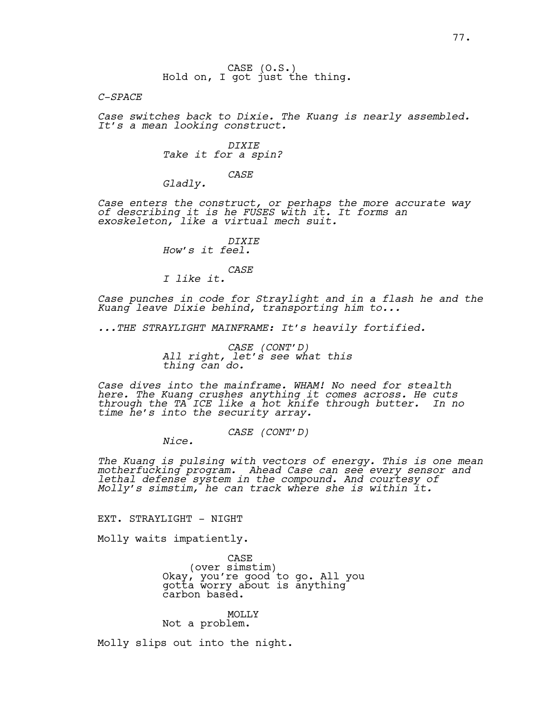CASE (O.S.)<br>Hold on, I got just the thing.

*C-SPACE*

*Case switches back to Dixie. The Kuang is nearly assembled. It's a mean looking construct.* 

> *DIXIE Take it for a spin?*

> > *CASE*

*Gladly.*

*Case enters the construct, or perhaps the more accurate way of describing it is he FUSES with it. It forms an exoskeleton, like a virtual mech suit.* 

> *DIXIE How's it feel.*

*CASE*

*I like it.*

*Case punches in code for Straylight and in a flash he and the Kuang leave Dixie behind, transporting him to...* 

*...THE STRAYLIGHT MAINFRAME: It's heavily fortified.* 

*CASE (CONT'D) All right, let's see what this thing can do.*

*Case dives into the mainframe. WHAM! No need for stealth here. The Kuang crushes anything it comes across. He cuts through the TA ICE like a hot knife through butter. In no time he's into the security array.* 

*CASE (CONT'D) Nice.* 

*The Kuang is pulsing with vectors of energy. This is one mean motherfucking program. Ahead Case can see every sensor and lethal defense system in the compound. And courtesy of Molly's simstim, he can track where she is within it.* 

EXT. STRAYLIGHT - NIGHT

Molly waits impatiently.

CASE<br>(over simstim) (over simstim) Okay, you're good to go. All you gotta worry about is anything carbon based.

### MOLLY

Not a problem.

Molly slips out into the night.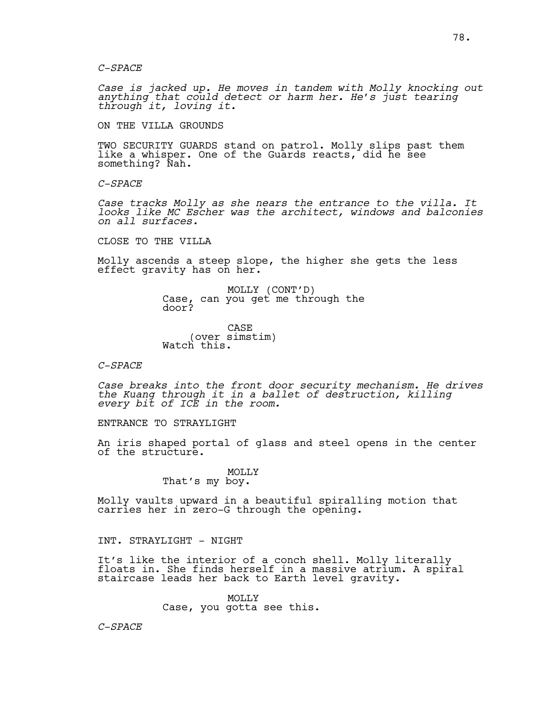*Case is jacked up. He moves in tandem with Molly knocking out anything that could detect or harm her. He's just tearing through it, loving it.*

ON THE VILLA GROUNDS

TWO SECURITY GUARDS stand on patrol. Molly slips past them like a whisper. One of the Guards reacts, did he see something? Nah.

*C-SPACE*

*Case tracks Molly as she nears the entrance to the villa. It looks like MC Escher was the architect, windows and balconies on all surfaces.* 

CLOSE TO THE VILLA

Molly ascends a steep slope, the higher she gets the less effect gravity has on her.

> MOLLY (CONT'D)<br>Case, can you get me through the door?

CASE (over simstim) Watch this.

### *C-SPACE*

*Case breaks into the front door security mechanism. He drives the Kuang through it in a ballet of destruction, killing every bit of ICE in the room.* 

ENTRANCE TO STRAYLIGHT

An iris shaped portal of glass and steel opens in the center of the structure.

> MOLLY That's my boy.

Molly vaults upward in a beautiful spiralling motion that carries her in zero-G through the opening.

### INT. STRAYLIGHT - NIGHT

It's like the interior of a conch shell. Molly literally floats in. She finds herself in a massive atrium. A spiral staircase leads her back to Earth level gravity.

> $MOT.T.Y$ Case, you gotta see this.

*C-SPACE*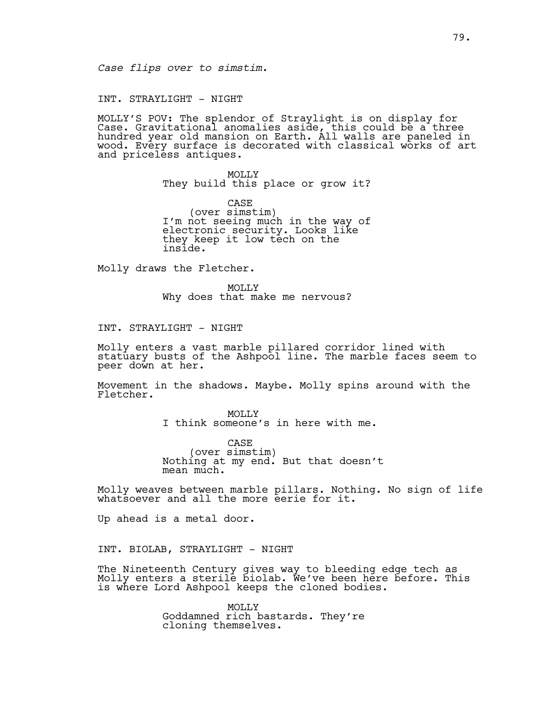### INT. STRAYLIGHT - NIGHT

MOLLY'S POV: The splendor of Straylight is on display for Case. Gravitational anomalies aside, this could be a three hundred year old mansion on Earth. All walls are paneled in wood. Every surface is decorated with classical works of art and priceless antiques.

> MOLLY They build this place or grow it?

> CASE<br>(over simstim) I'm not seeing much in the way of electronic security. Looks like they keep it low tech on the inside.

Molly draws the Fletcher.

MOLLY Why does that make me nervous?

INT. STRAYLIGHT - NIGHT

Molly enters a vast marble pillared corridor lined with statuary busts of the Ashpool line. The marble faces seem to peer down at her.

Movement in the shadows. Maybe. Molly spins around with the Fletcher.

> MOLLY<sub>N</sub> I think someone's in here with me.

CASE<br>(over simstim) Nothing at my end. But that doesn't mean much.

Molly weaves between marble pillars. Nothing. No sign of life whatsoever and all the more eerie for it.

Up ahead is a metal door.

INT. BIOLAB, STRAYLIGHT - NIGHT

The Nineteenth Century gives way to bleeding edge tech as Molly enters a sterile biolab. We've been here before. This is where Lord Ashpool keeps the cloned bodies.

> MOLLY Goddamned rich bastards. They're cloning themselves.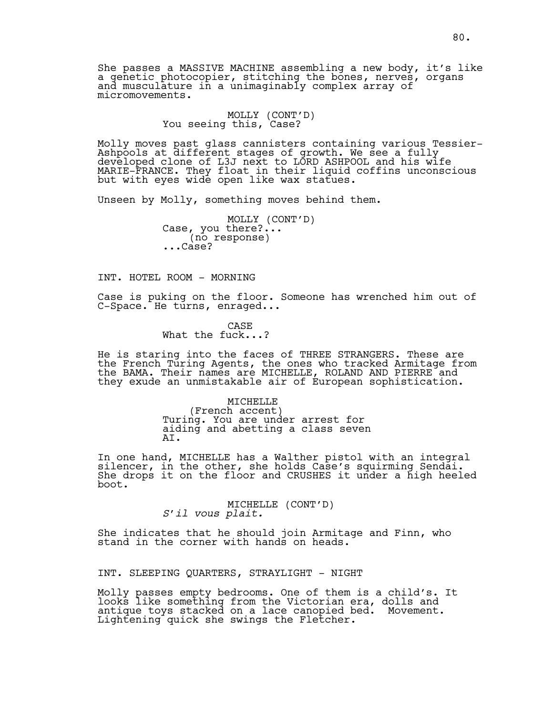She passes a MASSIVE MACHINE assembling a new body, it's like a genetic photocopier, stitching the bones, nerves, organs and musculature in a unimaginably complex array of micromovements.

MOLLY (CONT'D)<br>You seeing this, Case?

Molly moves past glass cannisters containing various Tessier-Ashpools at different stages of growth. We see a fully developed clone of L3J next to LORD ASHPOOL and his wife MARIE-FRANCE. They float in their liquid coffins unconscious but with eyes wide open like wax statues.

Unseen by Molly, something moves behind them.

MOLLY (CONT'D)<br>Case, you there?... (no response) ...Case?

INT. HOTEL ROOM - MORNING

Case is puking on the floor. Someone has wrenched him out of C-Space. He turns, enraged...

> CASE What the fuck...?

He is staring into the faces of THREE STRANGERS. These are the French Turing Agents, the ones who tracked Armitage from the BAMA. Their names are MICHELLE, ROLAND AND PIERRE and they exude an unmistakable air of European sophistication.

> MICHELLE<br>(French accent) Turing. You are under arrest for aiding and abetting a class seven AI.

In one hand, MICHELLE has a Walther pistol with an integral silencer, in the other, she holds Case's squirming Sendai. She drops it on the floor and CRUSHES it under a high heeled boot.

MICHELLE (CONT'D) *S'il vous plait.*

She indicates that he should join Armitage and Finn, who stand in the corner with hands on heads.

INT. SLEEPING QUARTERS, STRAYLIGHT - NIGHT

Molly passes empty bedrooms. One of them is a child's. It looks like something from the Victorian era, dolls and antique toys stacked on a lace canopied bed. Movement. Lightening quick she swings the Fletcher.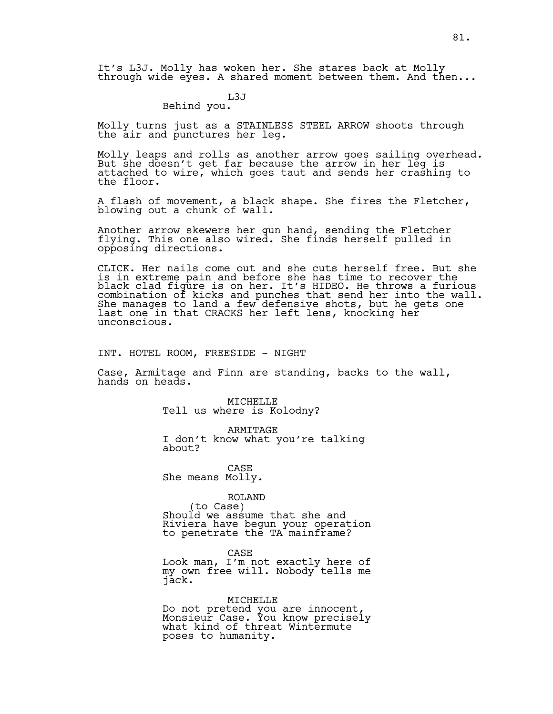It's L3J. Molly has woken her. She stares back at Molly through wide eyes. A shared moment between them. And then...

### L3J

### Behind you.

Molly turns just as a STAINLESS STEEL ARROW shoots through the air and punctures her leg.

Molly leaps and rolls as another arrow goes sailing overhead. But she doesn't get far because the arrow in her leg is attached to wire, which goes taut and sends her crashing to the floor.

A flash of movement, a black shape. She fires the Fletcher, blowing out a chunk of wall.

Another arrow skewers her gun hand, sending the Fletcher flying. This one also wired. She finds herself pulled in opposing directions.

CLICK. Her nails come out and she cuts herself free. But she is in extreme pain and before she has time to recover the black clad figure is on her. It's HIDEO. He throws a furious combination of kicks and punches that send her into the wall. She manages to land a few defensive shots, but he gets one last one in that CRACKS her left lens, knocking her unconscious.

INT. HOTEL ROOM, FREESIDE - NIGHT

Case, Armitage and Finn are standing, backs to the wall, hands on heads.

> MICHELLE Tell us where is Kolodny?

ARMITAGE I don't know what you're talking about?

CASE She means Molly.

ROLAND<br>(to Case) Should we assume that she and Riviera have begun your operation to penetrate the TA mainframe?

CASE Look man, I'm not exactly here of my own free will. Nobody tells me jack.

MICHELLE Do not pretend you are innocent, Monsieur Case. You know precisely what kind of threat Wintermute poses to humanity.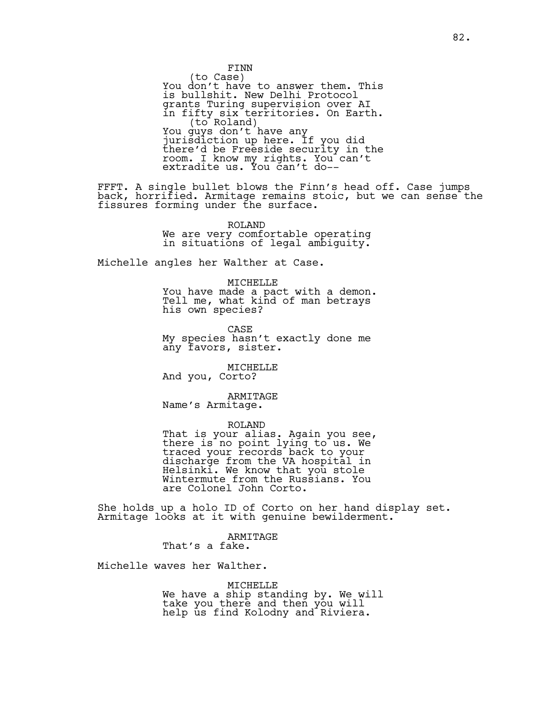FINN<br>(to Case) You don't have to answer them. This is bullshit. New Delhi Protocol grants Turing supervision over AI in fifty six territories. On Earth. (to Roland) You guys don't have any You guys don't have any<br>jurisdiction up here. If you did there'd be Freeside security in the room. I know my rights. You can't extradite us. You can't do--

FFFT. A single bullet blows the Finn's head off. Case jumps back, horrified. Armitage remains stoic, but we can sense the fissures forming under the surface.

> ROLAND We are very comfortable operating in situations of legal ambiguity.

Michelle angles her Walther at Case.

MICHELLE You have made a pact with a demon. Tell me, what kind of man betrays his own species?

CASE My species hasn't exactly done me any favors, sister.

MICHELLE And you, Corto?

ARMITAGE Name's Armitage.

ROLAND That is your alias. Again you see, there is no point lying to us. We traced your records back to your discharge from the VA hospital in Helsinki. We know that you stole Wintermute from the Russians. You are Colonel John Corto.

She holds up a holo ID of Corto on her hand display set. Armitage looks at it with genuine bewilderment.

> ARMITAGE That's a fake.

Michelle waves her Walther.

MICHELLE We have a ship standing by. We will take you there and then you will help us find Kolodny and Riviera.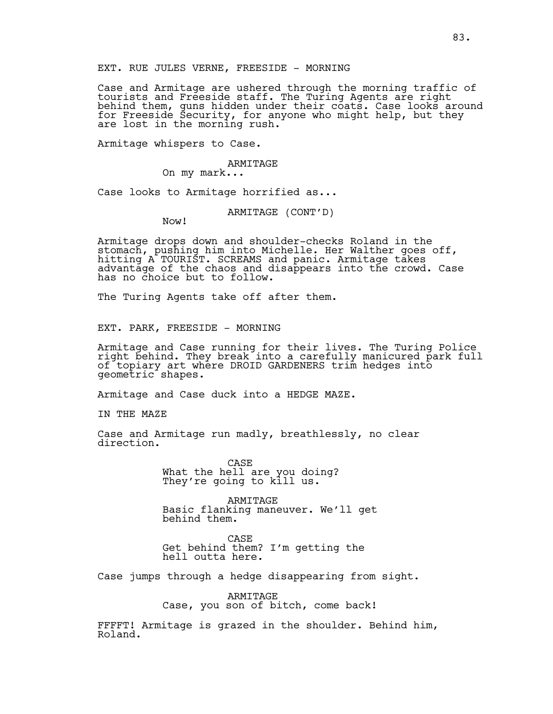EXT. RUE JULES VERNE, FREESIDE - MORNING

Case and Armitage are ushered through the morning traffic of tourists and Freeside staff. The Turing Agents are right behind them, guns hidden under their coats. Case looks around for Freeside Security, for anyone who might help, but they are lost in the morning rush.

Armitage whispers to Case.

ARMITAGE

On my mark...

Case looks to Armitage horrified as...

ARMITAGE (CONT'D)

Now!

Armitage drops down and shoulder-checks Roland in the stomach, pushing him into Michelle. Her Walther goes off, hitting A TOURIST. SCREAMS and panic. Armitage takes advantage of the chaos and disappears into the crowd. Case has no choice but to follow.

The Turing Agents take off after them.

EXT. PARK, FREESIDE - MORNING

Armitage and Case running for their lives. The Turing Police right behind. They break into a carefully manicured park full of topiary art where DROID GARDENERS trim hedges into geometric shapes.

Armitage and Case duck into a HEDGE MAZE.

IN THE MAZE

Case and Armitage run madly, breathlessly, no clear direction.

> CASE What the hell are you doing? They're going to kill us.

ARMITAGE Basic flanking maneuver. We'll get behind them.

CASE Get behind them? I'm getting the hell outta here.

Case jumps through a hedge disappearing from sight.

ARMITAGE Case, you son of bitch, come back!

FFFFT! Armitage is grazed in the shoulder. Behind him, Roland.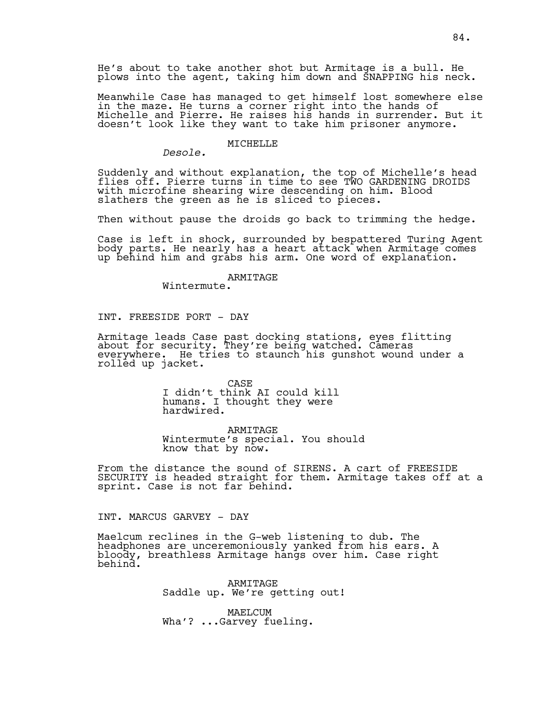He's about to take another shot but Armitage is a bull. He plows into the agent, taking him down and SNAPPING his neck.

Meanwhile Case has managed to get himself lost somewhere else in the maze. He turns a corner right into the hands of Michelle and Pierre. He raises his hands in surrender. But it doesn't look like they want to take him prisoner anymore.

### MICHELLE

*Desole.*

Suddenly and without explanation, the top of Michelle's head flies off. Pierre turns in time to see TWO GARDENING DROIDS with microfine shearing wire descending on him. Blood slathers the green as he is sliced to pieces.

Then without pause the droids go back to trimming the hedge.

Case is left in shock, surrounded by bespattered Turing Agent body parts. He nearly has a heart attack when Armitage comes up behind him and grabs his arm. One word of explanation.

### ARMITAGE

Wintermute.

INT. FREESIDE PORT - DAY

Armitage leads Case past docking stations, eyes flitting about for security. They're being watched. Cameras everywhere. He tries to staunch his gunshot wound under a rolled up jacket.

> CASE I didn't think AI could kill humans. I thought they were hardwired.

ARMITAGE Wintermute's special. You should know that by now.

From the distance the sound of SIRENS. A cart of FREESIDE SECURITY is headed straight for them. Armitage takes off at a sprint. Case is not far behind.

INT. MARCUS GARVEY - DAY

Maelcum reclines in the G-web listening to dub. The headphones are unceremoniously yanked from his ears. A bloody, breathless Armitage hangs over him. Case right behind.

> ARMITAGE Saddle up. We're getting out!

MAELCUM Wha'? ...Garvey fueling.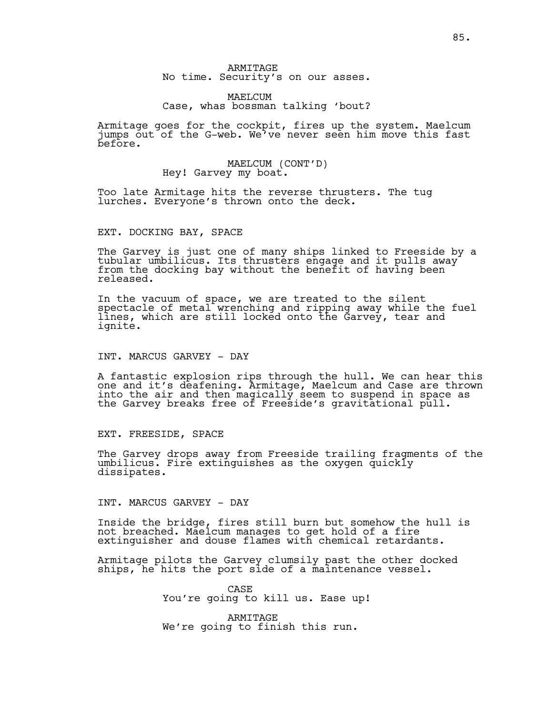### MAELCUM Case, whas bossman talking 'bout?

Armitage goes for the cockpit, fires up the system. Maelcum jumps out of the G-web. We've never seen him move this fast before.

# MAELCUM (CONT'D)<br>Hey! Garvey my boat.

Too late Armitage hits the reverse thrusters. The tug lurches. Everyone's thrown onto the deck.

### EXT. DOCKING BAY, SPACE

The Garvey is just one of many ships linked to Freeside by a tubular umbilicus. Its thrusters engage and it pulls away from the docking bay without the benefit of having been released.

In the vacuum of space, we are treated to the silent spectacle of metal wrenching and ripping away while the fuel lines, which are still locked onto the Garvey, tear and ignite.

### INT. MARCUS GARVEY - DAY

A fantastic explosion rips through the hull. We can hear this one and it's deafening. Armitage, Maelcum and Case are thrown into the air and then magically seem to suspend in space as the Garvey breaks free of Freeside's gravitational pull.

### EXT. FREESIDE, SPACE

The Garvey drops away from Freeside trailing fragments of the umbilicus. Fire extinguishes as the oxygen quickly dissipates.

INT. MARCUS GARVEY - DAY

Inside the bridge, fires still burn but somehow the hull is not breached. Maelcum manages to get hold of a fire extinguisher and douse flames with chemical retardants.

Armitage pilots the Garvey clumsily past the other docked ships, he hits the port side of a maintenance vessel.

> CASE You're going to kill us. Ease up!

ARMITAGE We're going to finish this run.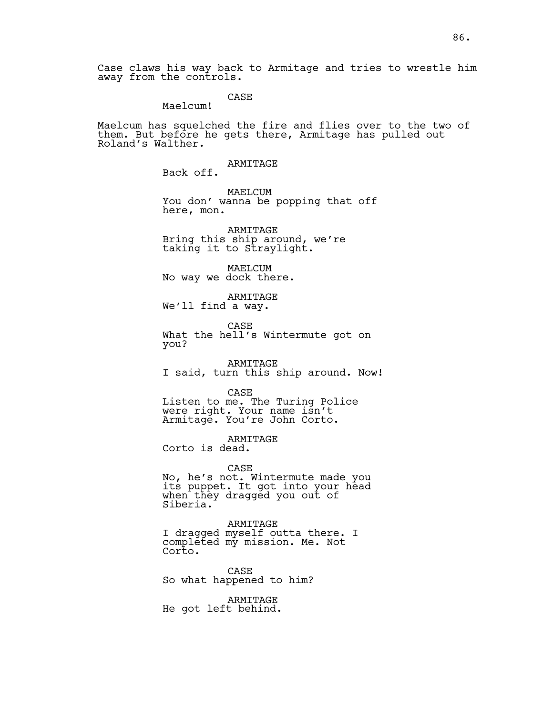### CASE

Maelcum!

Maelcum has squelched the fire and flies over to the two of them. But before he gets there, Armitage has pulled out Roland's Walther.

> ARMITAGE Back off.

MAELCUM You don' wanna be popping that off here, mon.

ARMITAGE Bring this ship around, we're taking it to Straylight.

MAELCUM No way we dock there.

ARMITAGE We'll find a way.

CASE What the hell's Wintermute got on you?

ARMITAGE I said, turn this ship around. Now!

CASE Listen to me. The Turing Police were right. Your name isn't Armitage. You're John Corto.

ARMITAGE Corto is dead.

CASE No, he's not. Wintermute made you its puppet. It got into your head when they dragged you out of Siberia.

ARMITAGE I dragged myself outta there. I completed my mission. Me. Not Corto.

CASE So what happened to him?

ARMITAGE He got left behind.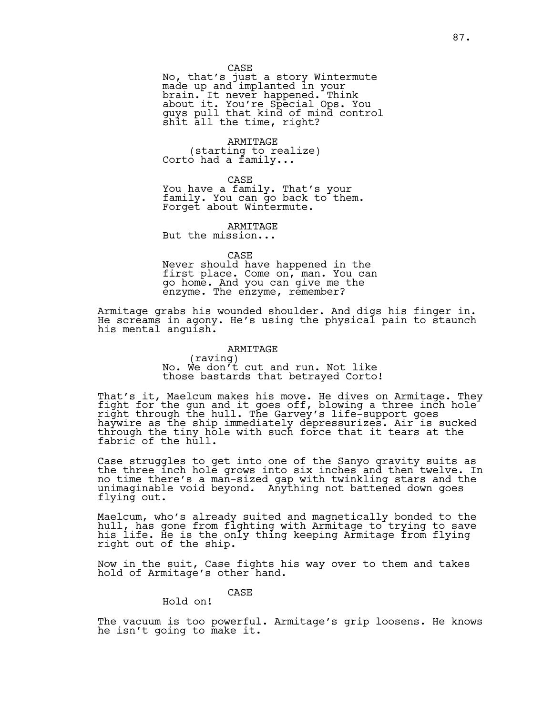No, that's just a story Wintermute made up and implanted in your brain. It never happened. Think about it. You're Special Ops. You guys pull that kind of mind control shit all the time, right?

ARMITAGE<br>(starting to realize) Corto had a family...

CASE You have a family. That's your family. You can go back to them. Forget about Wintermute.

ARMITAGE But the mission...

CASE

Never should have happened in the first place. Come on, man. You can go home. And you can give me the enzyme. The enzyme, remember?

Armitage grabs his wounded shoulder. And digs his finger in. He screams in agony. He's using the physical pain to staunch his mental anguish.

### ARMITAGE

(raving) No. We don't cut and run. Not like those bastards that betrayed Corto!

That's it, Maelcum makes his move. He dives on Armitage. They fight for the gun and it goes off, blowing a three inch hole right through the hull. The Garvey's life-support goes haywire as the ship immediately depressurizes. Air is sucked through the tiny hole with such force that it tears at the fabric of the hull.

Case struggles to get into one of the Sanyo gravity suits as the three inch hole grows into six inches and then twelve. In no time there's a man-sized gap with twinkling stars and the unimaginable void beyond. Anything not battened down goes flying out.

Maelcum, who's already suited and magnetically bonded to the hull, has gone from fighting with Armitage to trying to save his life. He is the only thing keeping Armitage from flying right out of the ship.

Now in the suit, Case fights his way over to them and takes hold of Armitage's other hand.

CASE

Hold on!

The vacuum is too powerful. Armitage's grip loosens. He knows he isn't going to make it.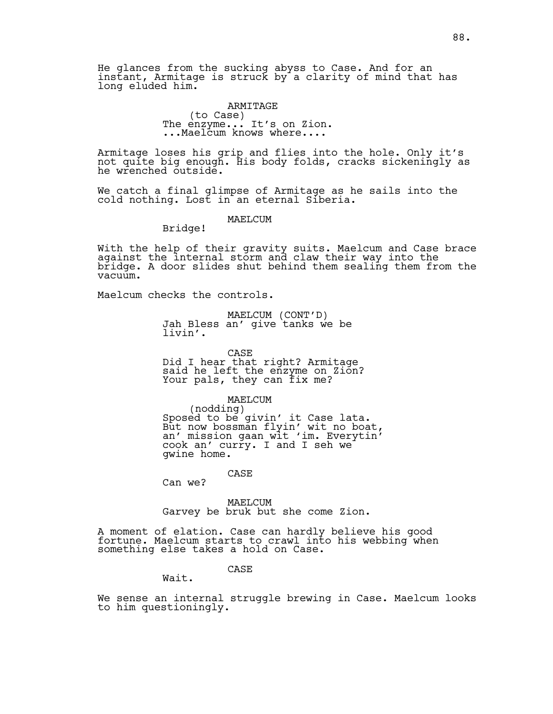He glances from the sucking abyss to Case. And for an instant, Armitage is struck by a clarity of mind that has long eluded him.

## ARMITAGE<br>(to Case) (to Case) The enzyme... It's on Zion. ...Maelcum knows where....

Armitage loses his grip and flies into the hole. Only it's not quite big enough. His body folds, cracks sickeningly as he wrenched outside.

We catch a final glimpse of Armitage as he sails into the cold nothing. Lost in an eternal Siberia.

### MAELCUM

Bridge!

With the help of their gravity suits. Maelcum and Case brace against the internal storm and claw their way into the bridge. A door slides shut behind them sealing them from the vacuum.

Maelcum checks the controls.

MAELCUM (CONT'D) Jah Bless an' give tanks we be livin'.

CASE Did I hear that right? Armitage said he left the enzyme on Zion? Your pals, they can fix me?

MAELCUM<br>(nodding) (nodding) Sposed to be givin' it Case lata. But now bossman flyin' wit no boat, an' mission gaan wit 'im. Everytin' cook an' curry. I and I seh we gwine home.

CASE

Can we?

MAELCUM Garvey be bruk but she come Zion.

A moment of elation. Case can hardly believe his good fortune. Maelcum starts to crawl into his webbing when something else takes a hold on Case.

CASE

Wait.

We sense an internal struggle brewing in Case. Maelcum looks to him questioningly.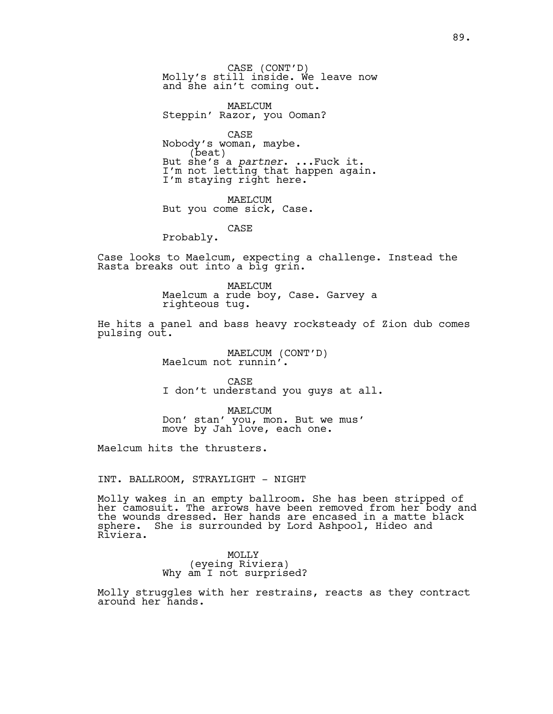CASE (CONT'D)<br>Molly's still inside. We leave now and she ain't coming out.

MAELCUM Steppin' Razor, you Ooman?

CASE Nobody's woman, maybe. (beat) But she's a *partner*. ...Fuck it. I'm not letting that happen again. I'm staying right here.

MAELCUM But you come sick, Case.

CASE

Probably.

Case looks to Maelcum, expecting a challenge. Instead the Rasta breaks out into a big grin.

> MAELCUM Maelcum a rude boy, Case. Garvey a righteous tug.

He hits a panel and bass heavy rocksteady of Zion dub comes pulsing out.

MAELCUM (CONT'D)<br>Maelcum not runnin'.

CASE I don't understand you guys at all.

MAELCUM Don' stan' you, mon. But we mus' move by Jah love, each one.

Maelcum hits the thrusters.

### INT. BALLROOM, STRAYLIGHT - NIGHT

Molly wakes in an empty ballroom. She has been stripped of her camosuit. The arrows have been removed from her body and the wounds dressed. Her hands are encased in a matte black sphere. She is surrounded by Lord Ashpool, Hideo and Riviera.

> MOLLY (eyeing Riviera) Why am I not surprised?

Molly struggles with her restrains, reacts as they contract around her hands.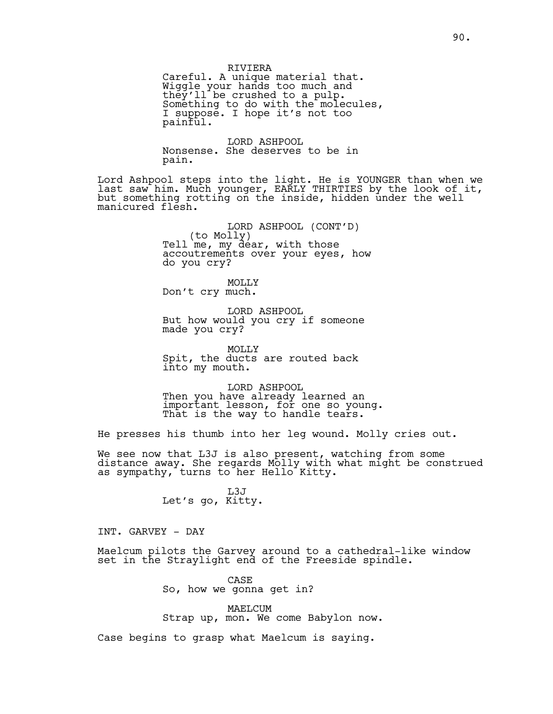Careful. A unique material that. Wiggle your hands too much and they'll be crushed to a pulp. Something to do with the molecules, I suppose. I hope it's not too painful.

LORD ASHPOOL Nonsense. She deserves to be in pain.

Lord Ashpool steps into the light. He is YOUNGER than when we last saw him. Much younger, EARLY THIRTIES by the look of it, but something rotting on the inside, hidden under the well manicured flesh.

> LORD ASHPOOL (CONT'D)<br>(to Molly)<br>Tell me, my dear, with those accoutrements over your eyes, how do you cry?

MOLLY Don't cry much.

LORD ASHPOOL But how would you cry if someone made you cry?

MOLLY Spit, the ducts are routed back into my mouth.

LORD ASHPOOL Then you have already learned an important lesson, for one so young. That is the way to handle tears.

He presses his thumb into her leg wound. Molly cries out.

We see now that L3J is also present, watching from some distance away. She regards Molly with what might be construed as sympathy, turns to her Hello Kitty.

> L3J Let's go, Kitty.

INT. GARVEY - DAY

Maelcum pilots the Garvey around to a cathedral-like window set in the Straylight end of the Freeside spindle.

> CASE So, how we gonna get in?

MAELCUM Strap up, mon. We come Babylon now.

Case begins to grasp what Maelcum is saying.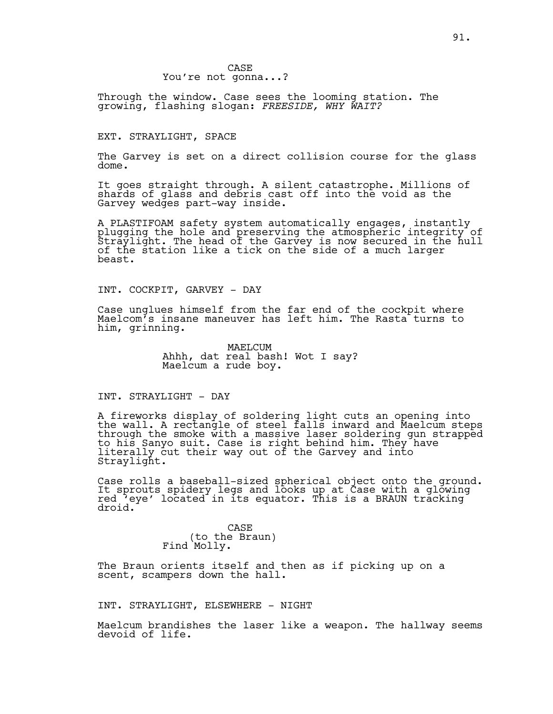CASE You're not gonna...?

Through the window. Case sees the looming station. The growing, flashing slogan: *FREESIDE, WHY WAIT?*

### EXT. STRAYLIGHT, SPACE

The Garvey is set on a direct collision course for the glass dome.

It goes straight through. A silent catastrophe. Millions of shards of glass and debris cast off into the void as the Garvey wedges part-way inside.

A PLASTIFOAM safety system automatically engages, instantly plugging the hole and preserving the atmospheric integrity of Straylight. The head of the Garvey is now secured in the hull of the station like a tick on the side of a much larger beast.

INT. COCKPIT, GARVEY - DAY

Case unglues himself from the far end of the cockpit where Maelcom's insane maneuver has left him. The Rasta turns to him, grinning.

> MAELCUM Ahhh, dat real bash! Wot I say? Maelcum a rude boy.

INT. STRAYLIGHT - DAY

A fireworks display of soldering light cuts an opening into the wall. A rectangle of steel falls inward and Maelcum steps through the smoke with a massive laser soldering gun strapped to his Sanyo suit. Case is right behind him. They have literally cut their way out of the Garvey and into Straylight.

Case rolls a baseball-sized spherical object onto the ground. It sprouts spidery legs and looks up at Case with a glowing red 'eye' located in its equator. This is a BRAUN tracking droid.

> CASE (to the Braun) Find Molly.

The Braun orients itself and then as if picking up on a scent, scampers down the hall.

INT. STRAYLIGHT, ELSEWHERE - NIGHT

Maelcum brandishes the laser like a weapon. The hallway seems devoid of life.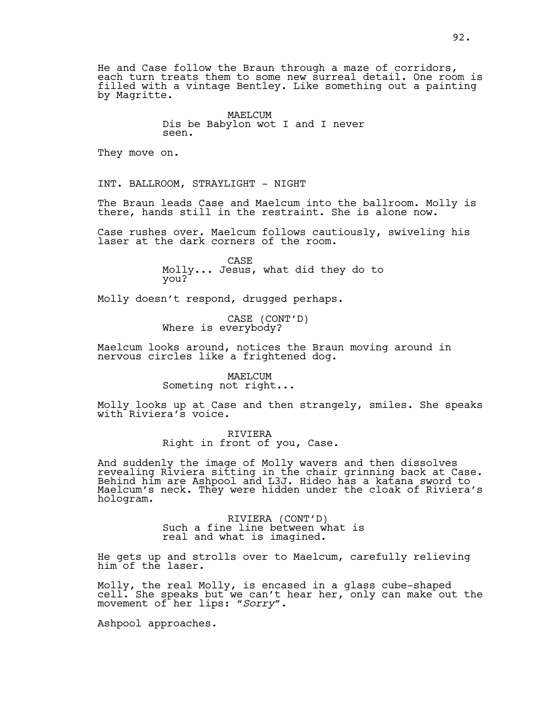He and Case follow the Braun through a maze of corridors, each turn treats them to some new surreal detail. One room is filled with a vintage Bentley. Like something out a painting by Magritte.

> MAELCUM Dis be Babylon wot I and I never seen.

They move on.

INT. BALLROOM, STRAYLIGHT - NIGHT

The Braun leads Case and Maelcum into the ballroom. Molly is there, hands still in the restraint. She is alone now.

Case rushes over. Maelcum follows cautiously, swiveling his laser at the dark corners of the room.

> CASE Molly... Jesus, what did they do to you?

Molly doesn't respond, drugged perhaps.

CASE (CONT'D) Where is everybody?

Maelcum looks around, notices the Braun moving around in nervous circles like a frightened dog.

> MAELCUM Someting not right...

Molly looks up at Case and then strangely, smiles. She speaks with Riviera's voice.

> RIVIERA Right in front of you, Case.

And suddenly the image of Molly wavers and then dissolves revealing Riviera sitting in the chair grinning back at Case. Behind him are Ashpool and L3J. Hideo has a katana sword to Maelcum's neck. They were hidden under the cloak of Riviera's hologram.

> RIVIERA (CONT'D)<br>Such a fine line between what is real and what is imagined.

He gets up and strolls over to Maelcum, carefully relieving him of the laser.

Molly, the real Molly, is encased in a glass cube-shaped cell. She speaks but we can't hear her, only can make out the movement of her lips: *"Sorry".*

Ashpool approaches.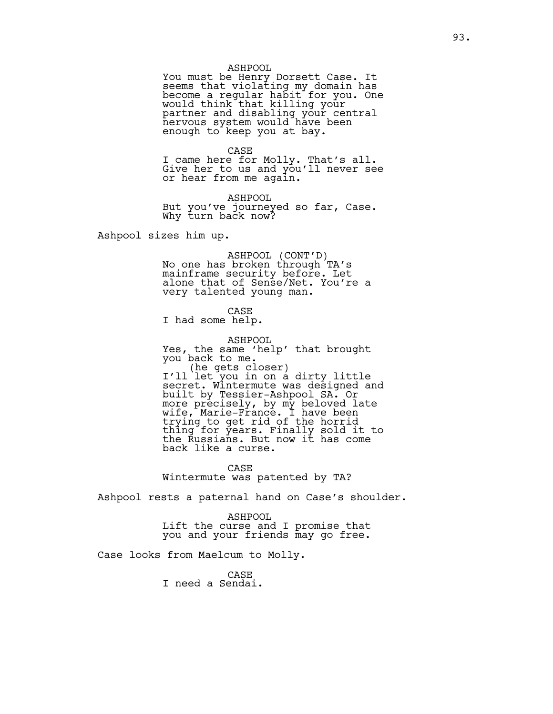### ASHPOOL

You must be Henry Dorsett Case. It seems that violating my domain has become a regular habit for you. One would think that killing your partner and disabling your central nervous system would have been enough to keep you at bay.

### CASE

I came here for Molly. That's all. Give her to us and you'll never see or hear from me again.

ASHPOOL But you've journeyed so far, Case. Why turn back now?

Ashpool sizes him up.

ASHPOOL (CONT'D) No one has broken through TA's mainframe security before. Let alone that of Sense/Net. You're a very talented young man.

CASE

I had some help.

ASHPOOL Yes, the same 'help' that brought you back to me. .<br>I'll let you in on a dirty little<br>I'll let you in on a dirty little secret. Wintermute was designed and built by Tessier-Ashpool SA. Or more precisely, by my beloved late wife, Marie-France. I have been trying to get rid of the horrid thing for years. Finally sold it to the Russians. But now it has come back like a curse.

CASE Wintermute was patented by TA?

Ashpool rests a paternal hand on Case's shoulder.

ASHPOOL Lift the curse and I promise that you and your friends may go free.

Case looks from Maelcum to Molly.

CASE I need a Sendai.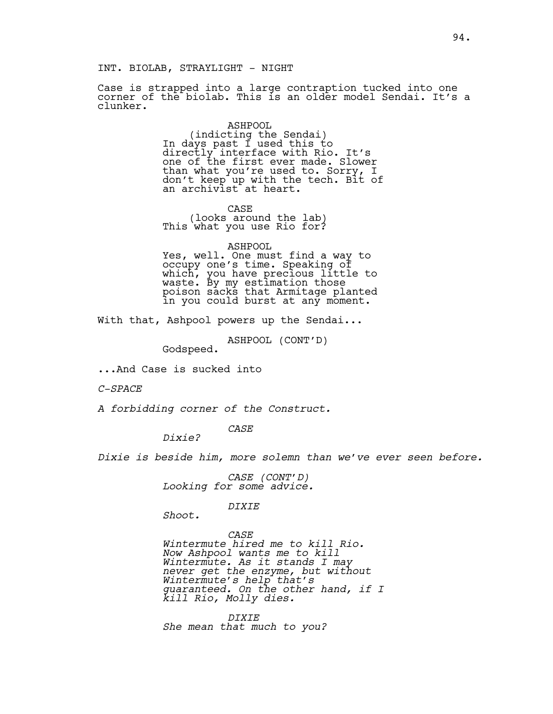INT. BIOLAB, STRAYLIGHT - NIGHT

Case is strapped into a large contraption tucked into one corner of the biolab. This is an older model Sendai. It's a clunker.

> ASHPOOL (indicting the Sendai) In days past I used this to directly interface with Rio. It's one of the first ever made. Slower than what you're used to. Sorry, I don't keep up with the tech. Bit of an archivist at heart.

CASE (looks around the lab) This what you use Rio for?

ASHPOOL

Yes, well. One must find a way to occupy one's time. Speaking of which, you have precious little to waste. By my estimation those poison sacks that Armitage planted in you could burst at any moment.

With that, Ashpool powers up the Sendai...

ASHPOOL (CONT'D) Godspeed.

...And Case is sucked into

*C-SPACE*

*A forbidding corner of the Construct.*

*CASE Dixie?* 

*Dixie is beside him, more solemn than we've ever seen before.*

*CASE (CONT'D) Looking for some advice.*

*DIXIE*

*Shoot.*

*CASE Wintermute hired me to kill Rio. Now Ashpool wants me to kill Wintermute. As it stands I may never get the enzyme, but without Wintermute's help that's guaranteed. On the other hand, if I kill Rio, Molly dies.* 

*DIXIE She mean that much to you?*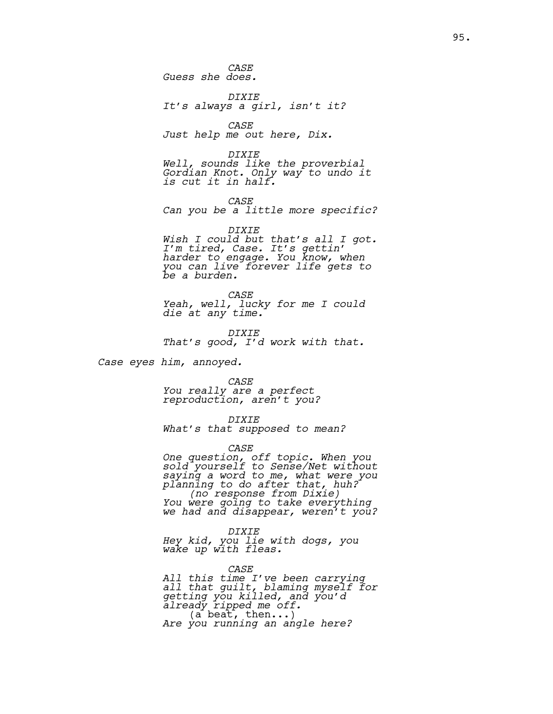*CASE Guess she does.*

*DIXIE It's always a girl, isn't it?*

*CASE Just help me out here, Dix.*

*DIXIE Well, sounds like the proverbial Gordian Knot. Only way to undo it is cut it in half.*

*CASE Can you be a little more specific?*

*DIXIE Wish I could but that's all I got. I'm tired, Case. It's gettin' harder to engage. You know, when you can live forever life gets to be a burden.* 

*CASE Yeah, well, lucky for me I could die at any time.* 

*DIXIE That's good, I'd work with that.*

*Case eyes him, annoyed.*

*CASE You really are a perfect reproduction, aren't you?*

*DIXIE What's that supposed to mean?*

*CASE*

*One question, off topic. When you sold yourself to Sense/Net without saying a word to me, what were you planning to do after that, huh? (no response from Dixie) You were going to take everything we had and disappear, weren't you?*

*DIXIE Hey kid, you lie with dogs, you wake up with fleas.* 

*CASE All this time I've been carrying all that guilt, blaming myself for getting you killed, and you'd already ripped me off.* (a beat, then...) *Are you running an angle here?*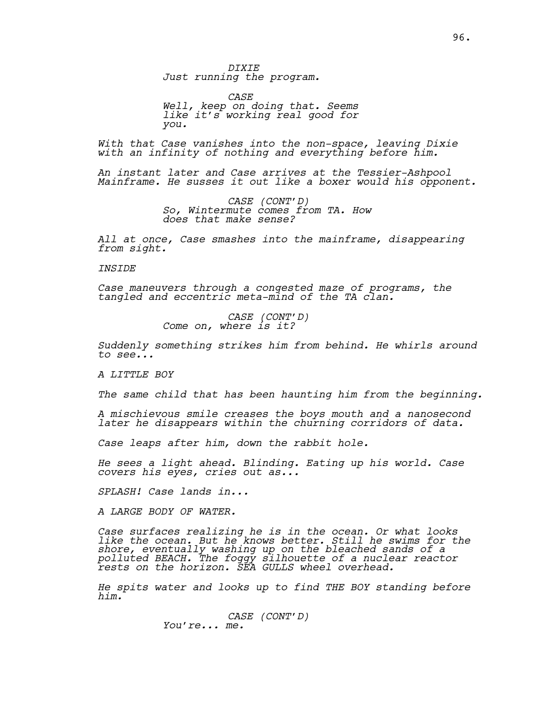*DIXIE Just running the program.* 

*CASE Well, keep on doing that. Seems like it's working real good for you.*

*With that Case vanishes into the non-space, leaving Dixie with an infinity of nothing and everything before him.* 

*An instant later and Case arrives at the Tessier-Ashpool Mainframe. He susses it out like a boxer would his opponent.* 

> *CASE (CONT'D) So, Wintermute comes from TA. How does that make sense?*

*All at once, Case smashes into the mainframe, disappearing from sight.* 

*INSIDE*

*Case maneuvers through a congested maze of programs, the tangled and eccentric meta-mind of the TA clan.* 

*CASE (CONT'D) Come on, where is it?*

*Suddenly something strikes him from behind. He whirls around to see...*

*A LITTLE BOY*

*The same child that has been haunting him from the beginning.* 

*A mischievous smile creases the boys mouth and a nanosecond later he disappears within the churning corridors of data.*

*Case leaps after him, down the rabbit hole.*

*He sees a light ahead. Blinding. Eating up his world. Case covers his eyes, cries out as...*

*SPLASH! Case lands in...* 

*A LARGE BODY OF WATER.*

*Case surfaces realizing he is in the ocean. Or what looks like the ocean. But he knows better. Still he swims for the shore, eventually washing up on the bleached sands of a polluted BEACH. The foggy silhouette of a nuclear reactor rests on the horizon. SEA GULLS wheel overhead.*

*He spits water and looks up to find THE BOY standing before him.* 

> *CASE (CONT'D) You're... me.*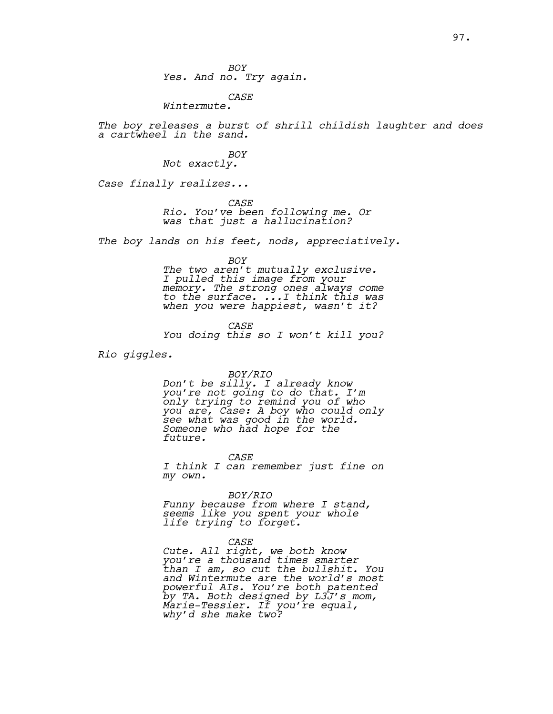*BOY Yes. And no. Try again.*

*CASE*

*Wintermute.*

*The boy releases a burst of shrill childish laughter and does a cartwheel in the sand.*

> *BOY Not exactly.*

*Case finally realizes...*

*CASE*

*Rio. You've been following me. Or was that just a hallucination?*

*The boy lands on his feet, nods, appreciatively.*

*BOY*

*The two aren't mutually exclusive. I pulled this image from your memory. The strong ones always come to the surface. ...I think this was when you were happiest, wasn't it?*

*CASE You doing this so I won't kill you?*

*Rio giggles.*

*BOY/RIO*

*Don't be silly. I already know you're not going to do that. I'm only trying to remind you of who you are, Case: A boy who could only see what was good in the world. Someone who had hope for the future.*

*CASE I think I can remember just fine on my own.*

*BOY/RIO*

*Funny because from where I stand, seems like you spent your whole life trying to forget.* 

*CASE*

*Cute. All right, we both know you're a thousand times smarter than I am, so cut the bullshit. You and Wintermute are the world's most powerful AIs. You're both patented by TA. Both designed by L3J's mom, Marie-Tessier. If you're equal, why'd she make two?*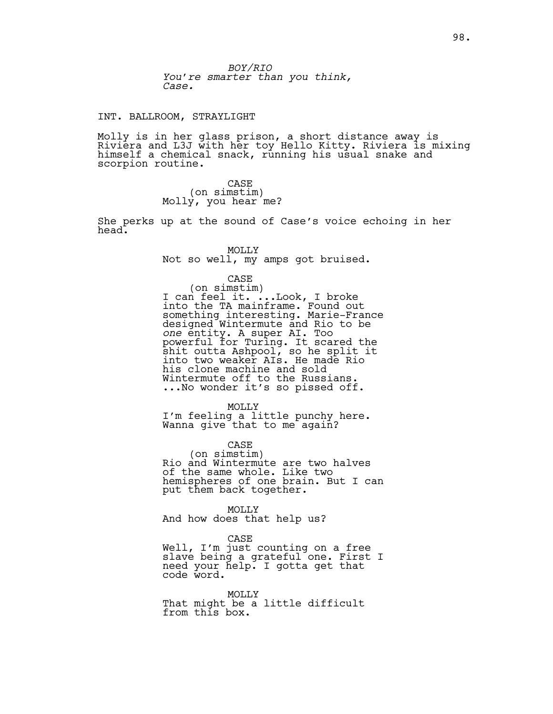*BOY/RIO You're smarter than you think, Case.*

### INT. BALLROOM, STRAYLIGHT

Molly is in her glass prison, a short distance away is Riviera and L3J with her toy Hello Kitty. Riviera is mixing himself a chemical snack, running his usual snake and scorpion routine.

> CASE<br>(on simstim) Molly, you hear me?

She perks up at the sound of Case's voice echoing in her head.

> MOLLY Not so well, my amps got bruised.

CASE<br>(on simstim) (on simstim) I can feel it. ...Look, I broke into the TA mainframe. Found out something interesting. Marie-France designed Wintermute and Rio to be *one* entity. A super AI. Too powerful for Turing. It scared the shit outta Ashpool, so he split it into two weaker AIs. He made Rio his clone machine and sold Wintermute off to the Russians. ...No wonder it's so pissed off.

MOLLY I'm feeling a little punchy here. Wanna give that to me again?

CASE<br>(on simstim) Rio and Wintermute are two halves of the same whole. Like two hemispheres of one brain. But I can put them back together.

MOLLY And how does that help us?

CASE Well, I'm just counting on a free slave being a grateful one. First I need your help. I gotta get that code word.

MOLLY That might be a little difficult from this box.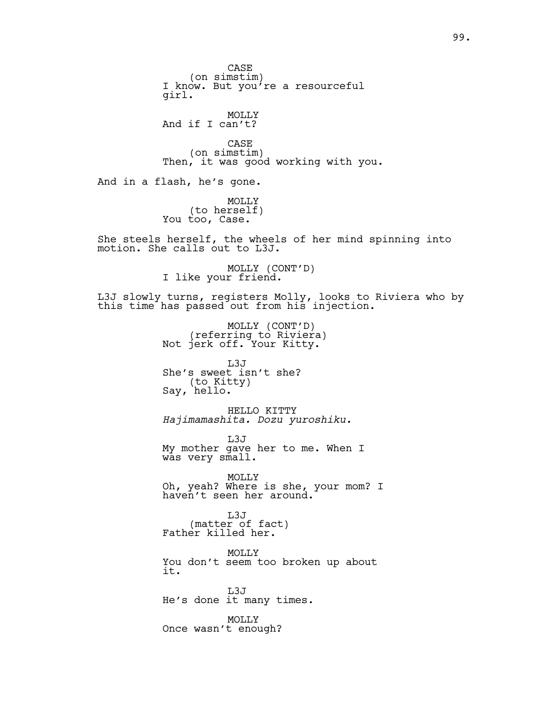CASE<br>(on simstim) I know. But you're a resourceful girl. MOLLY And if I can't? CASE<br>(on simstim) Then, it was good working with you. And in a flash, he's gone. MOLLY (to herself) You too, Case. She steels herself, the wheels of her mind spinning into motion. She calls out to L3J. MOLLY (CONT'D)<br>I like your friend. L3J slowly turns, registers Molly, looks to Riviera who by this time has passed out from his injection. MOLLY (CONT'D)<br>(referring to Riviera) (referring to Riviera)<br>Not jerk off. Your Kitty. L3J She's sweet isn't she? Say, hello. HELLO KITTY *Hajimamashita. Dozu yuroshiku.* L3J My mother gave her to me. When I was very small. MOLLY Oh, yeah? Where is she, your mom? I haven't seen her around. L3J (matter of fact)<br>Father killed her. MOLLY You don't seem too broken up about it. L3J He's done it many times. MOLLY Once wasn't enough?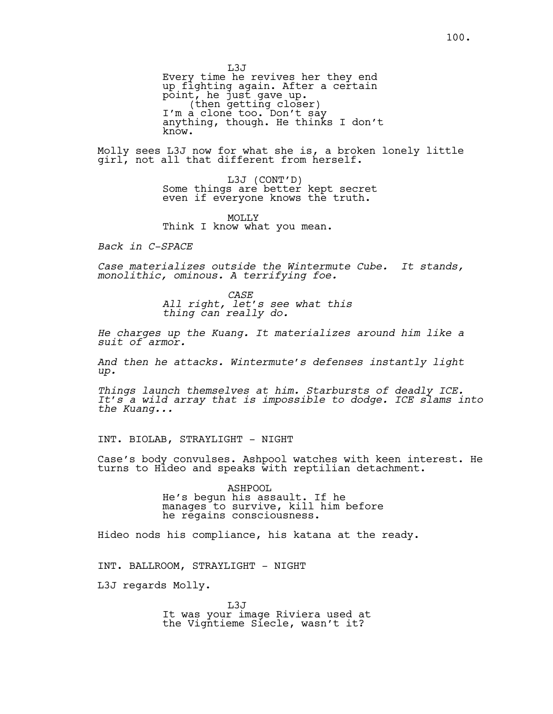L3J Every time he revives her they end up fighting again. After a certain point, he just gave up.<br>^ (then getting closer)<br>I'm a clone too. Don't say anything, though. He thinks I don't know.

Molly sees L3J now for what she is, a broken lonely little girl, not all that different from herself.

> L3J (CONT'D)<br>Some things are better kept secret even if everyone knows the truth.

MOLLY Think I know what you mean.

*Back in C-SPACE*

*Case materializes outside the Wintermute Cube. It stands, monolithic, ominous. A terrifying foe.*

> *CASE All right, let's see what this thing can really do.*

*He charges up the Kuang. It materializes around him like a suit of armor.* 

*And then he attacks. Wintermute's defenses instantly light up.* 

*Things launch themselves at him. Starbursts of deadly ICE. It's a wild array that is impossible to dodge. ICE slams into the Kuang...*

INT. BIOLAB, STRAYLIGHT - NIGHT

Case's body convulses. Ashpool watches with keen interest. He turns to Hideo and speaks with reptilian detachment.

> ASHPOOL He's begun his assault. If he manages to survive, kill him before he regains consciousness.

Hideo nods his compliance, his katana at the ready.

INT. BALLROOM, STRAYLIGHT - NIGHT

L3J regards Molly.

L3J It was your image Riviera used at the Vigntieme Siecle, wasn't it?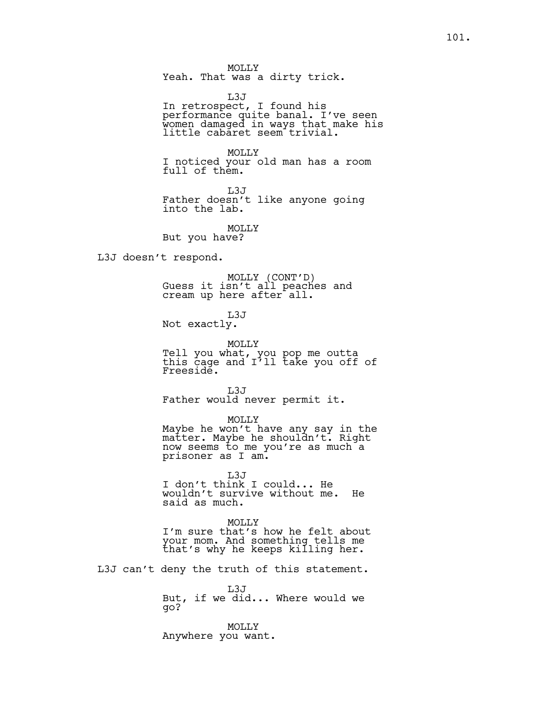L3J In retrospect, I found his performance quite banal. I've seen women damaged in ways that make his little cabaret seem trivial.

MOLLY I noticed your old man has a room full of them.

L3J Father doesn't like anyone going into the lab.

MOLLY But you have?

L3J doesn't respond.

MOLLY (CONT'D)<br>Guess it isn't all peaches and cream up here after all.

L3J Not exactly.

MOLLY Tell you what, you pop me outta this cage and I'll take you off of

Freeside. L3J

Father would never permit it.

MOLLY

Maybe he won't have any say in the matter. Maybe he shouldn't. Right now seems to me you're as much a prisoner as I am.

L3J I don't think I could... He wouldn't survive without me. He said as much.

MOLLY

I'm sure that's how he felt about your mom. And something tells me that's why he keeps killing her.

L3J can't deny the truth of this statement.

L3J But, if we did... Where would we go?

MOLLY Anywhere you want.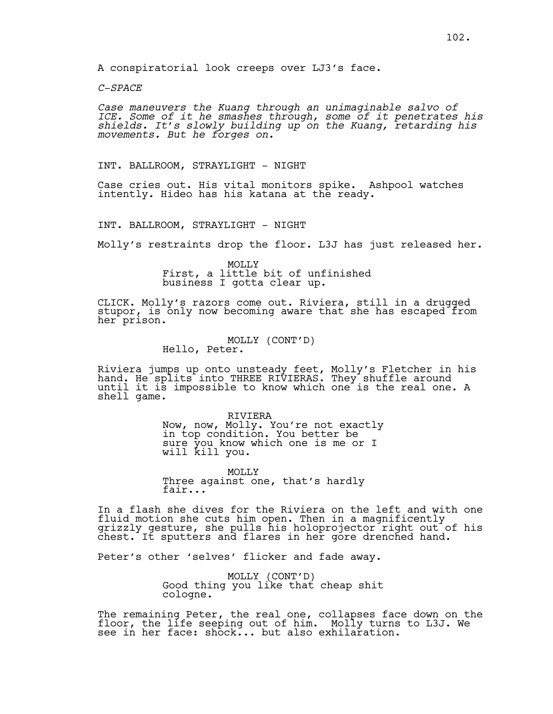*C-SPACE*

*Case maneuvers the Kuang through an unimaginable salvo of ICE. Some of it he smashes through, some of it penetrates his shields. It's slowly building up on the Kuang, retarding his movements. But he forges on.*

INT. BALLROOM, STRAYLIGHT - NIGHT

Case cries out. His vital monitors spike. Ashpool watches intently. Hideo has his katana at the ready.

INT. BALLROOM, STRAYLIGHT - NIGHT

Molly's restraints drop the floor. L3J has just released her.

MOLLY First, a little bit of unfinished business I gotta clear up.

CLICK. Molly's razors come out. Riviera, still in a drugged stupor, is only now becoming aware that she has escaped from her prison.

MOLLY (CONT'D)<br>Hello, Peter.

Riviera jumps up onto unsteady feet, Molly's Fletcher in his hand. He splits into THREE RIVIERAS. They shuffle around until it is impossible to know which one is the real one. A shell game.

> RIVIERA Now, now, Molly. You're not exactly in top condition. You better be sure you know which one is me or I will kill you.

MOLLY Three against one, that's hardly fair...

In a flash she dives for the Riviera on the left and with one fluid motion she cuts him open. Then in a magnificently grizzly gesture, she pulls his holoprojector right out of his chest. It sputters and flares in her gore drenched hand.

Peter's other 'selves' flicker and fade away.

MOLLY (CONT'D)<br>Good thing you like that cheap shit cologne.

The remaining Peter, the real one, collapses face down on the floor, the life seeping out of him. Molly turns to L3J. We see in her face: shock... but also exhilaration.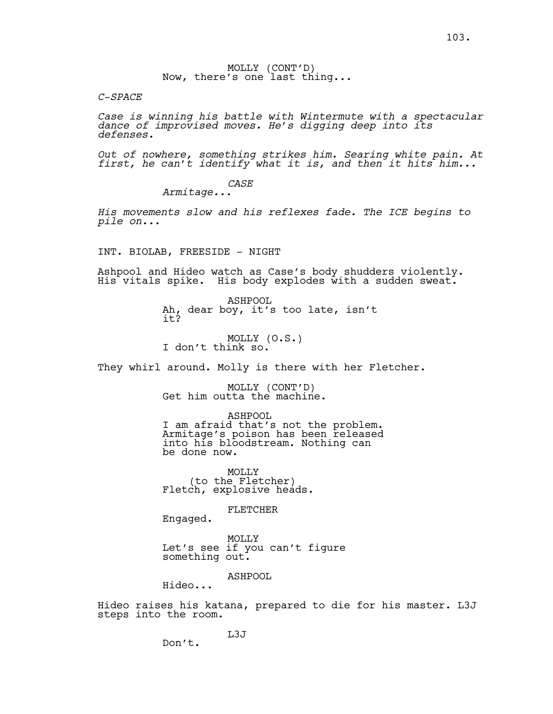MOLLY (CONT'D)<br>Now, there's one last thing...

*C-SPACE*

*pile on...*

*Case is winning his battle with Wintermute with a spectacular dance of improvised moves. He's digging deep into its defenses.*

*Out of nowhere, something strikes him. Searing white pain. At first, he can't identify what it is, and then it hits him...*

> *CASE Armitage...*

*His movements slow and his reflexes fade. The ICE begins to* 

INT. BIOLAB, FREESIDE - NIGHT

Ashpool and Hideo watch as Case's body shudders violently. His vitals spike. His body explodes with a sudden sweat.

> ASHPOOL Ah, dear boy, it's too late, isn't it?

MOLLY (O.S.)<br>I don't think so.

They whirl around. Molly is there with her Fletcher.

MOLLY (CONT'D)<br>Get him outta the machine.

ASHPOOL

I am afraid that's not the problem. Armitage's poison has been released into his bloodstream. Nothing can be done now.

MOLLY<br>(to the Fletcher) Fletch, explosive heads.

FLETCHER

Engaged.

MOLLY Let's see if you can't figure something out.

ASHPOOL

Hideo...

Don't.

Hideo raises his katana, prepared to die for his master. L3J steps into the room.

L3J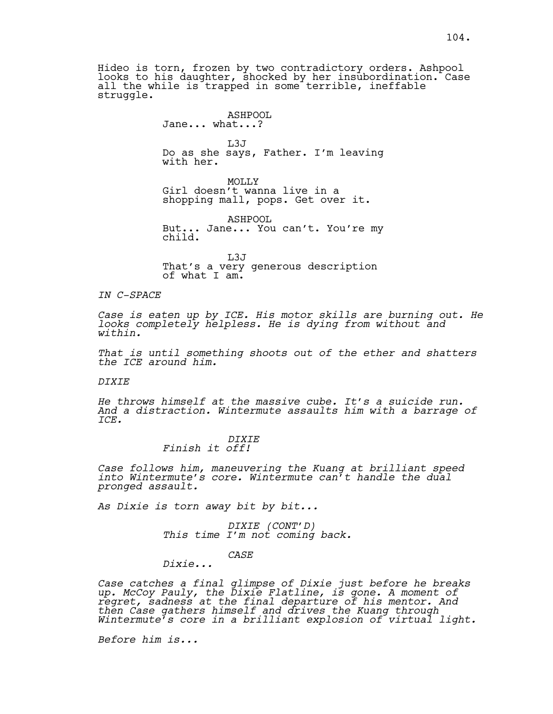Hideo is torn, frozen by two contradictory orders. Ashpool looks to his daughter, shocked by her insubordination. Case all the while is trapped in some terrible, ineffable struggle.

### ASHPOOL

### Jane... what...?

 $L3J$ Do as she says, Father. I'm leaving with her.

MOLLY<sub>N</sub> Girl doesn't wanna live in a shopping mall, pops. Get over it.

ASHPOOL But... Jane... You can't. You're my child.

L3J That's a very generous description of what I am.

### *IN C-SPACE*

*Case is eaten up by ICE. His motor skills are burning out. He looks completely helpless. He is dying from without and within.*

*That is until something shoots out of the ether and shatters the ICE around him.*

### *DIXIE*

*He throws himself at the massive cube. It's a suicide run. And a distraction. Wintermute assaults him with a barrage of ICE.*

### *DIXIE Finish it off!*

*Case follows him, maneuvering the Kuang at brilliant speed into Wintermute's core. Wintermute can't handle the dual pronged assault.* 

*As Dixie is torn away bit by bit...* 

*DIXIE (CONT'D) This time I'm not coming back.*

### *CASE*

*Dixie...*

*Case catches a final glimpse of Dixie just before he breaks up. McCoy Pauly, the Dixie Flatline, is gone. A moment of regret, sadness at the final departure of his mentor. And then Case gathers himself and drives the Kuang through Wintermute's core in a brilliant explosion of virtual light.* 

*Before him is...*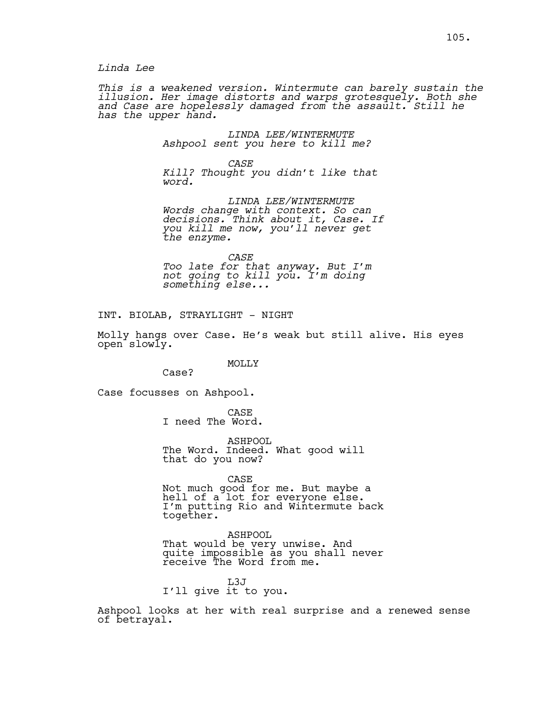*Linda Lee*

*This is a weakened version. Wintermute can barely sustain the illusion. Her image distorts and warps grotesquely. Both she and Case are hopelessly damaged from the assault. Still he has the upper hand.*

> *LINDA LEE/WINTERMUTE Ashpool sent you here to kill me?*

*CASE Kill? Thought you didn't like that word.*

*LINDA LEE/WINTERMUTE Words change with context. So can decisions. Think about it, Case. If you kill me now, you'll never get the enzyme.*

*CASE Too late for that anyway. But I'm not going to kill you. I'm doing something else...*

INT. BIOLAB, STRAYLIGHT - NIGHT

Molly hangs over Case. He's weak but still alive. His eyes open<sup>slowly.</sup>

### MOLLY

Case?

Case focusses on Ashpool.

CASE I need The Word.

ASHPOOL The Word. Indeed. What good will that do you now?

CASE

Not much good for me. But maybe a hell of a lot for everyone else. I'm putting Rio and Wintermute back together.

ASHPOOL That would be very unwise. And quite impossible as you shall never receive The Word from me.

L3J I'll give it to you.

Ashpool looks at her with real surprise and a renewed sense of betrayal.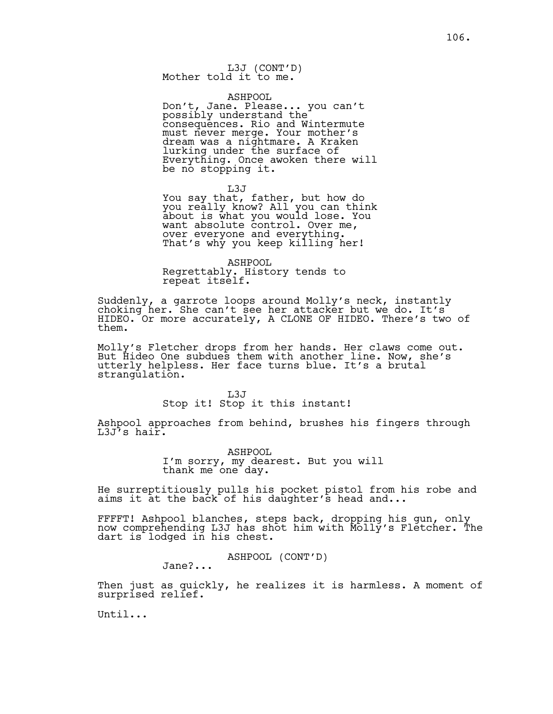### ASHPOOL

Don't, Jane. Please... you can't possibly understand the consequences. Rio and Wintermute must never merge. Your mother's dream was a nightmare. A Kraken lurking under the surface of Everything. Once awoken there will be no stopping it.

L3J

You say that, father, but how do you really know? All you can think about is what you would lose. You want absolute control. Over me, over everyone and everything. That's why you keep killing her!

ASHPOOL Regrettably. History tends to repeat itself.

Suddenly, a garrote loops around Molly's neck, instantly choking her. She can't see her attacker but we do. It's HIDEO. Or more accurately, A CLONE OF HIDEO. There's two of them.

Molly's Fletcher drops from her hands. Her claws come out. But Hideo One subdues them with another line. Now, she's utterly helpless. Her face turns blue. It's a brutal strangulation.

L3J

Stop it! Stop it this instant!

Ashpool approaches from behind, brushes his fingers through L3J's hair.

> ASHPOOL I'm sorry, my dearest. But you will thank me one day.

He surreptitiously pulls his pocket pistol from his robe and aims it at the back of his daughter's head and...

FFFFT! Ashpool blanches, steps back, dropping his gun, only now comprehending L3J has shot him with Molly's Fletcher. The dart is lodged in his chest.

ASHPOOL (CONT'D)

Jane?...

Then just as quickly, he realizes it is harmless. A moment of surprised relief.

Until...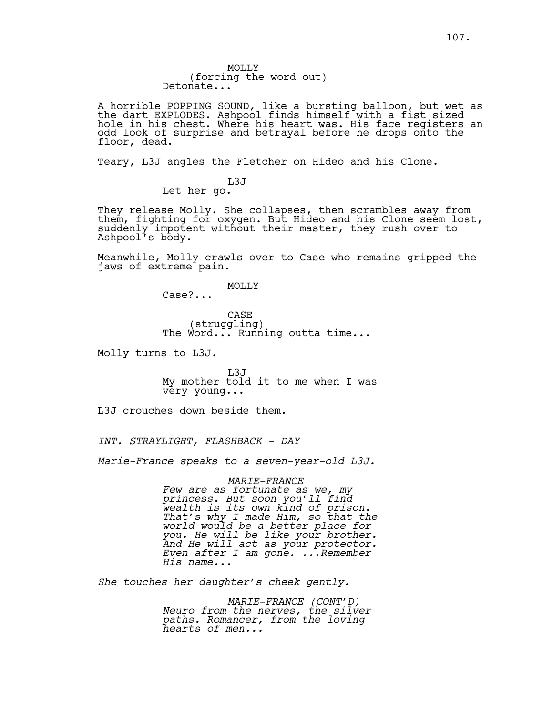MOLLY (forcing the word out) Detonate...

A horrible POPPING SOUND, like a bursting balloon, but wet as the dart EXPLODES. Ashpool finds himself with a fist sized hole in his chest. Where his heart was. His face registers an odd look of surprise and betrayal before he drops onto the floor, dead.

Teary, L3J angles the Fletcher on Hideo and his Clone.

L3J Let her go.

They release Molly. She collapses, then scrambles away from them, fighting for oxygen. But Hideo and his Clone seem lost, suddenly impotent without their master, they rush over to Ashpool's body.

Meanwhile, Molly crawls over to Case who remains gripped the jaws of extreme pain.

**MOLLY** 

Case?...

CASE<br>(struggling) The Word... Running outta time...

Molly turns to L3J.

L3J My mother told it to me when I was very young...

L3J crouches down beside them.

*INT. STRAYLIGHT, FLASHBACK - DAY*

*Marie-France speaks to a seven-year-old L3J.*

### *MARIE-FRANCE*

*Few are as fortunate as we, my princess. But soon you'll find wealth is its own kind of prison. That's why I made Him, so that the world would be a better place for you. He will be like your brother. And He will act as your protector. Even after I am gone. ...Remember His name...*

*She touches her daughter's cheek gently.*

*MARIE-FRANCE (CONT'D) Neuro from the nerves, the silver paths. Romancer, from the loving hearts of men...*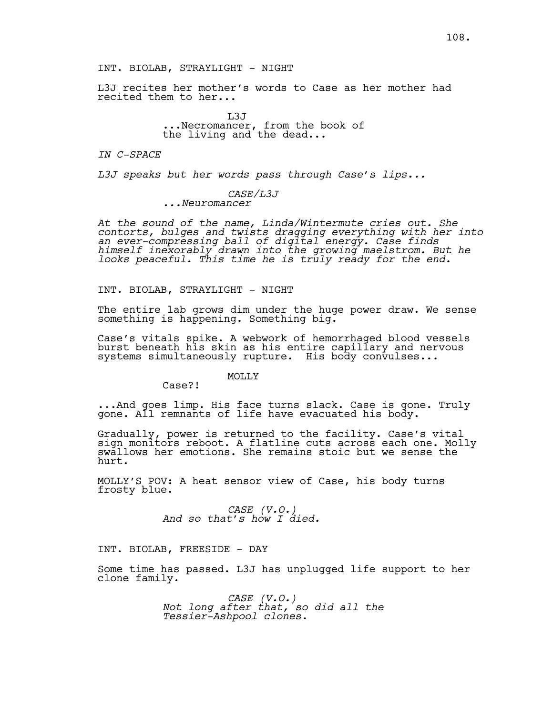L3J recites her mother's words to Case as her mother had recited them to her...

> L3J ...Necromancer, from the book of the living and the dead...

#### *IN C-SPACE*

*L3J speaks but her words pass through Case's lips...*

*CASE/L3J ...Neuromancer*

*At the sound of the name, Linda/Wintermute cries out. She contorts, bulges and twists dragging everything with her into an ever-compressing ball of digital energy. Case finds himself inexorably drawn into the growing maelstrom. But he looks peaceful. This time he is truly ready for the end.*

#### INT. BIOLAB, STRAYLIGHT - NIGHT

The entire lab grows dim under the huge power draw. We sense something is happening. Something big.

Case's vitals spike. A webwork of hemorrhaged blood vessels burst beneath his skin as his entire capillary and nervous systems simultaneously rupture. His body convulses...

### MOLLY

Case?!

...And goes limp. His face turns slack. Case is gone. Truly gone. All remnants of life have evacuated his body.

Gradually, power is returned to the facility. Case's vital sign monitors reboot. A flatline cuts across each one. Molly swallows her emotions. She remains stoic but we sense the hurt.

MOLLY'S POV: A heat sensor view of Case, his body turns frosty blue.

*CASE (V.O.) And so that's how I died.*

INT. BIOLAB, FREESIDE - DAY

Some time has passed. L3J has unplugged life support to her clone family.

> *CASE (V.O.) Not long after that, so did all the Tessier-Ashpool clones.*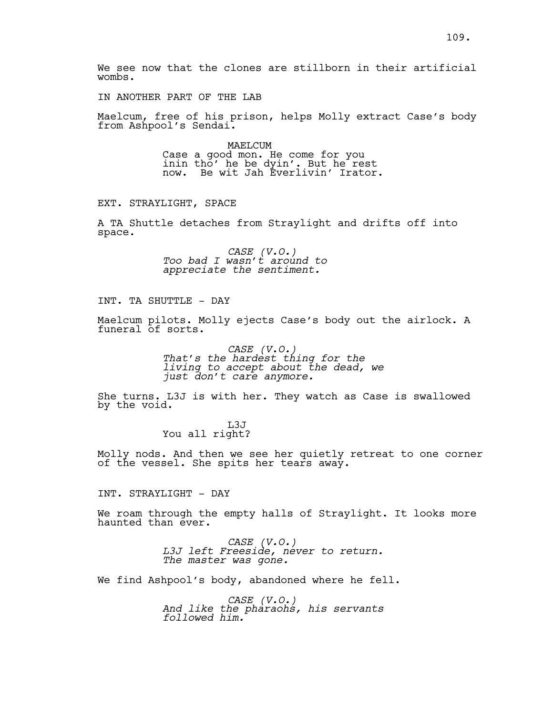IN ANOTHER PART OF THE LAB

Maelcum, free of his prison, helps Molly extract Case's body from Ashpool's Sendai.

> MAELCUM Case a good mon. He come for you inin tho' he be dyin'. But he rest now. Be wit Jah Everlivin' Irator.

EXT. STRAYLIGHT, SPACE

A TA Shuttle detaches from Straylight and drifts off into space.

> *CASE (V.O.) Too bad I wasn't around to appreciate the sentiment.*

INT. TA SHUTTLE - DAY

Maelcum pilots. Molly ejects Case's body out the airlock. A funeral of sorts.

> *CASE (V.O.) That's the hardest thing for the living to accept about the dead, we just don't care anymore.*

She turns. L3J is with her. They watch as Case is swallowed by the void.

> L3J You all right?

Molly nods. And then we see her quietly retreat to one corner of the vessel. She spits her tears away.

INT. STRAYLIGHT - DAY

We roam through the empty halls of Straylight. It looks more haunted than ever.

> *CASE (V.O.) L3J left Freeside, never to return. The master was gone.*

We find Ashpool's body, abandoned where he fell.

*CASE (V.O.) And like the pharaohs, his servants followed him.*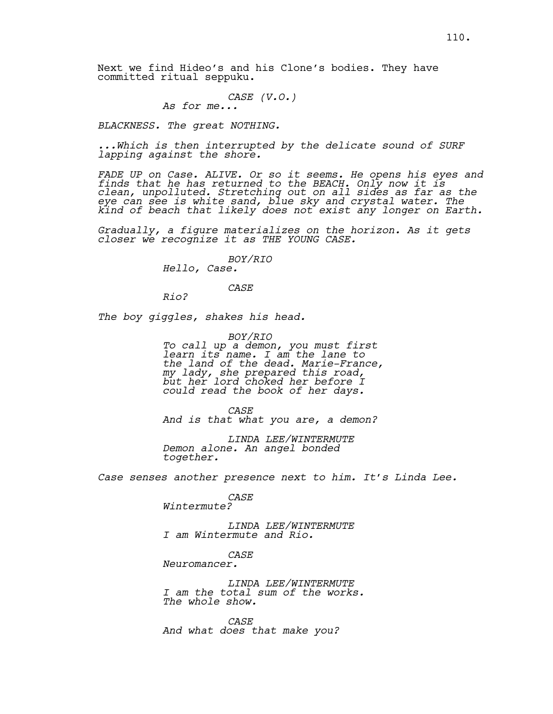Next we find Hideo's and his Clone's bodies. They have committed ritual seppuku.

*CASE (V.O.) As for me...*

*BLACKNESS. The great NOTHING.* 

*...Which is then interrupted by the delicate sound of SURF lapping against the shore.*

*FADE UP on Case. ALIVE. Or so it seems. He opens his eyes and finds that he has returned to the BEACH. Only now it is clean, unpolluted. Stretching out on all sides as far as the eye can see is white sand, blue sky and crystal water. The kind of beach that likely does not exist any longer on Earth.*

*Gradually, a figure materializes on the horizon. As it gets closer we recognize it as THE YOUNG CASE.*

> *BOY/RIO Hello, Case.*

# *CASE*

*Rio?*

*The boy giggles, shakes his head.*

*BOY/RIO To call up a demon, you must first learn its name. I am the lane to the land of the dead. Marie-France, my lady, she prepared this road, but her lord choked her before I could read the book of her days.*

*CASE And is that what you are, a demon?*

*LINDA LEE/WINTERMUTE Demon alone. An angel bonded together.* 

*Case senses another presence next to him. It's Linda Lee.*

## *CASE*

*Wintermute?*

*LINDA LEE/WINTERMUTE I am Wintermute and Rio.*

# *CASE*

*Neuromancer.* 

*LINDA LEE/WINTERMUTE I am the total sum of the works. The whole show.* 

*CASE And what does that make you?*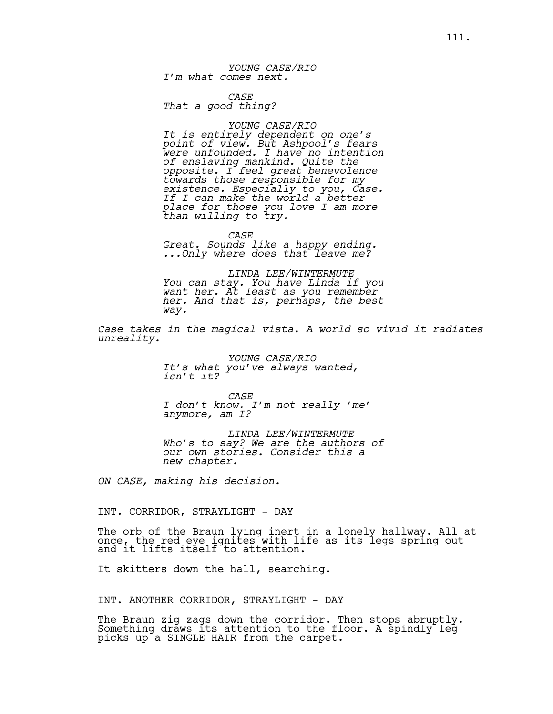*YOUNG CASE/RIO I'm what comes next.*

*CASE That a good thing?*

#### *YOUNG CASE/RIO*

*It is entirely dependent on one's point of view. But Ashpool's fears were unfounded. I have no intention of enslaving mankind. Quite the opposite. I feel great benevolence towards those responsible for my existence. Especially to you, Case. If I can make the world a better place for those you love I am more than willing to try.*

*CASE Great. Sounds like a happy ending. ...Only where does that leave me?*

*LINDA LEE/WINTERMUTE You can stay. You have Linda if you want her. At least as you remember her. And that is, perhaps, the best way.* 

*Case takes in the magical vista. A world so vivid it radiates unreality.*

> *YOUNG CASE/RIO It's what you've always wanted, isn't it?*

*CASE I don't know. I'm not really 'me' anymore, am I?*

*LINDA LEE/WINTERMUTE Who's to say? We are the authors of our own stories. Consider this a new chapter.*

*ON CASE, making his decision.*

INT. CORRIDOR, STRAYLIGHT - DAY

The orb of the Braun lying inert in a lonely hallway. All at once, the red eye ignites with life as its legs spring out and it lifts itself to attention.

It skitters down the hall, searching.

INT. ANOTHER CORRIDOR, STRAYLIGHT - DAY

The Braun zig zags down the corridor. Then stops abruptly. Something draws its attention to the floor. A spindly leg picks up a SINGLE HAIR from the carpet.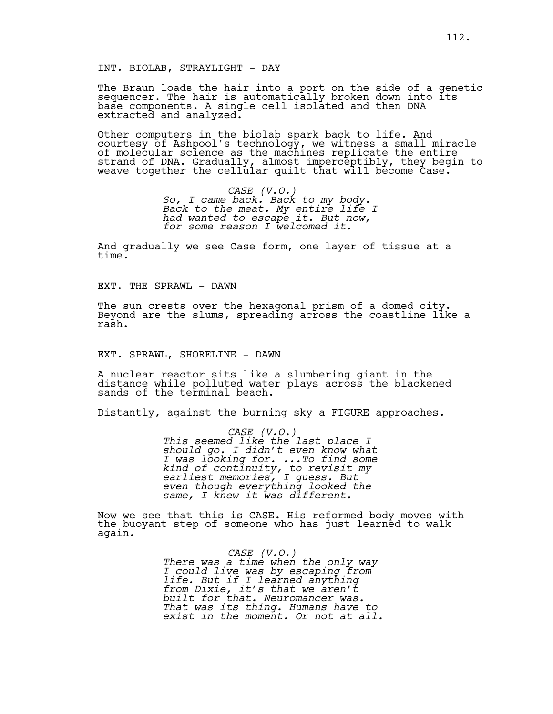INT. BIOLAB, STRAYLIGHT - DAY

The Braun loads the hair into a port on the side of a genetic sequencer. The hair is automatically broken down into its base components. A single cell isolated and then DNA extracted and analyzed.

Other computers in the biolab spark back to life. And courtesy of Ashpool's technology, we witness a small miracle of molecular science as the machines replicate the entire strand of DNA. Gradually, almost imperceptibly, they begin to weave together the cellūlar quilt that will become Case.

> *CASE (V.O.) So, I came back. Back to my body. Back to the meat. My entire life I had wanted to escape it. But now, for some reason I welcomed it.*

And gradually we see Case form, one layer of tissue at a time.

EXT. THE SPRAWL - DAWN

The sun crests over the hexagonal prism of a domed city. Beyond are the slums, spreading across the coastline like a rash.

EXT. SPRAWL, SHORELINE - DAWN

A nuclear reactor sits like a slumbering giant in the distance while polluted water plays across the blackened sands of the terminal beach.

Distantly, against the burning sky a FIGURE approaches.

*CASE (V.O.) This seemed like the last place I should go. I didn't even know what I was looking for. ...To find some kind of continuity, to revisit my earliest memories, I guess. But even though everything looked the same, I knew it was different.*

Now we see that this is CASE. His reformed body moves with the buoyant step of someone who has just learned to walk again.

> *CASE (V.O.) There was a time when the only way I could live was by escaping from life. But if I learned anything from Dixie, it's that we aren't built for that. Neuromancer was. That was its thing. Humans have to exist in the moment. Or not at all.*